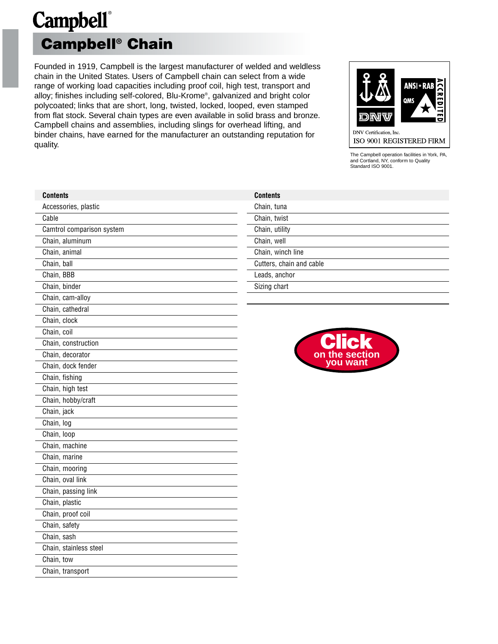### **Campbell**® **Campbell® Chain**

Founded in 1919, Campbell is the largest manufacturer of welded and weldless chain in the United States. Users of Campbell chain can select from a wide range of working load capacities including proof coil, high test, transport and alloy; finishes including self-colored, Blu-Krome®, galvanized and bright color polycoated; links that are short, long, twisted, locked, looped, even stamped from flat stock. Several chain types are even available in solid brass and bronze. Campbell chains and assemblies, including slings for overhead lifting, and binder chains, have earned for the manufacturer an outstanding reputation for quality.



The Campbell operation facilities in York, PA, and Cortland, NY, conform to Quality Standard ISO 9001.

| <b>Contents</b>           | <b>Contents</b>          |
|---------------------------|--------------------------|
| Accessories, plastic      | Chain, tuna              |
| Cable                     | Chain, twist             |
| Camtrol comparison system | Chain, utility           |
| Chain, aluminum           | Chain, well              |
| Chain, animal             | Chain, winch line        |
| Chain, ball               | Cutters, chain and cable |
| Chain, BBB                | Leads, anchor            |
| Chain, binder             | Sizing chart             |
| Chain, cam-alloy          |                          |
| Chain, cathedral          |                          |
| Chain, clock              |                          |
| Chain, coil               |                          |
| Chain, construction       |                          |
| Chain, decorator          | the section<br><b>on</b> |
| Chain, dock fender        | you want                 |
| Chain, fishing            |                          |
| Chain, high test          |                          |
| Chain, hobby/craft        |                          |
| Chain, jack               |                          |
| Chain, log                |                          |
| Chain, loop               |                          |
| Chain, machine            |                          |
| Chain, marine             |                          |
| Chain, mooring            |                          |
| Chain, oval link          |                          |
| Chain, passing link       |                          |
| Chain, plastic            |                          |
| Chain, proof coil         |                          |
| Chain, safety             |                          |
| Chain, sash               |                          |
| Chain, stainless steel    |                          |
| Chain, tow                |                          |
| Chain, transport          |                          |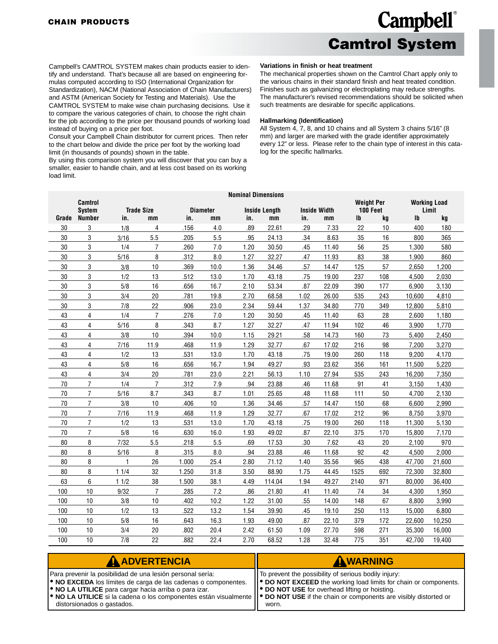### **Campbell**® **Camtrol System**

<span id="page-1-0"></span>Campbell's CAMTROL SYSTEM makes chain products easier to identify and understand. That's because all are based on engineering formulas computed according to ISO (International Organization for Standardization), NACM (National Association of Chain Manufacturers) and ASTM (American Society for Testing and Materials). Use the CAMTROL SYSTEM to make wise chain purchasing decisions. Use it to compare the various categories of chain, to choose the right chain for the job according to the price per thousand pounds of working load

instead of buying on a price per foot. Consult your Campbell Chain distributor for current prices. Then refer to the chart below and divide the price per foot by the working load limit (in thousands of pounds) shown in the table.

By using this comparison system you will discover that you can buy a smaller, easier to handle chain, and at less cost based on its working load limit.

#### **Variations in finish or heat treatment**

The mechanical properties shown on the Camtrol Chart apply only to the various chains in their standard finish and heat treated condition. Finishes such as galvanizing or electroplating may reduce strengths. The manufacturer's revised recommendations should be solicited when such treatments are desirable for specific applications.

#### **Hallmarking (Identification)**

All System 4, 7, 8, and 10 chains and all System 3 chains 5/16" (8 mm) and larger are marked with the grade identifier approximately every 12" or less. Please refer to the chain type of interest in this catalog for the specific hallmarks.

|       | <b>Camtrol</b>          |                  |                   |       |                 | <b>Nominal Dimensions</b> |                      |      |                     | <b>Weight Per</b> |          |                           | <b>Working Load</b> |
|-------|-------------------------|------------------|-------------------|-------|-----------------|---------------------------|----------------------|------|---------------------|-------------------|----------|---------------------------|---------------------|
|       | <b>System</b>           |                  | <b>Trade Size</b> |       | <b>Diameter</b> |                           | <b>Inside Length</b> |      | <b>Inside Width</b> |                   | 100 Feet |                           | Limit               |
| Grade | <b>Number</b>           | in.              | mm                | in.   | mm              | in.                       | mm                   | in.  | mm                  | $\mathsf{I}$      | kg       | $\mathsf{I}^{\mathsf{b}}$ | kg                  |
| 30    | 3                       | 1/8              | 4                 | .156  | 4.0             | .89                       | 22.61                | .29  | 7.33                | 22                | 10       | 400                       | 180                 |
| 30    | 3                       | 3/16             | 5.5               | .205  | 5.5             | .95                       | 24.13                | .34  | 8.63                | 35                | 16       | 800                       | 365                 |
| 30    | 3                       | 1/4              | $\overline{7}$    | .260  | 7.0             | 1.20                      | 30.50                | .45  | 11.40               | 56                | 25       | 1,300                     | 580                 |
| 30    | 3                       | 5/16             | 8                 | .312  | 8.0             | 1.27                      | 32.27                | .47  | 11.93               | 83                | 38       | 1,900                     | 860                 |
| 30    | 3                       | 3/8              | 10                | .369  | 10.0            | 1.36                      | 34.46                | .57  | 14.47               | 125               | 57       | 2,650                     | 1,200               |
| 30    | 3                       | 1/2              | 13                | .512  | 13.0            | 1.70                      | 43.18                | .75  | 19.00               | 237               | 108      | 4,500                     | 2,030               |
| 30    | 3                       | 5/8              | 16                | .656  | 16.7            | 2.10                      | 53.34                | .87  | 22.09               | 390               | 177      | 6,900                     | 3,130               |
| 30    | 3                       | 3/4              | 20                | .781  | 19.8            | 2.70                      | 68.58                | 1.02 | 26.00               | 535               | 243      | 10,600                    | 4,810               |
| 30    | 3                       | 7/8              | 22                | .906  | 23.0            | 2.34                      | 59.44                | 1.37 | 34.80               | 770               | 349      | 12,800                    | 5,810               |
| 43    | 4                       | 1/4              | $\overline{7}$    | .276  | 7.0             | 1.20                      | 30.50                | .45  | 11.40               | 63                | 28       | 2,600                     | 1,180               |
| 43    | 4                       | 5/16             | 8                 | .343  | 8.7             | 1.27                      | 32.27                | .47  | 11.94               | 102               | 46       | 3,900                     | 1,770               |
| 43    | 4                       | 3/8              | 10                | .394  | 10.0            | 1.15                      | 29.21                | .58  | 14.73               | 160               | 73       | 5,400                     | 2,450               |
| 43    | 4                       | 7/16             | 11.9              | .468  | 11.9            | 1.29                      | 32.77                | .67  | 17.02               | 216               | 98       | 7,200                     | 3,270               |
| 43    | $\overline{4}$          | 1/2              | 13                | .531  | 13.0            | 1.70                      | 43.18                | .75  | 19.00               | 260               | 118      | 9,200                     | 4,170               |
| 43    | 4                       | 5/8              | 16                | .656  | 16.7            | 1.94                      | 49.27                | .93  | 23.62               | 356               | 161      | 11,500                    | 5,220               |
| 43    | $\overline{\mathbf{4}}$ | 3/4              | 20                | .781  | 23.0            | 2.21                      | 56.13                | 1.10 | 27.94               | 535               | 243      | 16,200                    | 7,350               |
| 70    | $\overline{7}$          | 1/4              | $\overline{7}$    | .312  | 7.9             | .94                       | 23.88                | .46  | 11.68               | 91                | 41       | 3,150                     | 1,430               |
| 70    | $\overline{7}$          | 5/16             | 8.7               | .343  | 8.7             | 1.01                      | 25.65                | .48  | 11.68               | 111               | 50       | 4,700                     | 2,130               |
| 70    | $\overline{7}$          | 3/8              | 10                | .406  | 10              | 1.36                      | 34.46                | .57  | 14.47               | 150               | 68       | 6,600                     | 2,990               |
| 70    | $\overline{7}$          | 7/16             | 11.9              | .468  | 11.9            | 1.29                      | 32.77                | .67  | 17.02               | 212               | 96       | 8,750                     | 3,970               |
| 70    | $\overline{7}$          | 1/2              | 13                | .531  | 13.0            | 1.70                      | 43.18                | .75  | 19.00               | 260               | 118      | 11,300                    | 5,130               |
| 70    | $\overline{7}$          | 5/8              | 16                | .630  | 16.0            | 1.93                      | 49.02                | .87  | 22.10               | 375               | 170      | 15,800                    | 7,170               |
| 80    | 8                       | 7/32             | 5.5               | .218  | 5.5             | .69                       | 17.53                | .30  | 7.62                | 43                | 20       | 2,100                     | 970                 |
| 80    | 8                       | 5/16             | 8                 | .315  | 8.0             | .94                       | 23.88                | .46  | 11.68               | 92                | 42       | 4,500                     | 2,000               |
| 80    | 8                       | 1                | 26                | 1.000 | 25.4            | 2.80                      | 71.12                | 1.40 | 35.56               | 965               | 438      | 47,700                    | 21,600              |
| 80    | 8                       | 11/4             | 32                | 1.250 | 31.8            | 3.50                      | 88.90                | 1.75 | 44.45               | 1525              | 692      | 72,300                    | 32,800              |
| 63    | 6                       | 11/2             | 38                | 1.500 | 38.1            | 4.49                      | 114.04               | 1.94 | 49.27               | 2140              | 971      | 80,000                    | 36,400              |
| 100   | 10                      | 9/32             | $\overline{7}$    | .285  | 7.2             | .86                       | 21.80                | .41  | 11.40               | 74                | 34       | 4,300                     | 1,950               |
| 100   | 10                      | 3/8              | 10                | .402  | 10.2            | 1.22                      | 31.00                | .55  | 14.00               | 148               | 67       | 8,800                     | 3,990               |
| 100   | 10                      | 1/2              | 13                | .522  | 13.2            | 1.54                      | 39.90                | .45  | 19.10               | 250               | 113      | 15,000                    | 6,800               |
| 100   | 10                      | 5/8              | 16                | .643  | 16.3            | 1.93                      | 49.00                | .87  | 22.10               | 379               | 172      | 22,600                    | 10,250              |
| 100   | 10                      | 3/4              | 20                | .802  | 20.4            | 2.42                      | 61.50                | 1.09 | 27.70               | 598               | 271      | 35,300                    | 16,000              |
| 100   | 10                      | $\overline{7/8}$ | $\overline{22}$   | .882  | 22.4            | 2.70                      | 68.52                | 1.28 | 32.48               | 775               | 351      | 42,700                    | 19,400              |

| AADVERTENCIA                                                                                                                                                                                                                                                                                                | AWARNING                                                                                                                       |
|-------------------------------------------------------------------------------------------------------------------------------------------------------------------------------------------------------------------------------------------------------------------------------------------------------------|--------------------------------------------------------------------------------------------------------------------------------|
| Para prevenir la posibilidad de una lesión personal sería:                                                                                                                                                                                                                                                  | IT To prevent the possibility of serious bodily injury:                                                                        |
| <b>.</b> NO EXCEDA los límites de carga de las cadenas o componentes.<br><b>.</b> NO LA UTILICE para cargar hacia arriba o para izar.<br>• NO LA UTILICE si la cadena o los componentes están visualmente    • DO NOT USE if the chain or components are visibly distorted or<br>distorsionados o gastados. | ● DO NOT EXCEED the working load limits for chain or components.<br>   ● DO NOT USE for overhead lifting or hoisting.<br>worn. |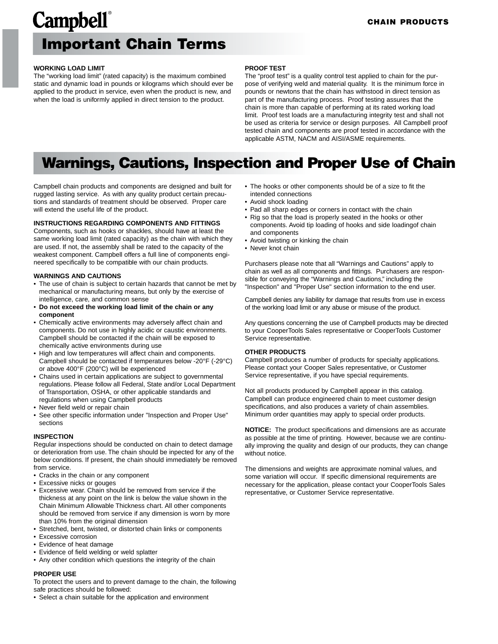### **Campbell**® **Important Chain Terms**

#### **WORKING LOAD LIMIT**

The "working load limit" (rated capacity) is the maximum combined static and dynamic load in pounds or kilograms which should ever be applied to the product in service, even when the product is new, and when the load is uniformly applied in direct tension to the product.

#### **PROOF TEST**

The "proof test" is a quality control test applied to chain for the purpose of verifying weld and material quality. It is the minimum force in pounds or newtons that the chain has withstood in direct tension as part of the manufacturing process. Proof testing assures that the chain is more than capable of performing at its rated working load limit. Proof test loads are a manufacturing integrity test and shall not be used as criteria for service or design purposes. All Campbell proof tested chain and components are proof tested in accordance with the applicable ASTM, NACM and AISI/ASME requirements.

#### **Warnings, Cautions, Inspection and Proper Use of Chain**

Campbell chain products and components are designed and built for rugged lasting service. As with any quality product certain precautions and standards of treatment should be observed. Proper care will extend the useful life of the product.

#### **INSTRUCTIONS REGARDING COMPONENTS AND FITTINGS**

Components, such as hooks or shackles, should have at least the same working load limit (rated capacity) as the chain with which they are used. If not, the assembly shall be rated to the capacity of the weakest component. Campbell offers a full line of components engineered specifically to be compatible with our chain products.

#### **WARNINGS AND CAUTIONS**

- The use of chain is subject to certain hazards that cannot be met by mechanical or manufacturing means, but only by the exercise of intelligence, care, and common sense
- **Do not exceed the working load limit of the chain or any component**
- Chemically active environments may adversely affect chain and components. Do not use in highly acidic or caustic environments. Campbell should be contacted if the chain will be exposed to chemically active environments during use
- High and low temperatures will affect chain and components. Campbell should be contacted if temperatures below -20°F (-29°C) or above 400°F (200°C) will be experienced
- Chains used in certain applications are subject to governmental regulations. Please follow all Federal, State and/or Local Department of Transportation, OSHA, or other applicable standards and regulations when using Campbell products
- Never field weld or repair chain
- See other specific information under "Inspection and Proper Use" sections

#### **INSPECTION**

Regular inspections should be conducted on chain to detect damage or deterioration from use. The chain should be inpected for any of the below conditions. If present, the chain should immediately be removed from service.

- Cracks in the chain or any component
- Excessive nicks or gouges
- Excessive wear. Chain should be removed from service if the thickness at any point on the link is below the value shown in the Chain Minimum Allowable Thickness chart. All other components should be removed from service if any dimension is worn by more than 10% from the original dimension
- Stretched, bent, twisted, or distorted chain links or components
- Excessive corrosion
- Evidence of heat damage
- Evidence of field welding or weld splatter
- Any other condition which questions the integrity of the chain

#### **PROPER USE**

To protect the users and to prevent damage to the chain, the following safe practices should be followed:

• Select a chain suitable for the application and environment

- The hooks or other components should be of a size to fit the intended connections
- Avoid shock loading
- Pad all sharp edges or corners in contact with the chain
- Rig so that the load is properly seated in the hooks or other components. Avoid tip loading of hooks and side loadingof chain and components
- Avoid twisting or kinking the chain
- Never knot chain

Purchasers please note that all "Warnings and Cautions" apply to chain as well as all components and fittings. Purchasers are responsible for conveying the "Warnings and Cautions," including the "Inspection" and "Proper Use" section information to the end user.

Campbell denies any liability for damage that results from use in excess of the working load limit or any abuse or misuse of the product.

Any questions concerning the use of Campbell products may be directed to your CooperTools Sales representative or CooperTools Customer Service representative.

#### **OTHER PRODUCTS**

Campbell produces a number of products for specialty applications. Please contact your Cooper Sales representative, or Customer Service representative, if you have special requirements.

Not all products produced by Campbell appear in this catalog. Campbell can produce engineered chain to meet customer design specifications, and also produces a variety of chain assemblies. Minimum order quantities may apply to special order products.

**NOTICE:** The product specifications and dimensions are as accurate as possible at the time of printing. However, because we are continually improving the quality and design of our products, they can change without notice.

The dimensions and weights are approximate nominal values, and some variation will occur. If specific dimensional requirements are necessary for the application, please contact your CooperTools Sales representative, or Customer Service representative.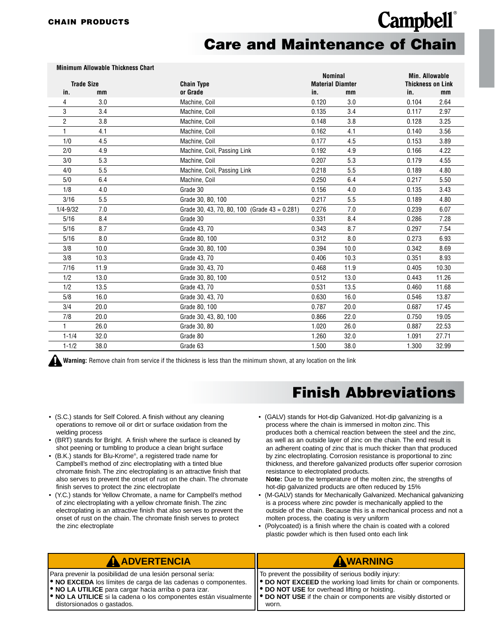**Minimum Allowable Thickness Chart**

### **Campbell**® **Care and Maintenance of Chain**

|                         | <b>MINIMUM ANOWADIC THICKNESS GRAFI</b> |                                                 | <b>Nominal</b>          |      | <b>Min. Allowable</b>    |       |
|-------------------------|-----------------------------------------|-------------------------------------------------|-------------------------|------|--------------------------|-------|
| <b>Trade Size</b>       |                                         | <b>Chain Type</b>                               | <b>Material Diamter</b> |      | <b>Thickness on Link</b> |       |
| in.                     | mm                                      | or Grade                                        | in.                     | mm   | in.                      | mm    |
| 4                       | 3.0                                     | Machine, Coil                                   | 0.120                   | 3.0  | 0.104                    | 2.64  |
| 3                       | 3.4                                     | Machine, Coil                                   | 0.135                   | 3.4  | 0.117                    | 2.97  |
| $\overline{\mathbf{c}}$ | 3.8                                     | Machine, Coil                                   | 0.148                   | 3.8  | 0.128                    | 3.25  |
| 1                       | 4.1                                     | Machine, Coil                                   | 0.162                   | 4.1  | 0.140                    | 3.56  |
| 1/0                     | 4.5                                     | Machine, Coil                                   | 0.177                   | 4.5  | 0.153                    | 3.89  |
| 2/0                     | 4.9                                     | Machine, Coil, Passing Link                     | 0.192                   | 4.9  | 0.166                    | 4.22  |
| 3/0                     | 5.3                                     | Machine, Coil                                   | 0.207                   | 5.3  | 0.179                    | 4.55  |
| 4/0                     | 5.5                                     | Machine, Coil, Passing Link                     | 0.218                   | 5.5  | 0.189                    | 4.80  |
| 5/0                     | 6.4                                     | Machine, Coil                                   | 0.250                   | 6.4  | 0.217                    | 5.50  |
| 1/8                     | 4.0                                     | Grade 30                                        | 0.156                   | 4.0  | 0.135                    | 3.43  |
| 3/16                    | 5.5                                     | Grade 30, 80, 100                               | 0.217                   | 5.5  | 0.189                    | 4.80  |
| $1/4 - 9/32$            | 7.0                                     | Grade 30, 43, 70, 80, 100 (Grade $43 = 0.281$ ) | 0.276                   | 7.0  | 0.239                    | 6.07  |
| 5/16                    | 8.4                                     | Grade 30                                        | 0.331                   | 8.4  | 0.286                    | 7.28  |
| 5/16                    | 8.7                                     | Grade 43, 70                                    | 0.343                   | 8.7  | 0.297                    | 7.54  |
| 5/16                    | 8.0                                     | Grade 80, 100                                   | 0.312                   | 8.0  | 0.273                    | 6.93  |
| 3/8                     | 10.0                                    | Grade 30, 80, 100                               | 0.394                   | 10.0 | 0.342                    | 8.69  |
| 3/8                     | 10.3                                    | Grade 43, 70                                    | 0.406                   | 10.3 | 0.351                    | 8.93  |
| 7/16                    | 11.9                                    | Grade 30, 43, 70                                | 0.468                   | 11.9 | 0.405                    | 10.30 |
| 1/2                     | 13.0                                    | Grade 30, 80, 100                               | 0.512                   | 13.0 | 0.443                    | 11.26 |
| 1/2                     | 13.5                                    | Grade 43, 70                                    | 0.531                   | 13.5 | 0.460                    | 11.68 |
| 5/8                     | 16.0                                    | Grade 30, 43, 70                                | 0.630                   | 16.0 | 0.546                    | 13.87 |
| 3/4                     | 20.0                                    | Grade 80, 100                                   | 0.787                   | 20.0 | 0.687                    | 17.45 |
| 7/8                     | 20.0                                    | Grade 30, 43, 80, 100                           | 0.866                   | 22.0 | 0.750                    | 19.05 |
| 1                       | 26.0                                    | Grade 30, 80                                    | 1.020                   | 26.0 | 0.887                    | 22.53 |
| $1 - 1/4$               | 32.0                                    | Grade 80                                        | 1.260                   | 32.0 | 1.091                    | 27.71 |
| $1 - 1/2$               | 38.0                                    | Grade 63                                        | 1.500                   | 38.0 | 1.300                    | 32.99 |

**Warning:** Remove chain from service if the thickness is less than the minimum shown, at any location on the link

- (S.C.) stands for Self Colored. A finish without any cleaning operations to remove oil or dirt or surface oxidation from the welding process
- (BRT) stands for Bright. A finish where the surface is cleaned by shot peening or tumbling to produce a clean bright surface
- (B.K.) stands for Blu-Krome®, a registered trade name for Campbell's method of zinc electroplating with a tinted blue chromate finish. The zinc electroplating is an attractive finish that also serves to prevent the onset of rust on the chain. The chromate finish serves to protect the zinc electroplate
- (Y.C.) stands for Yellow Chromate, a name for Campbell's method of zinc electroplating with a yellow chromate finish. The zinc electroplating is an attractive finish that also serves to prevent the onset of rust on the chain. The chromate finish serves to protect the zinc electroplate

#### **Finish Abbreviations**

• (GALV) stands for Hot-dip Galvanized. Hot-dip galvanizing is a process where the chain is immersed in molton zinc. This produces both a chemical reaction between the steel and the zinc, as well as an outside layer of zinc on the chain. The end result is an adherent coating of zinc that is much thicker than that produced by zinc electroplating. Corrosion resistance is proportional to zinc thickness, and therefore galvanized products offer superior corrosion resistance to electroplated products.

**Note:** Due to the temperature of the molten zinc, the strengths of hot-dip galvanized products are often reduced by 15%

- (M-GALV) stands for Mechanically Galvanized. Mechanical galvanizing is a process where zinc powder is mechanically applied to the outside of the chain. Because this is a mechanical process and not a molten process, the coating is very uniform
- (Polycoated) is a finish where the chain is coated with a colored plastic powder which is then fused onto each link

| <b>A ADVERTENCIA</b>                                                                                                                 | AWARNING                                                         |
|--------------------------------------------------------------------------------------------------------------------------------------|------------------------------------------------------------------|
| Para prevenir la posibilidad de una lesión personal sería:                                                                           | To prevent the possibility of serious bodily injury:             |
| <b>. NO EXCEDA</b> los límites de carga de las cadenas o componentes.                                                                | ● DO NOT EXCEED the working load limits for chain or components. |
| <b>ORIGIO NO LA UTILICE</b> para cargar hacia arriba o para izar.                                                                    | ● DO NOT USE for overhead lifting or hoisting.                   |
| • NO LA UTILICE si la cadena o los componentes están visualmente    • DO NOT USE if the chain or components are visibly distorted or |                                                                  |
| distorsionados o gastados.                                                                                                           | worn.                                                            |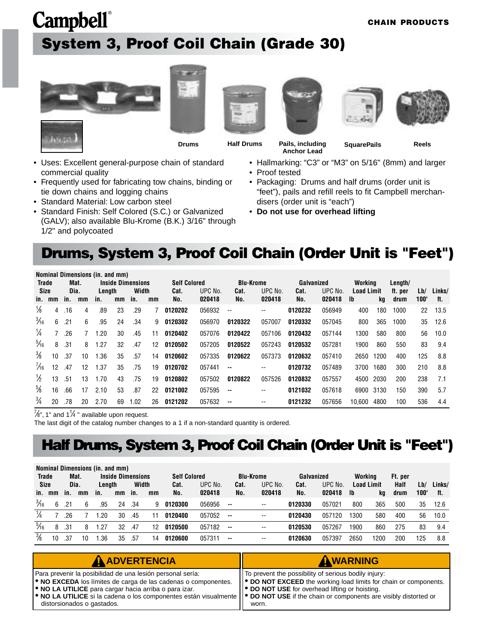### <span id="page-4-0"></span>**Campbell**® **System 3, Proof Coil Chain (Grade 30)**











**Drums Half Drums Pails, including Anchor Lead**

**SquarePails Reels**

- Uses: Excellent general-purpose chain of standard commercial quality
- Frequently used for fabricating tow chains, binding or tie down chains and logging chains
- Standard Material: Low carbon steel
- Standard Finish: Self Colored (S.C.) or Galvanized (GALV); also available Blu-Krome (B.K.) 3/16" through 1/2" and polycoated
- Hallmarking: "C3" or "M3" on 5/16" (8mm) and larger
- Proof tested
- Packaging: Drums and half drums (order unit is "feet"), pails and refill reels to fit Campbell merchandisers (order unit is "each")
- **Do not use for overhead lifting**

#### **Drums, System 3, Proof Coil Chain (Order Unit is "Feet")**

|                |             |     |      | Nominal Dimensions (in. and mm) |    |                          |    |                     |         |                  |         |            |         |                   |      |         |      |        |
|----------------|-------------|-----|------|---------------------------------|----|--------------------------|----|---------------------|---------|------------------|---------|------------|---------|-------------------|------|---------|------|--------|
| Trade          |             |     | Mat. |                                 |    | <b>Inside Dimensions</b> |    | <b>Self Colored</b> |         | <b>Blu-Krome</b> |         | Galvanized |         | Workina           |      | Length/ |      |        |
|                | <b>Size</b> |     | Dia. | Length                          |    | Width                    |    | Cat.                | UPC No. | Cat.             | UPC No. | Cat.       | UPC No. | <b>Load Limit</b> |      | ft. per | Lb/  | Links/ |
| in.            | mm          | in. | mm   | in.                             | mm | in.                      | mm | No.                 | 020418  | No.              | 020418  | No.        | 020418  | -lb               | kq   | drum    | 100' | ft.    |
| ⅛              | 4           | .16 | 4    | .89                             | 23 | .29                      |    | 0120202             | 056932  | --               | --      | 0120232    | 056949  | 400               | 180  | 1000    | 22   | 13.5   |
| $\frac{3}{16}$ | 6           | .21 | 6    | .95                             | 24 | .34                      | 9  | 0120302             | 056970  | 0120322          | 057007  | 0120332    | 057045  | 800               | 365  | 1000    | 35   | 12.6   |
| $\frac{1}{4}$  |             | .26 |      | 1.20                            | 30 | .45                      | 11 | 0120402             | 057076  | 0120422          | 057106  | 0120432    | 057144  | 1300              | 580  | 800     | 56   | 10.0   |
| $\frac{5}{16}$ | 8           | .31 | 8    | 1.27                            | 32 | .47                      | 12 | 0120502             | 057205  | 0120522          | 057243  | 0120532    | 057281  | 1900              | 860  | 550     | 83   | 9.4    |
| $\frac{3}{8}$  | 10          | .37 | 10   | 1.36                            | 35 | .57                      | 14 | 0120602             | 057335  | 0120622          | 057373  | 0120632    | 057410  | 2650              | 1200 | 400     | 125  | 8.8    |
| $\frac{7}{6}$  | 12          | .47 | 12   | 1.37                            | 35 | .75                      | 19 | 0120702             | 057441  | --               | --      | 0120732    | 057489  | 3700              | 1680 | 300     | 210  | 8.8    |
| $\frac{1}{2}$  | 13          | .51 | 13   | 1.70                            | 43 | .75                      | 19 | 0120802             | 057502  | 0120822          | 057526  | 0120832    | 057557  | 4500              | 2030 | 200     | 238  | 7.1    |
| $\frac{5}{8}$  | 16          | .66 | 17   | 2.10                            | 53 | .87                      | 22 | 0121002             | 057595  | --               | --      | 0121032    | 057618  | 6900              | 3130 | 150     | 390  | 5.7    |
| $\frac{3}{4}$  | 20          | .78 | 20   | 2.70                            | 69 | 1.02                     | 26 | 0121202             | 057632  | --               | --      | 0121232    | 057656  | 10.600            | 4800 | 100     | 536  | 4.4    |

 $\frac{7}{8}$ ", 1" and 1<sup>1</sup>/4" available upon request.

The last digit of the catalog number changes to a 1 if a non-standard quantity is ordered.

#### **Half Drums, System 3, Proof Coil Chain (Order Unit is "Feet")**

|                |    |      |    | Nominal Dimensions (in. and mm) |                          |       |    |                     |         |                          |                  |            |         |         |                   |             |      |        |
|----------------|----|------|----|---------------------------------|--------------------------|-------|----|---------------------|---------|--------------------------|------------------|------------|---------|---------|-------------------|-------------|------|--------|
| <b>Trade</b>   |    | Mat. |    |                                 | <b>Inside Dimensions</b> |       |    | <b>Self Colored</b> |         |                          | <b>Blu-Krome</b> | Galvanized |         | Working |                   | Ft. per     |      |        |
| <b>Size</b>    |    | Dia. |    | Length                          |                          | Width |    | Cat.                | UPC No. | Cat.                     | UPC No.          | Cat.       | UPC No. |         | <b>Load Limit</b> | <b>Half</b> | Lb/  | Links/ |
| in.            | mm | in.  | mm | in.                             | mm                       | in.   | mm | No.                 | 020418  | No.                      | 020418           | No.        | 020418  | - Ib    | kg                | drum        | 100' | ft.    |
| $\frac{3}{16}$ | 6  | .21  |    | .95                             | 24                       | .34   | 9  | 0120300             | 056956  | $- -$                    | --               | 0120330    | 057021  | 800     | 365               | 500         | 35   | 12.6   |
| $\frac{1}{4}$  |    | 26   |    | .20                             | 30                       | .45   |    | 0120400             | 057052  | $\sim$                   | --               | 0120430    | 057120  | 1300    | 580               | 400         | 56   | 10.0   |
| $\frac{5}{16}$ | 8  | .31  |    | 1.27                            | 32                       | .47   | 12 | 0120500             | 057182  | $\sim$                   | --               | 0120530    | 057267  | 1900    | 860               | 275         | 83   | 9.4    |
| $\frac{3}{8}$  |    | .37  | 10 | . 36                            | 35                       | .57   | 14 | 0120600             | 057311  | $\overline{\phantom{a}}$ | --               | 0120630    | 057397  | 2650    | 1200              | 200         | 125  | 8.8    |

| <b>A ADVERTENCIA</b>                                                                                                                                                                                                                                                                                                                                                                                           | AWARNING                                                                                                                                                                                   |
|----------------------------------------------------------------------------------------------------------------------------------------------------------------------------------------------------------------------------------------------------------------------------------------------------------------------------------------------------------------------------------------------------------------|--------------------------------------------------------------------------------------------------------------------------------------------------------------------------------------------|
| Para prevenir la posibilidad de una lesión personal sería:<br><b>.</b> NO EXCEDA los límites de carga de las cadenas o componentes.<br><b>.</b> NO LA UTILICE para cargar hacia arriba o para izar.<br>$\blacktriangleright$ NO LA UTILICE si la cadena o los componentes están visualmente $\blacktriangleright$ DO NOT USE if the chain or components are visibly distorted or<br>distorsionados o gastados. | IT To prevent the possibility of serious bodily injury:<br>  ● DO NOT EXCEED the working load limits for chain or components.<br>  ● DO NOT USE for overhead lifting or hoisting.<br>worn. |

#### **CHAIN PRODUCTS**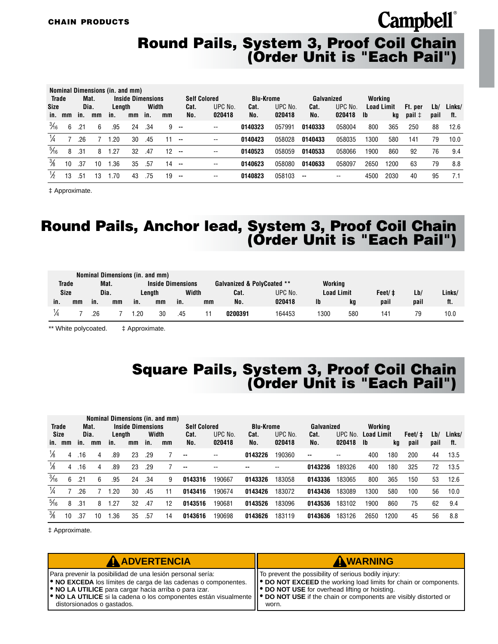#### **Round Pails, System 3, Proof Coil Chain (Order Unit is "Each Pail")**

|                |    |      |      | Nominal Dimensions (in. and mm) |                          |       |                 |        |                          |                  |         |            |         |                   |      |                 |      |        |
|----------------|----|------|------|---------------------------------|--------------------------|-------|-----------------|--------|--------------------------|------------------|---------|------------|---------|-------------------|------|-----------------|------|--------|
| <b>Trade</b>   |    |      | Mat. |                                 | <b>Inside Dimensions</b> |       |                 |        | <b>Self Colored</b>      | <b>Blu-Krome</b> |         | Galvanized |         | Working           |      |                 |      |        |
| <b>Size</b>    |    | Dia. |      | Length                          |                          | Width |                 | Cat.   | UPC No.                  | Cat.             | UPC No. | Cat.       | UPC No. | <b>Load Limit</b> |      | Ft. per         | Lb/  | Links/ |
| in.            | mm | in.  | mm   | in.                             | mm                       | in.   | mm              | No.    | 020418                   | No.              | 020418  | No.        | 020418  | Ib                | kq   | $pail \uparrow$ | pail | ft.    |
| $\frac{3}{16}$ | 6  | .21  | 6    | .95                             | 24                       | .34   |                 | $9 -$  | $\overline{\phantom{a}}$ | 0140323          | 057991  | 0140333    | 058004  | 800               | 365  | 250             | 88   | 12.6   |
|                |    | .26  |      | .20                             | 30                       | .45   | 11              | $\sim$ | $\overline{\phantom{a}}$ | 0140423          | 058028  | 0140433    | 058035  | 1300              | 580  | 141             | 79   | 10.0   |
| $\frac{5}{16}$ | 8  | .31  | 8    | 1.27                            | 32                       | .47   | 12 <sup>2</sup> | $\sim$ | $\overline{\phantom{a}}$ | 0140523          | 058059  | 0140533    | 058066  | 1900              | 860  | 92              | 76   | 9.4    |
| $\frac{3}{8}$  | 10 | .37  | 10   | . 36                            | 35                       | .57   | $14 -$          |        | $\overline{\phantom{a}}$ | 0140623          | 058080  | 0140633    | 058097  | 2650              | 1200 | 63              | 79   | 8.8    |
| ℅              | 13 | .51  | 13   | 70، ،                           | 43                       | .75   | 19              | $\sim$ | $\overline{\phantom{a}}$ | 0140823          | 058103  | --         | --      | 4500              | 2030 | 40              | 95   | 7.1    |

‡ Approximate.

#### **Round Pails, Anchor lead, System 3, Proof Coil Chain (Order Unit is "Each Pail")**

|              |    |     |      |     | Nominal Dimensions (in. and mm) |                          |    |                            |         |                   |     |        |      |        |
|--------------|----|-----|------|-----|---------------------------------|--------------------------|----|----------------------------|---------|-------------------|-----|--------|------|--------|
| <b>Trade</b> |    |     | Mat. |     |                                 | <b>Inside Dimensions</b> |    | Galvanized & PolyCoated ** |         | Working           |     |        |      |        |
| Size         |    |     | Dia. |     | Lenath                          | Width                    |    | Cat.                       | UPC No. | <b>Load Limit</b> |     | Feet/‡ | Lb/  | Links/ |
| in.          | mm | in. | mm   | in. | mm                              | in.                      | mm | No.                        | 020418  | lb                | kg  | pail   | pail | ft.    |
|              |    | .26 |      | .20 | 30                              | .45                      |    | 0200391                    | 164453  | 1300              | 580 | 141    |      | 10.0   |

\*\* White polycoated.  $\qquad$   $\ddagger$  Approximate.

#### **Square Pails, System 3, Proof Coil Chain (Order Unit is "Each Pail")**

| <b>Trade</b>   |        |             | Mat. |               | <b>Inside Dimensions</b> |              | Nominal Dimensions (in. and mm) | <b>Self Colored</b> |                   | <b>Blu-Krome</b> |                   | Galvanized    |                   | Working                  |      |                |             |               |
|----------------|--------|-------------|------|---------------|--------------------------|--------------|---------------------------------|---------------------|-------------------|------------------|-------------------|---------------|-------------------|--------------------------|------|----------------|-------------|---------------|
| Size           | in. mm | Dia.<br>in. | mm   | Length<br>in. | mm                       | Width<br>in. | mm                              | Cat.<br>No.         | UPC No.<br>020418 | Cat.<br>No.      | UPC No.<br>020418 | Cat.<br>No.   | UPC No.<br>020418 | <b>Load Limit</b><br>-lb | kg   | Feet/‡<br>pail | Lb/<br>pail | Links/<br>ft. |
| ⅓              | 4      | .16         | 4    | .89           | 23                       | .29          |                                 | $\sim$              | --                | 0143226          | 190360            | $\sim$ $\sim$ | --                | 400                      | 180  | 200            | 44          | 13.5          |
| $\frac{1}{8}$  | 4      | .16         | 4    | .89           | 23                       | .29          |                                 | $\sim$              | --                | --               | --                | 0143236       | 189326            | 400                      | 180  | 325            | 72          | 13.5          |
| $\frac{3}{16}$ | 6      | .21         | 6    | .95           | 24                       | .34          | 9                               | 0143316             | 190667            | 0143326          | 183058            | 0143336       | 183065            | 800                      | 365  | 150            | 53          | 12.6          |
| $\frac{1}{4}$  |        | .26         |      | .20           | 30                       | .45          | 11                              | 0143416             | 190674            | 0143426          | 183072            | 0143436       | 183089            | 1300                     | 580  | 100            | 56          | 10.0          |
| $\frac{5}{16}$ | 8      | .31         | 8    | .27           | 32                       | .47          | 12                              | 0143516             | 190681            | 0143526          | 183096            | 0143536       | 183102            | 1900                     | 860  | 75             | 62          | 9.4           |
| $\frac{3}{8}$  | 10     | .37         | 10   | .36           | 35                       | .57          | 14                              | 0143616             | 190698            | 0143626          | 183119            | 0143636       | 183126            | 2650                     | 1200 | 45             | 56          | 8.8           |

‡ Approximate.

| <b>A ADVERTENCIA</b>                                                                                                                                                                                                                                                                                                                                                             | AWARNING                                                                                                                                                                                                 |
|----------------------------------------------------------------------------------------------------------------------------------------------------------------------------------------------------------------------------------------------------------------------------------------------------------------------------------------------------------------------------------|----------------------------------------------------------------------------------------------------------------------------------------------------------------------------------------------------------|
| Para prevenir la posibilidad de una lesión personal sería:<br><b>. NO EXCEDA</b> los límites de carga de las cadenas o componentes.<br><b>.</b> NO LA UTILICE para cargar hacia arriba o para izar.<br><b> ● NO LA UTILICE</b> si la cadena o los componentes están visualmente   ● DO NOT USE if the chain or components are visibly distorted or<br>distorsionados o gastados. | To prevent the possibility of serious bodily injury:<br>   <sup>●</sup> DO NOT EXCEED the working load limits for chain or components.<br><b>P</b> DO NOT USE for overhead lifting or hoisting.<br>worn. |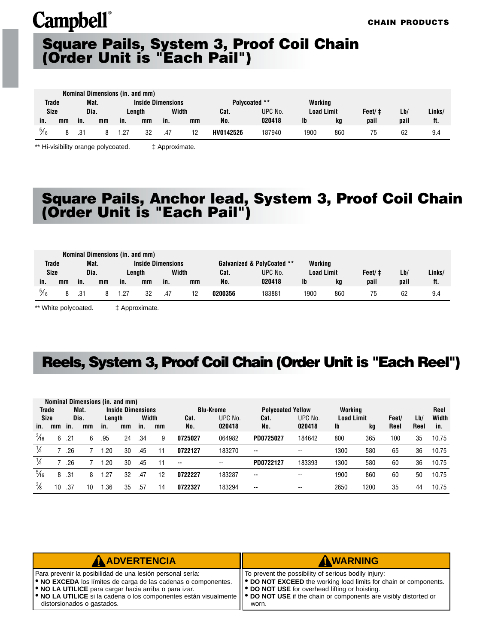#### **Square Pails, System 3, Proof Coil Chain (Order Unit is "Each Pail")**

|                |             |     |      |      | Nominal Dimensions (in. and mm) |     |       |               |         |                   |     |         |      |        |
|----------------|-------------|-----|------|------|---------------------------------|-----|-------|---------------|---------|-------------------|-----|---------|------|--------|
| <b>Trade</b>   |             |     | Mat. |      | <b>Inside Dimensions</b>        |     |       | Polycoated ** |         | Working           |     |         |      |        |
|                | <b>Size</b> |     | Dia. |      | Lenath                          |     | Width | Cat.          | UPC No. | <b>Load Limit</b> |     | Feet/ ‡ | Lb/  | Links/ |
| in.            | mm          | in. | mm   | in.  | mm                              | in. | mm    | No.           | 020418  | Ib                | ka  | pail    | pail | ft.    |
| $\frac{5}{16}$ |             | .31 |      | 1.27 | 32                              | .47 |       | HV0142526     | 187940  | 1900              | 860 |         | 62   | 9.4    |

\*\* Hi-visibility orange polycoated.  $\qquad \qquad \qquad \qquad \pm$  Approximate.

#### **Square Pails, Anchor lead, System 3, Proof Coil Chain (Order Unit is "Each Pail")**

|                |    |      | Nominal Dimensions (in. and mm) |      |                          |     |       |         |                            |                   |     |        |      |        |
|----------------|----|------|---------------------------------|------|--------------------------|-----|-------|---------|----------------------------|-------------------|-----|--------|------|--------|
| <b>Trade</b>   |    |      | Mat.                            |      | <b>Inside Dimensions</b> |     |       |         | Galvanized & PolyCoated ** | Working           |     |        |      |        |
| <b>Size</b>    |    | Dia. |                                 |      | Lenath                   |     | Width | Cat.    | UPC No.                    | <b>Load Limit</b> |     | Feet/‡ | Lb/  | Links/ |
| in.            | mm | in.  | mm                              | in.  | mm                       | in. | mm    | No.     | 020418                     | Ib                | ka  | pail   | pail | ft.    |
| $\frac{5}{16}$ |    | .31  |                                 | 1.27 | 32                       | .47 |       | 0200356 | 183881                     | 1900              | 860 |        | 62   | 9.4    |

\*\* White polycoated.  $\qquad \qquad \qquad \pm$  Approximate.

#### **Reels, System 3, Proof Coil Chain (Order Unit is "Each Reel")**

|                |    |     |      | Nominal Dimensions (in. and mm) |                          |       |    |               |                  |                          |         |                   |      |       |      |       |
|----------------|----|-----|------|---------------------------------|--------------------------|-------|----|---------------|------------------|--------------------------|---------|-------------------|------|-------|------|-------|
| <b>Trade</b>   |    |     | Mat. |                                 | <b>Inside Dimensions</b> |       |    |               | <b>Blu-Krome</b> | <b>Polycoated Yellow</b> |         | Working           |      |       |      | Reel  |
| Size           |    |     | Dia. | Length                          |                          | Width |    | Cat.          | UPC No.          | Cat.                     | UPC No. | <b>Load Limit</b> |      | Feet/ | Lb/  | Width |
| in.            | mm | in. | mm   | in.                             | mm                       | in.   | mm | No.           | 020418           | No.                      | 020418  | <b>Ib</b>         | kg   | Reel  | Reel | in.   |
| $\frac{3}{16}$ | 6  | .21 | 6    | .95                             | 24                       | .34   | 9  | 0725027       | 064982           | PD0725027                | 184642  | 800               | 365  | 100   | 35   | 10.75 |
| $\frac{1}{4}$  |    | .26 |      | .20                             | 30                       | .45   | 11 | 0722127       | 183270           | $- -$                    | --      | 1300              | 580  | 65    | 36   | 10.75 |
| $\frac{1}{4}$  |    | .26 |      | .20                             | 30                       | .45   | 11 | $\sim$ $\sim$ | $- -$            | PD0722127                | 183393  | 1300              | 580  | 60    | 36   | 10.75 |
| $\frac{5}{16}$ | 8  | .31 | 8    | .27                             | 32                       | .47   | 12 | 0722227       | 183287           | $\overline{\phantom{a}}$ | --      | 1900              | 860  | 60    | 50   | 10.75 |
| $\frac{3}{8}$  | 10 | .37 | 10   | .36                             | 35                       | .57   | 14 | 0722327       | 183294           | $\overline{\phantom{a}}$ | --      | 2650              | 1200 | 35    | 44   | 10.75 |

| <b>A ADVERTENCIA</b>                                                                                                                                                                                                                                                                                          | AWARNING                                                                                                                       |
|---------------------------------------------------------------------------------------------------------------------------------------------------------------------------------------------------------------------------------------------------------------------------------------------------------------|--------------------------------------------------------------------------------------------------------------------------------|
| Para prevenir la posibilidad de una lesión personal sería:                                                                                                                                                                                                                                                    | IT To prevent the possibility of serious bodily injury:                                                                        |
| <b>.</b> NO EXCEDA los límites de carga de las cadenas o componentes.<br><b>.</b> NO LA UTILICE para cargar hacia arriba o para izar.<br>  ● NO LA UTILICE si la cadena o los componentes están visualmente    ● DO NOT USE if the chain or components are visibly distorted or<br>distorsionados o gastados. | ● DO NOT EXCEED the working load limits for chain or components.<br>   ● DO NOT USE for overhead lifting or hoisting.<br>worn. |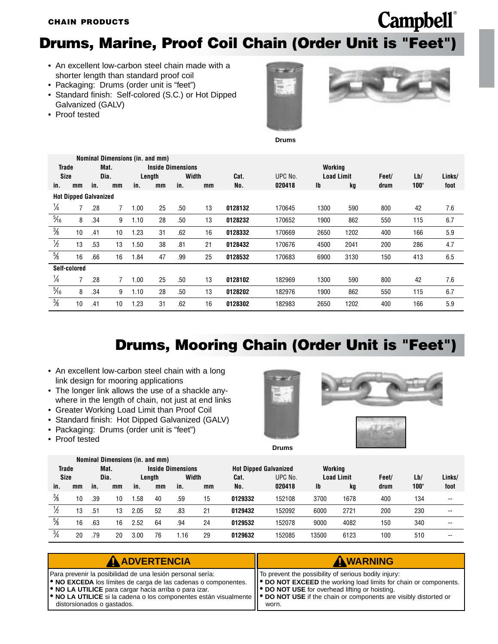#### <span id="page-7-0"></span>**Drums, Marine, Proof Coil Chain (Order Unit is "Feet")**

- An excellent low-carbon steel chain made with a shorter length than standard proof coil
- Packaging: Drums (order unit is "feet")
- Standard finish: Self-colored (S.C.) or Hot Dipped Galvanized (GALV)
- Proof tested





**Drums**

|                |                              |     |                |      | Nominal Dimensions (in. and mm) |       |    |         |         |                   |      |       |      |        |
|----------------|------------------------------|-----|----------------|------|---------------------------------|-------|----|---------|---------|-------------------|------|-------|------|--------|
| <b>Trade</b>   |                              |     | Mat.           |      | <b>Inside Dimensions</b>        |       |    |         |         | Working           |      |       |      |        |
| <b>Size</b>    |                              |     | Dia.           |      | Length                          | Width |    | Cat.    | UPC No. | <b>Load Limit</b> |      | Feet/ | Lb/  | Links/ |
| in.            | mm                           | in. | mm             | in.  | mm                              | in.   | mm | No.     | 020418  | Ib                | kq   | drum  | 100' | foot   |
|                | <b>Hot Dipped Galvanized</b> |     |                |      |                                 |       |    |         |         |                   |      |       |      |        |
| $\frac{1}{4}$  |                              | .28 | $\overline{7}$ | 1.00 | 25                              | .50   | 13 | 0128132 | 170645  | 1300              | 590  | 800   | 42   | 7.6    |
| $\frac{5}{16}$ | 8                            | .34 | 9              | 1.10 | 28                              | .50   | 13 | 0128232 | 170652  | 1900              | 862  | 550   | 115  | 6.7    |
| $\frac{3}{8}$  | 10                           | .41 | 10             | 1.23 | 31                              | .62   | 16 | 0128332 | 170669  | 2650              | 1202 | 400   | 166  | 5.9    |
| $\frac{1}{2}$  | 13                           | .53 | 13             | 1.50 | 38                              | .81   | 21 | 0128432 | 170676  | 4500              | 2041 | 200   | 286  | 4.7    |
| $\frac{5}{8}$  | 16                           | .66 | 16             | 1.84 | 47                              | .99   | 25 | 0128532 | 170683  | 6900              | 3130 | 150   | 413  | 6.5    |
|                | Self-colored                 |     |                |      |                                 |       |    |         |         |                   |      |       |      |        |
| $\frac{1}{4}$  |                              | .28 |                | 1.00 | 25                              | .50   | 13 | 0128102 | 182969  | 1300              | 590  | 800   | 42   | 7.6    |
| $\frac{5}{16}$ | 8                            | .34 | 9              | 1.10 | 28                              | .50   | 13 | 0128202 | 182976  | 1900              | 862  | 550   | 115  | 6.7    |
| $\frac{3}{8}$  | 10                           | .41 | 10             | 1.23 | 31                              | .62   | 16 | 0128302 | 182983  | 2650              | 1202 | 400   | 166  | 5.9    |

#### **Drums, Mooring Chain (Order Unit is "Feet")**

- An excellent low-carbon steel chain with a long link design for mooring applications
- The longer link allows the use of a shackle anywhere in the length of chain, not just at end links
- Greater Working Load Limit than Proof Coil
- Standard finish: Hot Dipped Galvanized (GALV)
- Packaging: Drums (order unit is "feet")
- Proof tested



**Drums**



|               |    |      |      | Nominal Dimensions (in. and mm) |        |                          |    |                              |         |         |                   |       |      |        |
|---------------|----|------|------|---------------------------------|--------|--------------------------|----|------------------------------|---------|---------|-------------------|-------|------|--------|
| <b>Trade</b>  |    |      | Mat. |                                 |        | <b>Inside Dimensions</b> |    | <b>Hot Dipped Galvanized</b> |         | Working |                   |       |      |        |
| <b>Size</b>   |    | Dia. |      |                                 | Length | Width                    |    | Cat.                         | UPC No. |         | <b>Load Limit</b> | Feet/ | Lb/  | Links/ |
| in.           | mm | in.  | mm   | in.                             | mm     | in.                      | mm | No.                          | 020418  | Ib      | kg                | drum  | 100' | foot   |
| $\frac{3}{8}$ | 10 | .39  | 10   | .58                             | 40     | .59                      | 15 | 0129332                      | 152108  | 3700    | 1678              | 400   | 134  | --     |
|               | 13 | .51  | 13   | 2.05                            | 52     | .83                      | 21 | 0129432                      | 152092  | 6000    | 2721              | 200   | 230  | --     |
| $\frac{5}{8}$ | 16 | .63  | 16   | 2.52                            | 64     | .94                      | 24 | 0129532                      | 152078  | 9000    | 4082              | 150   | 340  | $- -$  |
| $\frac{3}{4}$ | 20 | .79  | 20   | 3.00                            | 76     | .16،                     | 29 | 0129632                      | 152085  | 13500   | 6123              | 100   | 510  | --     |

| AADVERTENCIA                                                                                                                                                                                                                                                                                                                                                                     | AWARNING                                                                                                                                                                                     |
|----------------------------------------------------------------------------------------------------------------------------------------------------------------------------------------------------------------------------------------------------------------------------------------------------------------------------------------------------------------------------------|----------------------------------------------------------------------------------------------------------------------------------------------------------------------------------------------|
| Para prevenir la posibilidad de una lesión personal sería:<br><b>. NO EXCEDA</b> los límites de carga de las cadenas o componentes.<br><b>ORIGIO NO LA UTILICE</b> para cargar hacia arriba o para izar.<br>  ● NO LA UTILICE si la cadena o los componentes están visualmente    ● DO NOT USE if the chain or components are visibly distorted or<br>distorsionados o gastados. | To prevent the possibility of serious bodily injury:<br>  ● DO NOT EXCEED the working load limits for chain or components.<br><b>P</b> DO NOT USE for overhead lifting or hoisting.<br>worn. |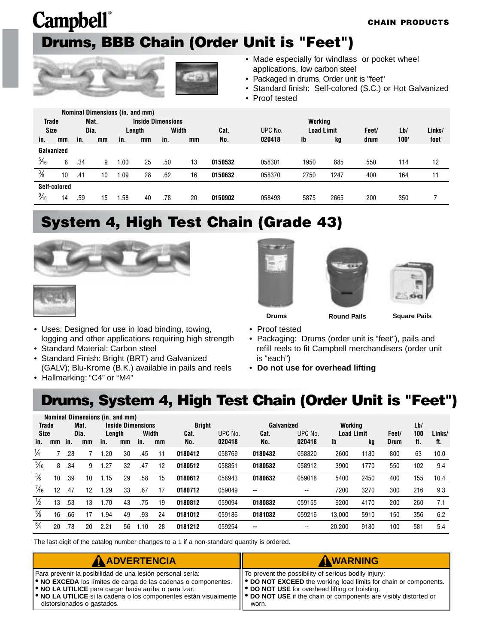### <span id="page-8-0"></span>**Campbell**® **Drums, BBB Chain (Order Unit is "Feet")**



- Made especially for windlass or pocket wheel applications, low carbon steel
- Packaged in drums, Order unit is "feet"
- Standard finish: Self-colored (S.C.) or Hot Galvanized
- Proof tested

|                |    |      |      |                   | Nominal Dimensions (in. and mm) |       |    |         |         |                   |      |       |      |        |
|----------------|----|------|------|-------------------|---------------------------------|-------|----|---------|---------|-------------------|------|-------|------|--------|
| <b>Trade</b>   |    |      | Mat. |                   | <b>Inside Dimensions</b>        |       |    |         |         | Working           |      |       |      |        |
| <b>Size</b>    |    | Dia. |      |                   | Length                          | Width |    | Cat.    | UPC No. | <b>Load Limit</b> |      | Feet/ | Lb/  | Links/ |
| in.            | mm | in.  | mm   | in.               | mm                              | in.   | mm | No.     | 020418  | Ib                | kg   | drum  | 100' | foot   |
| Galvanized     |    |      |      |                   |                                 |       |    |         |         |                   |      |       |      |        |
| $\frac{5}{16}$ | 8  | .34  | 9    | $\overline{0.00}$ | 25                              | .50   | 13 | 0150532 | 058301  | 1950              | 885  | 550   | 114  | 12     |
| $\frac{3}{8}$  | 10 | .41  | 10   | .09               | 28                              | .62   | 16 | 0150632 | 058370  | 2750              | 1247 | 400   | 164  | 11     |
| Self-colored   |    |      |      |                   |                                 |       |    |         |         |                   |      |       |      |        |
| $\frac{9}{16}$ | 14 | .59  | 15   | .58               | 40                              | .78   | 20 | 0150902 | 058493  | 5875              | 2665 | 200   | 350  |        |

#### **System 4, High Test Chain (Grade 43)**





- Uses: Designed for use in load binding, towing, logging and other applications requiring high strength
- Standard Material: Carbon steel
- Standard Finish: Bright (BRT) and Galvanized (GALV); Blu-Krome (B.K.) available in pails and reels
- Hallmarking: "C4" or "M4"







**Drums Round Pails Square Pails**

- Proof tested
- Packaging: Drums (order unit is "feet"), pails and refill reels to fit Campbell merchandisers (order unit is "each")
- **Do not use for overhead lifting**

#### **Drums, System 4, High Test Chain (Order Unit is "Feet")**

|                |    |     |      |        |    | <b>Nominal Dimensions (in. and mm)</b><br><b>Inside Dimensions</b> |    |               |         |            |         |                   |      |       |     |        |  |  |  |  |
|----------------|----|-----|------|--------|----|--------------------------------------------------------------------|----|---------------|---------|------------|---------|-------------------|------|-------|-----|--------|--|--|--|--|
| <b>Trade</b>   |    |     | Mat. |        |    |                                                                    |    | <b>Bright</b> |         | Galvanized |         | Workina           |      |       | Lb/ |        |  |  |  |  |
| Size           |    |     | Dia. | Length |    | Width                                                              |    | Cat.          | UPC No. | Cat.       | UPC No. | <b>Load Limit</b> |      | Feet/ | 100 | Links/ |  |  |  |  |
| in.            | mm | in. | mm   | in.    | mm | in.                                                                | mm | No.           | 020418  | No.        | 020418  | Ib                | kg   | Drum  | ft. | ft.    |  |  |  |  |
| $\frac{1}{4}$  |    | .28 |      | .20    | 30 | .45                                                                | 11 | 0180412       | 058769  | 0180432    | 058820  | 2600              | 1180 | 800   | 63  | 10.0   |  |  |  |  |
| $\frac{5}{16}$ | 8  | .34 | 9    | .27    | 32 | .47                                                                | 12 | 0180512       | 058851  | 0180532    | 058912  | 3900              | 1770 | 550   | 102 | 9.4    |  |  |  |  |
| $\frac{3}{8}$  | 10 | .39 | 10   | 1.15   | 29 | .58                                                                | 15 | 0180612       | 058943  | 0180632    | 059018  | 5400              | 2450 | 400   | 155 | 10.4   |  |  |  |  |
| $\frac{7}{16}$ | 12 | .47 | 12   | .29    | 33 | .67                                                                | 17 | 0180712       | 059049  | --         | --      | 7200              | 3270 | 300   | 216 | 9.3    |  |  |  |  |
| $\frac{1}{2}$  | 13 | .53 | 13   | .70    | 43 | .75                                                                | 19 | 0180812       | 059094  | 0180832    | 059155  | 9200              | 4170 | 200   | 260 | 7.1    |  |  |  |  |
| $\frac{5}{8}$  | 16 | .66 | 17   | .94    | 49 | .93                                                                | 24 | 0181012       | 059186  | 0181032    | 059216  | 13.000            | 5910 | 150   | 356 | 6.2    |  |  |  |  |
| $\frac{3}{4}$  | 20 | .78 | 20   | 2.21   | 56 | .10                                                                | 28 | 0181212       | 059254  | --         | --      | 20.200            | 9180 | 100   | 581 | 5.4    |  |  |  |  |

The last digit of the catalog number changes to a 1 if a non-standard quantity is ordered.

| <b>A ADVERTENCIA</b>                                                                                                                                                                                                                                                                                                                                                                   | AWARNING                                                                                                                                                                                 |
|----------------------------------------------------------------------------------------------------------------------------------------------------------------------------------------------------------------------------------------------------------------------------------------------------------------------------------------------------------------------------------------|------------------------------------------------------------------------------------------------------------------------------------------------------------------------------------------|
| Para prevenir la posibilidad de una lesión personal sería:<br><b>. NO EXCEDA</b> los límites de carga de las cadenas o componentes.<br><b>.</b> NO LA UTILICE para cargar hacia arriba o para izar.<br>$\bullet$ NO LA UTILICE si la cadena o los componentes están visualmente $\bullet$ DO NOT USE if the chain or components are visibly distorted or<br>distorsionados o gastados. | To prevent the possibility of serious bodily injury:<br>  ● DO NOT EXCEED the working load limits for chain or components.<br>   ● DO NOT USE for overhead lifting or hoisting.<br>worn. |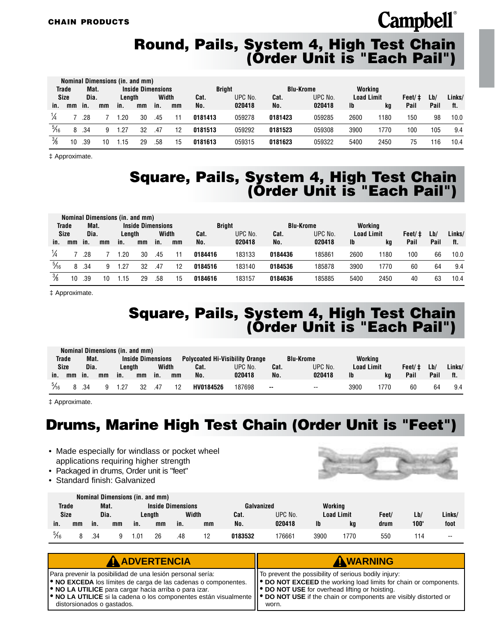#### **Round, Pails, System 4, High Test Chain (Order Unit is "Each Pail")**

|                | Nominal Dimensions (in. and mm) |      |    |        |                          |       |    |               |         |         |                  |                   |      |        |      |        |
|----------------|---------------------------------|------|----|--------|--------------------------|-------|----|---------------|---------|---------|------------------|-------------------|------|--------|------|--------|
|                | <b>Trade</b>                    | Mat. |    |        | <b>Inside Dimensions</b> |       |    | <b>Bright</b> |         |         | <b>Blu-Krome</b> | Working           |      |        |      |        |
|                | <b>Size</b>                     | Dia. |    | Lenath |                          | Width |    | Cat.          | UPC No. | Cat.    | UPC No.          | <b>Load Limit</b> |      | Feet/‡ | Lb/  | Links/ |
| in.            | mm                              | in.  | mm | in.    | mm                       | in.   | mm | No.           | 020418  | No.     | 020418           | <b>Ib</b>         | kq   | Pail   | Pail | ft.    |
|                |                                 | .28  |    | .20    | 30                       | .45   |    | 0181413       | 059278  | 0181423 | 059285           | 2600              | 1180 | 150    | 98   | 10.0   |
| $\frac{5}{16}$ | 8                               | .34  | 9  | 1.27   | 32                       | .47   | 12 | 0181513       | 059292  | 0181523 | 059308           | 3900              | 1770 | 100    | 105  | 9.4    |
| $\frac{3}{8}$  | 10                              | .39  |    | .15    | 29                       | .58   | 15 | 0181613       | 059315  | 0181623 | 059322           | 5400              | 2450 | 75     | 116  | 10.4   |

‡ Approximate.

#### **Square, Pails, System 4, High Test Chain (Order Unit is "Each Pail")**

|                |                     |      |    | Nominal Dimensions (in. and mm) |                          |     |       |               |         |                  |         |                   |      |        |      |        |
|----------------|---------------------|------|----|---------------------------------|--------------------------|-----|-------|---------------|---------|------------------|---------|-------------------|------|--------|------|--------|
|                | <b>Trade</b>        | Mat. |    |                                 | <b>Inside Dimensions</b> |     |       | <b>Bright</b> |         | <b>Blu-Krome</b> |         | Working           |      |        |      |        |
|                | <b>Size</b><br>Dia. |      |    | Lenath                          |                          |     | Width | Cat.          | UPC No. | Cat.             | UPC No. | <b>Load Limit</b> |      | Feet/‡ | Lb/  | Links/ |
| in.            | mm                  | in.  | mm | in.                             | mm                       | in. | mm    | No.           | 020418  | No.              | 020418  | <b>Ib</b>         | kq   | Pail   | Pail | ft.    |
|                |                     | .28  |    | .20                             | 30                       | .45 |       | 0184416       | 183133  | 0184436          | 185861  | 2600              | 180  | 100    | 66   | 10.0   |
| $\frac{5}{16}$ | 8                   | .34  | 9  | .27                             | 32                       | .47 | 12    | 0184516       | 183140  | 0184536          | 185878  | 3900              | 1770 | 60     | 64   | 9.4    |
| $\frac{3}{8}$  | 10                  | .39  | 10 | .15                             | 29                       | .58 | 15    | 0184616       | 183157  | 0184636          | 185885  | 5400              | 2450 | 40     | 63   | 10.4   |

‡ Approximate.

#### **Square, Pails, System 4, High Test Chain (Order Unit is "Each Pail")**

|                                           |              |     |    | Nominal Dimensions (in. and mm) |    |                                        |                 |           |                  |         |                   |      |        |      |        |     |
|-------------------------------------------|--------------|-----|----|---------------------------------|----|----------------------------------------|-----------------|-----------|------------------|---------|-------------------|------|--------|------|--------|-----|
| <b>Inside Dimensions</b><br>Trade<br>Mat. |              |     |    |                                 |    | <b>Polycoated Hi-Visibility Orange</b> |                 |           | <b>Blu-Krome</b> | Workina |                   |      |        |      |        |     |
|                                           | Size<br>Dia. |     |    | Width<br>Lenath                 |    |                                        | UPC No.<br>Cat. |           | Cat.             | UPC No. | <b>Load Limit</b> |      | Feet/‡ | Lb/  | Links/ |     |
| in.                                       | mm           | in. | mm | in.                             | mm | in.                                    | mm              | No.       | 020418           | No.     | 020418            | Ib   | ka     | Pail | Pail   | ft. |
| $\frac{5}{16}$                            |              | 34  |    | 1.27                            | 32 | 47                                     | 12              | HV0184526 | 187698           | $\sim$  | --                | 3900 | 770    | 60   | 64     | 9.4 |

‡ Approximate.

#### **Drums, Marine High Test Chain (Order Unit is "Feet")**

- Made especially for windlass or pocket wheel applications requiring higher strength
- Packaged in drums, Order unit is "feet"
- Standard finish: Galvanized



|                |      |     |      |        | Nominal Dimensions (in. and mm) |                          |    |            |         |                   |     |       |      |                          |
|----------------|------|-----|------|--------|---------------------------------|--------------------------|----|------------|---------|-------------------|-----|-------|------|--------------------------|
| <b>Trade</b>   |      |     | Mat. |        |                                 | <b>Inside Dimensions</b> |    | Galvanized |         | Working           |     |       |      |                          |
| <b>Size</b>    | Dia. |     |      | Lenath |                                 | Width                    |    | Cat.       | UPC No. | <b>Load Limit</b> |     | Feet/ | Lb/  | Links/                   |
| in.            | mm   | in. | mm   | in.    | mm                              | in.                      | mm | No.        | 020418  | Ib                | ka  | drum  | 100' | foot                     |
| $\frac{5}{16}$ |      | .34 |      | 01. ا  | 26                              | .48                      |    | 0183532    | 76661   | 3900              | 770 | 550   | 114  | $\overline{\phantom{a}}$ |

| AADVERTENCIA                                                                                                                                                                                                                                                                                                                                                              | AWARNING                                                                                                                                                                                              |
|---------------------------------------------------------------------------------------------------------------------------------------------------------------------------------------------------------------------------------------------------------------------------------------------------------------------------------------------------------------------------|-------------------------------------------------------------------------------------------------------------------------------------------------------------------------------------------------------|
| Para prevenir la posibilidad de una lesión personal sería:<br><b>.</b> NO EXCEDA los límites de carga de las cadenas o componentes.<br><b>.</b> NO LA UTILICE para cargar hacia arriba o para izar.<br>• NO LA UTILICE si la cadena o los componentes están visualmente    • DO NOT USE if the chain or components are visibly distorted or<br>distorsionados o gastados. | I To prevent the possibility of serious bodily injury:<br>  ● DO NOT EXCEED the working load limits for chain or components.<br>   <sup>●</sup> DO NOT USE for overhead lifting or hoisting.<br>worn. |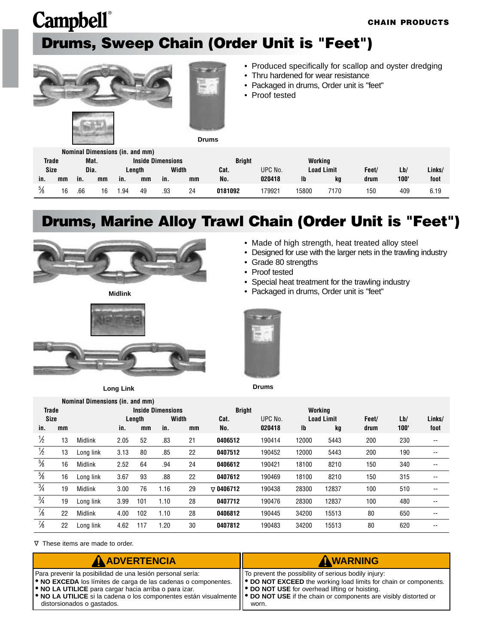### **Drums, Sweep Chain (Order Unit is "Feet")**





• Produced specifically for scallop and oyster dredging

• Made of high strength, heat treated alloy steel

• Designed for use with the larger nets in the trawling industry

- Thru hardened for wear resistance
- Packaged in drums, Order unit is "feet"
- Proof tested

|               |    |      |    | Nominal Dimensions (in. and mm) |    |                          |    |               |         |         |                   |      |      |        |
|---------------|----|------|----|---------------------------------|----|--------------------------|----|---------------|---------|---------|-------------------|------|------|--------|
| Trade         |    | Mat. |    |                                 |    | <b>Inside Dimensions</b> |    | <b>Bright</b> |         | Working |                   |      |      |        |
| <b>Size</b>   |    | Dia. |    | Lenath                          |    | Width                    |    | Cat.          | UPC No. |         | <b>Load Limit</b> |      | Lb/  | Links/ |
| in.           | mm | in.  | mm | in.                             | mm | in.                      | mm | No.           | 020418  | lb      | ka                | drum | 100' | foot   |
| $\frac{5}{8}$ | 16 | .66  | 16 | .94                             | 49 | .93                      | 24 | 0181092       | 179921  | 15800   | 7170              | 150  | 409  | 6.19   |

#### **Drums, Marine Alloy Trawl Chain (Order Unit is "Feet")**



**Midlink**



**Long Link**



• Grade 80 strengths



**Drums**

|               | Nominal Dimensions (in. and mm) |                |      |        |                          |       |                  |         |                           |                   |       |      |        |  |
|---------------|---------------------------------|----------------|------|--------|--------------------------|-------|------------------|---------|---------------------------|-------------------|-------|------|--------|--|
| <b>Trade</b>  |                                 |                |      |        | <b>Inside Dimensions</b> |       | <b>Bright</b>    |         |                           | Working           |       |      |        |  |
| <b>Size</b>   |                                 |                |      | Length |                          | Width | Cat.             | UPC No. |                           | <b>Load Limit</b> | Feet/ | Lb/  | Links/ |  |
| in.           | mm                              |                | in.  | mm     | in.                      | mm    | No.              | 020418  | $\mathsf{I}^{\mathsf{b}}$ | kg                | drum  | 100' | foot   |  |
| $\frac{1}{2}$ | 13                              | <b>Midlink</b> | 2.05 | 52     | .83                      | 21    | 0406512          | 190414  | 12000                     | 5443              | 200   | 230  | --     |  |
| $\frac{1}{2}$ | 13                              | Long link      | 3.13 | 80     | .85                      | 22    | 0407512          | 190452  | 12000                     | 5443              | 200   | 190  | $- -$  |  |
| $\frac{5}{8}$ | 16                              | <b>Midlink</b> | 2.52 | 64     | .94                      | 24    | 0406612          | 190421  | 18100                     | 8210              | 150   | 340  | $- -$  |  |
| $\frac{5}{8}$ | 16                              | Long link      | 3.67 | 93     | .88                      | 22    | 0407612          | 190469  | 18100                     | 8210              | 150   | 315  | --     |  |
| $\frac{3}{4}$ | 19                              | Midlink        | 3.00 | 76     | 1.16                     | 29    | $\nabla$ 0406712 | 190438  | 28300                     | 12837             | 100   | 510  | --     |  |
| $\frac{3}{4}$ | 19                              | Long link      | 3.99 | 101    | 1.10                     | 28    | 0407712          | 190476  | 28300                     | 12837             | 100   | 480  | $- -$  |  |
| $\frac{7}{8}$ | 22                              | <b>Midlink</b> | 4.00 | 102    | 1.10                     | 28    | 0406812          | 190445  | 34200                     | 15513             | 80    | 650  | --     |  |
| $\frac{7}{8}$ | 22                              | Long link      | 4.62 | 117    | 1.20                     | 30    | 0407812          | 190483  | 34200                     | 15513             | 80    | 620  | --     |  |

These items are made to order. <sup>∆</sup>

| <b>A ADVERTENCIA</b>                                                                                                                                                                                                                                                                                                                                                      | AWARNING                                                                                                                                                                                    |
|---------------------------------------------------------------------------------------------------------------------------------------------------------------------------------------------------------------------------------------------------------------------------------------------------------------------------------------------------------------------------|---------------------------------------------------------------------------------------------------------------------------------------------------------------------------------------------|
| Para prevenir la posibilidad de una lesión personal sería:<br><b>. NO EXCEDA</b> los límites de carga de las cadenas o componentes.<br><b>.</b> NO LA UTILICE para cargar hacia arriba o para izar.<br>• NO LA UTILICE si la cadena o los componentes están visualmente    • DO NOT USE if the chain or components are visibly distorted or<br>distorsionados o gastados. | IT To prevent the possibility of serious bodily injury:<br>   ● DO NOT EXCEED the working load limits for chain or components.<br>  ● DO NOT USE for overhead lifting or hoisting.<br>worn. |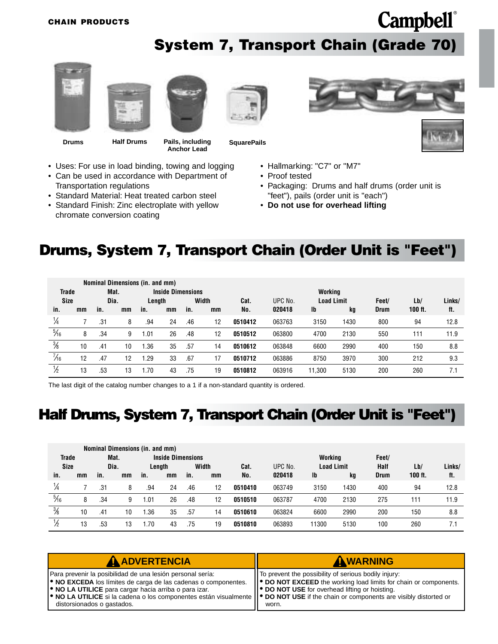**System 7, Transport Chain (Grade 70)**

<span id="page-11-0"></span>



Transportation regulations

chromate conversion coating

• Uses: For use in load binding, towing and logging • Can be used in accordance with Department of

• Standard Material: Heat treated carbon steel • Standard Finish: Zinc electroplate with yellow

**Drums Half Drums Pails, including** 

**Anchor Lead**



- Hallmarking: "C7" or "M7"
	- Proof tested
	- Packaging: Drums and half drums (order unit is "feet"), pails (order unit is "each")
	- **Do not use for overhead lifting**

#### **Drums, System 7, Transport Chain (Order Unit is "Feet")**

|                |    |     | Nominal Dimensions (in. and mm) |        |                          |       |    |         |         |                           |      |             |         |        |
|----------------|----|-----|---------------------------------|--------|--------------------------|-------|----|---------|---------|---------------------------|------|-------------|---------|--------|
| Trade          |    |     | Mat.                            |        | <b>Inside Dimensions</b> |       |    |         |         | Workina                   |      |             |         |        |
| <b>Size</b>    |    |     | Dia.                            | Length |                          | Width |    | Cat.    | UPC No. | <b>Load Limit</b>         |      | Feet/       | Lb/     | Links/ |
| in.            | mm | in. | mm                              | in.    | mm                       | in.   | mm | No.     | 020418  | $\mathsf{I}^{\mathsf{b}}$ | kg   | <b>Drum</b> | 100 ft. | ft.    |
| $\frac{1}{4}$  |    | .31 | 8                               | .94    | 24                       | .46   | 12 | 0510412 | 063763  | 3150                      | 1430 | 800         | 94      | 12.8   |
| $\frac{5}{16}$ | 8  | .34 | 9                               | 01.ا   | 26                       | .48   | 12 | 0510512 | 063800  | 4700                      | 2130 | 550         | 111     | 11.9   |
| $\frac{3}{8}$  | 10 | .41 | 10                              | .36    | 35                       | .57   | 14 | 0510612 | 063848  | 6600                      | 2990 | 400         | 150     | 8.8    |
| $\frac{7}{16}$ | 12 | .47 | 12                              | .29    | 33                       | .67   | 17 | 0510712 | 063886  | 8750                      | 3970 | 300         | 212     | 9.3    |
| 1∕2            | 13 | .53 | 13                              | 1.70   | 43                       | .75   | 19 | 0510812 | 063916  | 11.300                    | 5130 | 200         | 260     |        |

The last digit of the catalog number changes to a 1 if a non-standard quantity is ordered.

#### **Half Drums, System 7, Transport Chain (Order Unit is "Feet")**

|                |    |     | Nominal Dimensions (in. and mm) |       |                          |       |    |         |         |                   |      |             |           |        |
|----------------|----|-----|---------------------------------|-------|--------------------------|-------|----|---------|---------|-------------------|------|-------------|-----------|--------|
| <b>Trade</b>   |    |     | Mat.                            |       | <b>Inside Dimensions</b> |       |    |         |         | Working           |      | Feet/       |           |        |
| <b>Size</b>    |    |     | Dia.                            |       | Length                   | Width |    | Cat.    | UPC No. | <b>Load Limit</b> |      | Half        | Lb/       | Links/ |
| in.            | mm | in. | mm                              | in.   | mm                       | in.   | mm | No.     | 020418  | Ib                | kg   | <b>Drum</b> | $100$ ft. | ft.    |
| 1/4            |    | .31 | 8                               | .94   | 24                       | .46   | 12 | 0510410 | 063749  | 3150              | 1430 | 400         | 94        | 12.8   |
| $\frac{5}{16}$ | 8  | .34 | 9                               | 01. ، | 26                       | .48   | 12 | 0510510 | 063787  | 4700              | 2130 | 275         | 111       | 11.9   |
| $\frac{3}{8}$  | 10 | .41 | 10                              | .36   | 35                       | .57   | 14 | 0510610 | 063824  | 6600              | 2990 | 200         | 150       | 8.8    |
|                | 13 | .53 | 13                              | .70   | 43                       | .75   | 19 | 0510810 | 063893  | 11300             | 5130 | 100         | 260       |        |

| <b>A ADVERTENCIA</b>                                                                                                                                                                                                                                                                                                                                                                   | AWARNING                                                                                                                                                                                                 |
|----------------------------------------------------------------------------------------------------------------------------------------------------------------------------------------------------------------------------------------------------------------------------------------------------------------------------------------------------------------------------------------|----------------------------------------------------------------------------------------------------------------------------------------------------------------------------------------------------------|
| Para prevenir la posibilidad de una lesión personal sería:<br><b>. NO EXCEDA</b> los límites de carga de las cadenas o componentes.<br><b>.</b> NO LA UTILICE para cargar hacia arriba o para izar.<br>$\bullet$ NO LA UTILICE si la cadena o los componentes están visualmente $\bullet$ DO NOT USE if the chain or components are visibly distorted or<br>distorsionados o gastados. | To prevent the possibility of serious bodily injury:<br>   <sup>●</sup> DO NOT EXCEED the working load limits for chain or components.<br><b>P</b> DO NOT USE for overhead lifting or hoisting.<br>worn. |



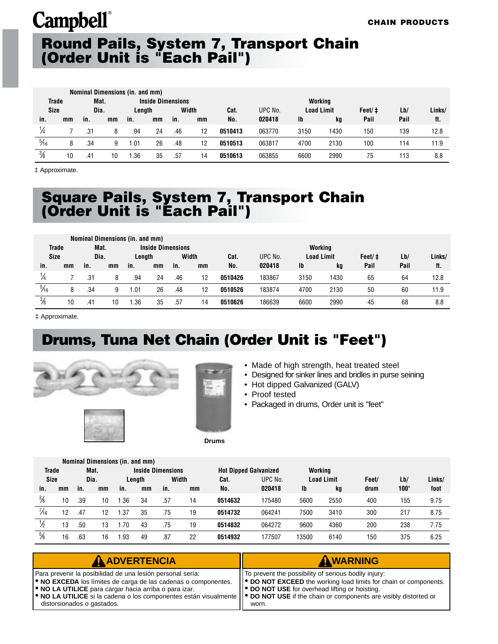#### <span id="page-12-0"></span>**Round Pails, System 7, Transport Chain (Order Unit is "Each Pail")**

|                |              |      |    | Nominal Dimensions (in. and mm) |                          |       |    |         |         |                   |         |        |      |        |
|----------------|--------------|------|----|---------------------------------|--------------------------|-------|----|---------|---------|-------------------|---------|--------|------|--------|
| <b>Trade</b>   |              | Mat. |    |                                 | <b>Inside Dimensions</b> |       |    |         |         |                   | Working |        |      |        |
|                | Size<br>Dia. |      |    | Length                          |                          | Width |    | Cat.    | UPC No. | <b>Load Limit</b> |         | Feet/‡ | Lb/  | Links/ |
| in.            | mm           | in.  | mm | in.                             | mm                       | in.   | mm | No.     | 020418  | Ib                | kg      | Pail   | Pail | ft.    |
| ¼              |              | .31  | 8  | .94                             | 24                       | .46   | 12 | 0510413 | 063770  | 3150              | 1430    | 150    | 139  | 12.8   |
| $\frac{5}{16}$ | 8            | .34  | 9  | .01                             | 26                       | .48   | 12 | 0510513 | 063817  | 4700              | 2130    | 100    | 114  | 11.9   |
| $\frac{3}{8}$  | 10           | .41  | 10 | .36                             | 35                       | .57   | 14 | 0510613 | 063855  | 6600              | 2990    | 75     | 113  | 8.8    |

‡ Approximate.

#### **Square Pails, System 7, Transport Chain (Order Unit is "Each Pail")**

|                |    |      |    | Nominal Dimensions (in. and mm) |                          |       |    |         |         |                   |         |        |      |        |
|----------------|----|------|----|---------------------------------|--------------------------|-------|----|---------|---------|-------------------|---------|--------|------|--------|
| <b>Trade</b>   |    | Mat. |    |                                 | <b>Inside Dimensions</b> |       |    |         |         |                   | Working |        |      |        |
| <b>Size</b>    |    | Dia. |    | Lenath                          |                          | Width |    | Cat.    | UPC No. | <b>Load Limit</b> |         | Feet/‡ | Lb/  | Links/ |
| in.            | mm | in.  | mm | in.                             | mm                       | in.   | mm | No.     | 020418  | Ib                | kg      | Pail   | Pail | ft.    |
| $\frac{1}{4}$  |    | .31  | 8  | .94                             | 24                       | .46   | 12 | 0510426 | 183867  | 3150              | 1430    | 65     | 64   | 12.8   |
| $\frac{5}{16}$ | 8  | .34  | 9  | .01                             | 26                       | .48   | 12 | 0510526 | 183874  | 4700              | 2130    | 50     | 60   | 11.9   |
| $\frac{3}{8}$  | 10 | .41  | 10 | .36                             | 35                       | .57   | 14 | 0510626 | 186639  | 6600              | 2990    | 45     | 68   | 8.8    |

‡ Approximate.

#### **Drums, Tuna Net Chain (Order Unit is "Feet")**



- Made of high strength, heat treated steel
- Designed for sinker lines and bridles in purse seining
- Hot dipped Galvanized (GALV)
- Proof tested
- Packaged in drums, Order unit is "feet"

**Drums**

|                |    |      |      | Nominal Dimensions (in. and mm) |        |                          |    |                              |         |         |                   |       |      |        |
|----------------|----|------|------|---------------------------------|--------|--------------------------|----|------------------------------|---------|---------|-------------------|-------|------|--------|
| <b>Trade</b>   |    |      | Mat. |                                 |        | <b>Inside Dimensions</b> |    | <b>Hot Dipped Galvanized</b> |         | Working |                   |       |      |        |
| Size           |    | Dia. |      |                                 | Length | Width                    |    | Cat.                         | UPC No. |         | <b>Load Limit</b> | Feet/ | Lb/  | Links/ |
| in.            | mm | in.  | mm   | in.                             | mm     | in.                      | mm | No.                          | 020418  | Ib      | kg                | drum  | 100' | foot   |
| $\frac{3}{8}$  | 10 | .39  | 10   | .36                             | 34     | .57                      | 14 | 0514632                      | 175480  | 5600    | 2550              | 400   | 155  | 9.75   |
| $\frac{7}{16}$ | 12 | .47  | 12   | 1.37                            | 35     | .75                      | 19 | 0514732                      | 064241  | 7500    | 3410              | 300   | 217  | 8.75   |
| ⅛              | 13 | .50  | 13   | .70                             | 43     | .75                      | 19 | 0514832                      | 064272  | 9600    | 4360              | 200   | 238  | 7.75   |
| $\frac{5}{8}$  | 16 | .63  | 16   | .93                             | 49     | .87                      | 22 | 0514932                      | 177507  | 13500   | 6140              | 150   | 375  | 6.25   |

| <b>A ADVERTENCIA</b>                                                                                                                                                                                                                                                                                                                                                               | AWARNING                                                                                                                                                                                   |
|------------------------------------------------------------------------------------------------------------------------------------------------------------------------------------------------------------------------------------------------------------------------------------------------------------------------------------------------------------------------------------|--------------------------------------------------------------------------------------------------------------------------------------------------------------------------------------------|
| Para prevenir la posibilidad de una lesión personal sería:<br><b>.</b> NO EXCEDA los límites de carga de las cadenas o componentes.<br><b>.</b> NO LA UTILICE para cargar hacia arriba o para izar.<br><b>  ● NO LA UTILICE</b> si la cadena o los componentes están visualmente    ● DO NOT USE if the chain or components are visibly distorted or<br>distorsionados o gastados. | To prevent the possibility of serious bodily injury:<br>  ● DO NOT EXCEED the working load limits for chain or components.<br><b>DO NOT USE</b> for overhead lifting or hoisting.<br>worn. |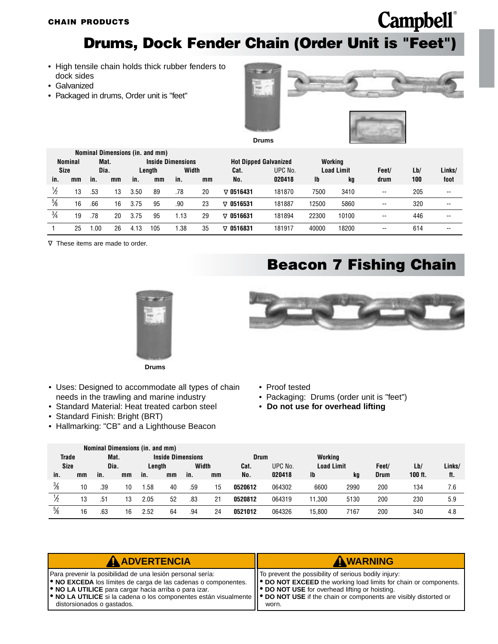**Drums, Dock Fender Chain (Order Unit is "Feet")**

- <span id="page-13-0"></span>• High tensile chain holds thick rubber fenders to dock sides
- Galvanized
- Packaged in drums, Order unit is "feet"



**Drums**

**Campbell**®

|               |                |      |    |      | Nominal Dimensions (in. and mm) |                          |    |                              |         |       |                   |                          |     |        |
|---------------|----------------|------|----|------|---------------------------------|--------------------------|----|------------------------------|---------|-------|-------------------|--------------------------|-----|--------|
|               | <b>Nominal</b> | Mat. |    |      |                                 | <b>Inside Dimensions</b> |    | <b>Hot Dipped Galvanized</b> |         |       | Working           |                          |     |        |
| <b>Size</b>   |                | Dia. |    |      | Length                          | Width                    |    | Cat.                         | UPC No. |       | <b>Load Limit</b> | Feet/                    | Lb/ | Links/ |
| in.           | mm             | in.  | mm | in.  | mm                              | in.                      | mm | No.                          | 020418  | Ib    | kg                | drum                     | 100 | foot   |
| 1∕2           | 13             | .53  | 13 | 3.50 | 89                              | .78                      | 20 | $\nabla$ 0516431             | 181870  | 7500  | 3410              | $\overline{\phantom{a}}$ | 205 | $- -$  |
| $\frac{5}{8}$ | 16             | .66  | 16 | 3.75 | 95                              | .90                      | 23 | $\nabla$ 0516531             | 181887  | 12500 | 5860              | $\overline{\phantom{a}}$ | 320 | $- -$  |
| $\frac{3}{4}$ | 19             | .78  | 20 | 3.75 | 95                              | . . 13                   | 29 | $\nabla$ 0516631             | 181894  | 22300 | 10100             | $\overline{\phantom{a}}$ | 446 | $- -$  |
|               | 25             | .00  | 26 | 4.13 | 105                             | .38                      | 35 | $\nabla$ 0516831             | 181917  | 40000 | 18200             | $\overline{\phantom{a}}$ | 614 | --     |

These items are made to order. <sup>∆</sup>

#### **Beacon 7 Fishing Chain**



**Drums**

- Uses: Designed to accommodate all types of chain needs in the trawling and marine industry
- Standard Material: Heat treated carbon steel
- Standard Finish: Bright (BRT)
- Hallmarking: "CB" and a Lighthouse Beacon



- Proof tested
- Packaging: Drums (order unit is "feet")
- **Do not use for overhead lifting**

|               |    |      |    | Nominal Dimensions (in. and mm) |                          |       |    |             |         |                   |      |             |           |        |
|---------------|----|------|----|---------------------------------|--------------------------|-------|----|-------------|---------|-------------------|------|-------------|-----------|--------|
| <b>Trade</b>  |    | Mat. |    |                                 | <b>Inside Dimensions</b> |       |    | <b>Drum</b> |         | Working           |      |             |           |        |
| <b>Size</b>   |    | Dia. |    | Lenath                          |                          | Width |    | Cat.        | UPC No. | <b>Load Limit</b> |      | Feet/       | Lb/       | Links/ |
| in.           | mm | in.  | mm | in.                             | mm                       | in.   | mm | No.         | 020418  | Ib                | kg   | <b>Drum</b> | $100$ ft. | ft.    |
| $\frac{3}{8}$ | 10 | .39  | 10 | .58                             | 40                       | .59   | 15 | 0520612     | 064302  | 6600              | 2990 | 200         | 134       | 7.6    |
|               | 13 | .51  | 13 | 2.05                            | 52                       | .83   | 21 | 0520812     | 064319  | 11.300            | 5130 | 200         | 230       | 5.9    |
| $\frac{5}{8}$ | 16 | .63  | 16 | 2.52                            | 64                       | .94   | 24 | 0521012     | 064326  | 15.800            | 7167 | 200         | 340       | 4.8    |

| <b>A ADVERTENCIA</b>                                                                                                                                                                                                                                                                                                                                                      | AWARNING                                                                                                                                                                                     |
|---------------------------------------------------------------------------------------------------------------------------------------------------------------------------------------------------------------------------------------------------------------------------------------------------------------------------------------------------------------------------|----------------------------------------------------------------------------------------------------------------------------------------------------------------------------------------------|
| Para prevenir la posibilidad de una lesión personal sería:<br><b>.</b> NO EXCEDA los límites de carga de las cadenas o componentes.<br><b>.</b> NO LA UTILICE para cargar hacia arriba o para izar.<br>• NO LA UTILICE si la cadena o los componentes están visualmente    • DO NOT USE if the chain or components are visibly distorted or<br>distorsionados o gastados. | To prevent the possibility of serious bodily injury:<br>  ● DO NOT EXCEED the working load limits for chain or components.<br><b>P</b> DO NOT USE for overhead lifting or hoisting.<br>worn. |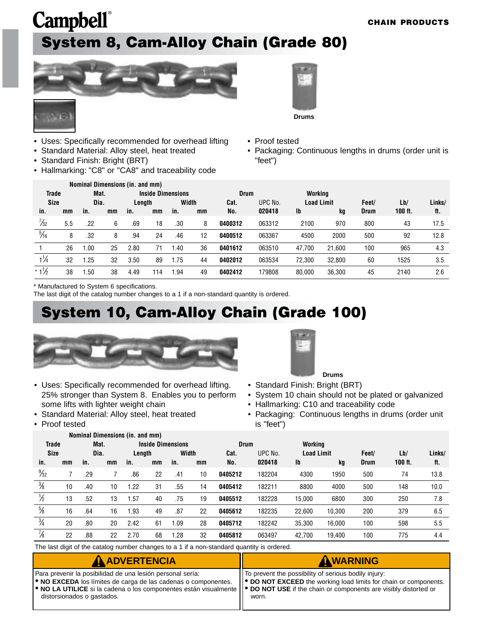# <span id="page-14-0"></span>**Campbell**® **System 8, Cam-Alloy Chain (Grade 80)**







- Uses: Specifically recommended for overhead lifting
- Standard Material: Alloy steel, heat treated
- Standard Finish: Bright (BRT)
- Hallmarking: "C8" or "CA8" and traceability code
- Proof tested
- Packaging: Continuous lengths in drums (order unit is "feet")

|                 |     |      |    | <b>Nominal Dimensions (in. and mm)</b> |     |                          |    |             |         |                   |        |             |         |        |
|-----------------|-----|------|----|----------------------------------------|-----|--------------------------|----|-------------|---------|-------------------|--------|-------------|---------|--------|
| <b>Trade</b>    |     | Mat. |    |                                        |     | <b>Inside Dimensions</b> |    | <b>Drum</b> |         | Workina           |        |             |         |        |
| <b>Size</b>     |     | Dia. |    | Length                                 |     | Width                    |    | Cat.        | UPC No. | <b>Load Limit</b> |        | Feet/       | Lb/     | Links/ |
| in.             | mm  | in.  | mm | in.                                    | mm  | in.                      | mm | No.         | 020418  | $\mathbf{I}$      | kg     | <b>Drum</b> | 100 ft. | ft.    |
| $\frac{7}{32}$  | 5.5 | .22  | 6  | .69                                    | 18  | .30                      | 8  | 0400312     | 063312  | 2100              | 970    | 800         | 43      | 17.5   |
| $\frac{5}{16}$  | 8   | .32  | 8  | .94                                    | 24  | .46                      | 12 | 0400512     | 063367  | 4500              | 2000   | 500         | 92      | 12.8   |
|                 | 26  | .00  | 25 | 2.80                                   | 71  | .40                      | 36 | 0401612     | 063510  | 47.700            | 21.600 | 100         | 965     | 4.3    |
| $1\frac{1}{4}$  | 32  | .25  | 32 | 3.50                                   | 89  | ı.75                     | 44 | 0402012     | 063534  | 72.300            | 32.800 | 60          | 1525    | 3.5    |
| $*1\frac{1}{2}$ | 38  | .50  | 38 | 4.49                                   | 114 | .94                      | 49 | 0402412     | 179808  | 80.000            | 36,300 | 45          | 2140    | 2.6    |

\* Manufactured to System 6 specifications.

The last digit of the catalog number changes to a 1 if a non-standard quantity is ordered.

#### **System 10, Cam-Alloy Chain (Grade 100)**



- Uses: Specifically recommended for overhead lifting. 25% stronger than System 8. Enables you to perform some lifts with lighter weight chain
- Standard Material: Alloy steel, heat treated

**Nominal Dimensions (in. and mm)**

• Proof tested



- Standard Finish: Bright (BRT) **Drums**
- System 10 chain should not be plated or galvanized
- Hallmarking: C10 and traceability code
- Packaging: Continuous lengths in drums (order unit is "feet")

|                |    |      |      | <u>NUMMAL DIMENSIUMS (ML. ANU MMI</u> |    |                          |    |             |         |                   |        |             |           |        |
|----------------|----|------|------|---------------------------------------|----|--------------------------|----|-------------|---------|-------------------|--------|-------------|-----------|--------|
| <b>Trade</b>   |    |      | Mat. |                                       |    | <b>Inside Dimensions</b> |    | <b>Drum</b> |         | Working           |        |             |           |        |
| <b>Size</b>    |    | Dia. |      | Length                                |    | Width                    |    | Cat.        | UPC No. | <b>Load Limit</b> |        | Feet/       | Lb/       | Links/ |
| in.            | mm | in.  | mm   | in.                                   | mm | in.                      | mm | No.         | 020418  | Ib                | kg     | <b>Drum</b> | $100$ ft. | ft.    |
| $\frac{9}{32}$ |    | .29  |      | .86                                   | 22 | .41                      | 10 | 0405212     | 182204  | 4300              | 1950   | 500         | 74        | 13.8   |
| $\frac{3}{8}$  | 10 | .40  | 10   | 1.22                                  | 31 | .55                      | 14 | 0405412     | 182211  | 8800              | 4000   | 500         | 148       | 10.0   |
| $\frac{1}{2}$  | 13 | .52  | 13   | 1.57                                  | 40 | .75                      | 19 | 0405512     | 182228  | 15.000            | 6800   | 300         | 250       | 7.8    |
| $\frac{5}{8}$  | 16 | .64  | 16   | 1.93                                  | 49 | .87                      | 22 | 0405612     | 182235  | 22.600            | 10.300 | 200         | 379       | 6.5    |
| $\frac{3}{4}$  | 20 | .80  | 20   | 2.42                                  | 61 | .09                      | 28 | 0405712     | 182242  | 35.300            | 16.000 | 100         | 598       | 5.5    |
| $\frac{7}{8}$  | 22 | .88  | 22   | 2.70                                  | 68 | .28                      | 32 | 0405812     | 063497  | 42.700            | 19.400 | 100         | 775       | 4.4    |

The last digit of the catalog number changes to a 1 if a non-standard quantity is ordered.

| <b>A ADVERTENCIA</b>                                                                                                                                                                                                                                                                                           | AWARNING                                                                                                                                |
|----------------------------------------------------------------------------------------------------------------------------------------------------------------------------------------------------------------------------------------------------------------------------------------------------------------|-----------------------------------------------------------------------------------------------------------------------------------------|
| Para prevenir la posibilidad de una lesión personal sería:<br><b>ORIGIO NO EXCEDA</b> los límites de carga de las cadenas o componentes.<br> ● NO LA UTILICE si la cadena o los componentes están visualmente   ● DO NOT USE if the chain or components are visibly distorted or<br>distorsionados o gastados. | IT To prevent the possibility of serious bodily injury:<br>   ● DO NOT EXCEED the working load limits for chain or components.<br>worn. |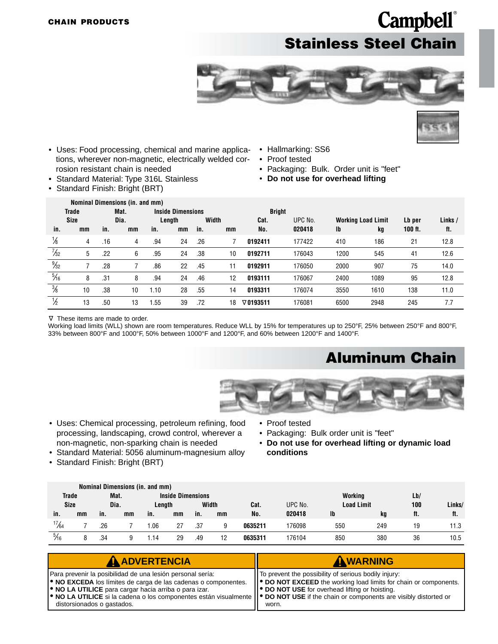### **Campbell**® **Stainless Steel Chain**





- <span id="page-15-0"></span>• Uses: Food processing, chemical and marine applications, wherever non-magnetic, electrically welded corrosion resistant chain is needed
- Standard Material: Type 316L Stainless
- Standard Finish: Bright (BRT)
- Hallmarking: SS6
- Proof tested
- Packaging: Bulk. Order unit is "feet"
- **Do not use for overhead lifting**

|                |              |     | Nominal Dimensions (in. and mm) |      |                          |     |       |                  |         |      |                           |           |         |
|----------------|--------------|-----|---------------------------------|------|--------------------------|-----|-------|------------------|---------|------|---------------------------|-----------|---------|
|                | <b>Trade</b> |     | Mat.                            |      | <b>Inside Dimensions</b> |     |       | <b>Bright</b>    |         |      |                           |           |         |
|                | <b>Size</b>  |     | Dia.                            |      | Length                   |     | Width | Cat.             | UPC No. |      | <b>Working Load Limit</b> | Lb per    | Links / |
| in.            | mm           | in. | mm                              | in.  | mm                       | in. | mm    | No.              | 020418  | Ib   | kg                        | $100$ ft. | ft.     |
| $\frac{1}{8}$  | 4            | .16 | 4                               | .94  | 24                       | .26 |       | 0192411          | 177422  | 410  | 186                       | 21        | 12.8    |
| $\frac{7}{32}$ | 5            | .22 | 6                               | .95  | 24                       | .38 | 10    | 0192711          | 176043  | 1200 | 545                       | 41        | 12.6    |
| $\frac{9}{32}$ |              | .28 |                                 | .86  | 22                       | .45 | 11    | 0192911          | 176050  | 2000 | 907                       | 75        | 14.0    |
| $\frac{5}{16}$ | 8            | .31 | 8                               | .94  | 24                       | .46 | 12    | 0193111          | 176067  | 2400 | 1089                      | 95        | 12.8    |
| $\frac{3}{8}$  | 10           | .38 | 10                              | 1.10 | 28                       | .55 | 14    | 0193311          | 176074  | 3550 | 1610                      | 138       | 11.0    |
| $\frac{1}{2}$  | 13           | .50 | 13                              | 1.55 | 39                       | .72 | 18    | $\nabla$ 0193511 | 176081  | 6500 | 2948                      | 245       | 7.7     |

These items are made to order. <sup>∆</sup>

Working load limits (WLL) shown are room temperatures. Reduce WLL by 15% for temperatures up to 250°F, 25% between 250°F and 800°F, 33% between 800°F and 1000°F, 50% between 1000°F and 1200°F, and 60% between 1200°F and 1400°F.

#### **Aluminum Chain**



- Uses: Chemical processing, petroleum refining, food processing, landscaping, crowd control, wherever a non-magnetic, non-sparking chain is needed
- Standard Material: 5056 aluminum-magnesium alloy
- Standard Finish: Bright (BRT)
- Proof tested
- Packaging: Bulk order unit is "feet"
- **Do not use for overhead lifting or dynamic load conditions**

|                 |    |      |      | Nominal Dimensions (in. and mm) |                          |     |       |         |         |                   |     |     |        |
|-----------------|----|------|------|---------------------------------|--------------------------|-----|-------|---------|---------|-------------------|-----|-----|--------|
| Trade           |    |      | Mat. |                                 | <b>Inside Dimensions</b> |     |       |         |         | Working           |     | Lb/ |        |
| <b>Size</b>     |    | Dia. |      | Length                          |                          |     | Width | Cat.    | UPC No. | <b>Load Limit</b> |     | 100 | Links/ |
| in.             | mm | in.  | mm   | in.                             | mm                       | in. | mm    | No.     | 020418  | <b>Ib</b>         | kg  | ft. | ft.    |
| $\frac{17}{64}$ |    | .26  |      | .06                             | 27                       | .37 | 9     | 0635211 | 176098  | 550               | 249 | 19  | 11.3   |
| $\frac{5}{16}$  |    | .34  |      | .14                             | 29                       | .49 | 12    | 0635311 | 176104  | 850               | 380 | 36  | 10.5   |

| <b>A ADVERTENCIA</b>                                                                                                                                                                                                                                                                                                                                                                                           | AWARNING                                                                                                                                                                                   |
|----------------------------------------------------------------------------------------------------------------------------------------------------------------------------------------------------------------------------------------------------------------------------------------------------------------------------------------------------------------------------------------------------------------|--------------------------------------------------------------------------------------------------------------------------------------------------------------------------------------------|
| Para prevenir la posibilidad de una lesión personal sería:<br><b>.</b> NO EXCEDA los límites de carga de las cadenas o componentes.<br><b>.</b> NO LA UTILICE para cargar hacia arriba o para izar.<br>$\blacktriangleright$ NO LA UTILICE si la cadena o los componentes están visualmente $\blacktriangleright$ DO NOT USE if the chain or components are visibly distorted or<br>distorsionados o gastados. | I To prevent the possibility of serious bodily injury:<br>  ● DO NOT EXCEED the working load limits for chain or components.<br>   ● DO NOT USE for overhead lifting or hoisting.<br>worn. |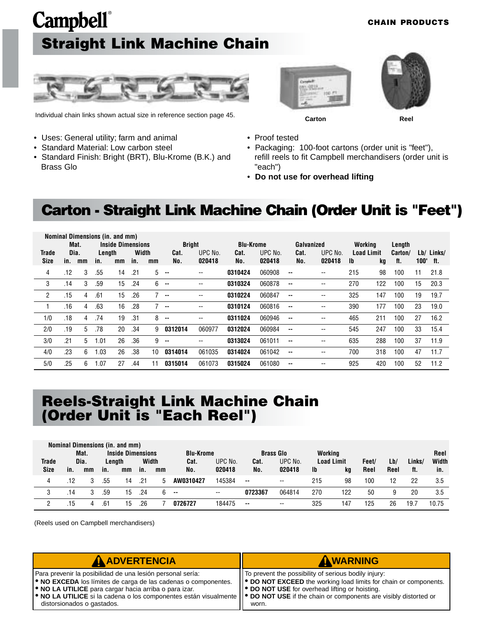# <span id="page-16-0"></span>**Campbell**® **Straight Link Machine Chain**





Individual chain links shown actual size in reference section page 45.

• Standard Finish: Bright (BRT), Blu-Krome (B.K.) and

• Uses: General utility; farm and animal • Standard Material: Low carbon steel

Brass Glo



**Carton Reel**

- Proof tested
- Packaging: 100-foot cartons (order unit is "feet"), refill reels to fit Campbell merchandisers (order unit is "each")
- **Do not use for overhead lifting**

#### **Carton - Straight Link Machine Chain (Order Unit is "Feet")**

|       |      |    | Nominal Dimensions (in. and mm) |                          |       |    |               |                          |                  |         |            |                          |                   |     |         |            |            |
|-------|------|----|---------------------------------|--------------------------|-------|----|---------------|--------------------------|------------------|---------|------------|--------------------------|-------------------|-----|---------|------------|------------|
|       | Mat. |    |                                 | <b>Inside Dimensions</b> |       |    | <b>Bright</b> |                          | <b>Blu-Krome</b> |         | Galvanized |                          | Workina           |     | Length  |            |            |
| Trade | Dia. |    | Length                          |                          | Width |    | Cat.          | UPC No.                  | Cat.             | UPC No. | Cat.       | UPC No.                  | <b>Load Limit</b> |     | Carton/ |            | Lb/ Links/ |
| Size  | in.  | mm | in.                             | mm                       | in.   | mm | No.           | 020418                   | No.              | 020418  | No.        | 020418                   | -lb               | kg  | ft.     | $100'$ ft. |            |
| 4     | .12  | 3  | .55                             | 14                       | .21   | 5  | $\sim$        | --                       | 0310424          | 060908  | --         | --                       | 215               | 98  | 100     | 11         | 21.8       |
| 3     | .14  | 3  | .59                             | 15                       | .24   | 6  | $\sim$        | $\overline{\phantom{a}}$ | 0310324          | 060878  | --         | --                       | 270               | 122 | 100     | 15         | 20.3       |
| 2     | .15  | 4  | .61                             | 15                       | .26   |    | $\sim$        | $\overline{\phantom{a}}$ | 0310224          | 060847  | $\sim$     | $- -$                    | 325               | 147 | 100     | 19         | 19.7       |
|       | .16  | 4  | .63                             | 16                       | .28   |    | $\sim$        | $\overline{\phantom{a}}$ | 0310124          | 060816  | --         | $\overline{\phantom{a}}$ | 390               | 177 | 100     | 23         | 19.0       |
| 1/0   | .18  | 4  | .74                             | 19                       | .31   | 8  | $\sim$        | $\overline{\phantom{a}}$ | 0311024          | 060946  | --         | --                       | 465               | 211 | 100     | 27         | 16.2       |
| 2/0   | .19  | 5  | .78                             | 20                       | .34   | 9  | 0312014       | 060977                   | 0312024          | 060984  | ۰.         | --                       | 545               | 247 | 100     | 33         | 15.4       |
| 3/0   | .21  | 5  | 1.01                            | 26                       | .36   | 9  | $\sim$ $\sim$ | $\overline{\phantom{a}}$ | 0313024          | 061011  | ۰.         | $\overline{\phantom{a}}$ | 635               | 288 | 100     | 37         | 11.9       |
| 4/0   | .23  | 6  | .03                             | 26                       | .38   | 10 | 0314014       | 061035                   | 0314024          | 061042  | ۰.         | $- -$                    | 700               | 318 | 100     | 47         | 11.7       |
| 5/0   | .25  | 6  | .07                             | 27                       | .44   | 11 | 0315014       | 061073                   | 0315024          | 061080  | --         | $\overline{\phantom{a}}$ | 925               | 420 | 100     | 52         | 11.2       |

#### **Reels-Straight Link Machine Chain (Order Unit is "Each Reel")**

|              | Nominal Dimensions (in. and mm) |      |                 |                          |     |      |                          |                          |         |                  |                   |       |      |        |       |       |
|--------------|---------------------------------|------|-----------------|--------------------------|-----|------|--------------------------|--------------------------|---------|------------------|-------------------|-------|------|--------|-------|-------|
|              |                                 | Mat. |                 | <b>Inside Dimensions</b> |     |      | <b>Blu-Krome</b>         |                          |         | <b>Brass Glo</b> | Working           |       |      |        |       | Reel  |
| <b>Trade</b> |                                 | Dia. | Width<br>Lenath |                          |     | Cat. | UPC No.                  | Cat.                     | UPC No. |                  | <b>Load Limit</b> | Feet/ | Lb/  | Links/ | Width |       |
| <b>Size</b>  | in.                             | mm   | in.             | mm                       | in. | mm   | No.                      | 020418                   | No.     | 020418           | Ib                | kg    | Reel | Reel   | ft.   | in.   |
| 4            | .12                             |      | .55             | 14                       | .21 | 5    | AW0310427                | 145384                   | $\sim$  | $- -$            | 215               | 98    | 100  | 12     | 22    | 3.5   |
| 3            | .14                             |      | .59             | 15                       | .24 | 6.   | $\overline{\phantom{a}}$ | $\overline{\phantom{a}}$ | 0723367 | 064814           | 270               | 122   | 50   | 9      | 20    | 3.5   |
|              | .15                             | 4    | .61             | 15                       | .26 |      | 0726727                  | 184475                   | $\sim$  | $-$              | 325               | 147   | 125  | 26     | 19.7  | 10.75 |

(Reels used on Campbell merchandisers)

| <b>A ADVERTENCIA</b>                                                                                                                                                                                                                                                                                                                                                      | AWARNING                                                                                                                                                                                    |
|---------------------------------------------------------------------------------------------------------------------------------------------------------------------------------------------------------------------------------------------------------------------------------------------------------------------------------------------------------------------------|---------------------------------------------------------------------------------------------------------------------------------------------------------------------------------------------|
| Para prevenir la posibilidad de una lesión personal sería:<br><b>. NO EXCEDA</b> los límites de carga de las cadenas o componentes.<br><b>.</b> NO LA UTILICE para cargar hacia arriba o para izar.<br>• NO LA UTILICE si la cadena o los componentes están visualmente    • DO NOT USE if the chain or components are visibly distorted or<br>distorsionados o gastados. | IT To prevent the possibility of serious bodily injury:<br>  ● DO NOT EXCEED the working load limits for chain or components.<br>   ● DO NOT USE for overhead lifting or hoisting.<br>worn. |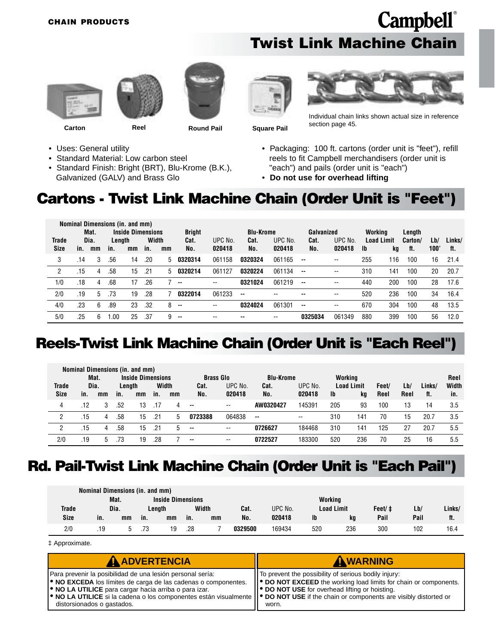#### **Twist Link Machine Chain**











**Carton Reel Round Pail Square Pail**

Individual chain links shown actual size in reference section page 45.

- Uses: General utility
- Standard Material: Low carbon steel
- Standard Finish: Bright (BRT), Blu-Krome (B.K.), Galvanized (GALV) and Brass Glo
- Packaging: 100 ft. cartons (order unit is "feet"), refill reels to fit Campbell merchandisers (order unit is "each") and pails (order unit is "each")
- **Do not use for overhead lifting**

#### **Cartons - Twist Link Machine Chain (Order Unit is "Feet")**

|     |             | Mat.                                                                |      |    |     |               |         |                  |         |            |               |         |            |        |         |      |        |
|-----|-------------|---------------------------------------------------------------------|------|----|-----|---------------|---------|------------------|---------|------------|---------------|---------|------------|--------|---------|------|--------|
|     |             | <b>Inside Dimensions</b><br>Width<br>Dia.<br><b>Trade</b><br>Length |      |    |     | <b>Bright</b> |         | <b>Blu-Krome</b> |         | Galvanized |               | Workina |            | Length |         |      |        |
|     |             |                                                                     |      |    |     |               | Cat.    | UPC No.          | Cat.    | UPC No.    | Cat.          | UPC No. | Load Limit |        | Carton/ | Lb/  | Links/ |
|     | in.         | mm                                                                  | in.  | mm | in. | mm            | No.     | 020418           | No.     | 020418     | No.           | 020418  | -lb        | kg     | tt.     | 100' | ft.    |
| 3   | .14         | 3                                                                   | .56  | 14 | .20 | 5             | 0320314 | 061158           | 0320324 | 061165     | $\sim$        | --      | 255        | 116    | 100     | 16   | 21.4   |
| 2   | .15         | 4                                                                   | .58  | 15 | .21 | 5             | 0320214 | 061127           | 0320224 | 061134     | $\sim$ $\sim$ | $- -$   | 310        | 141    | 100     | 20   | 20.7   |
| 1/0 | .18         | 4                                                                   | .68  | 17 | .26 |               | $\sim$  | $- -$            | 0321024 | 061219     | $\sim$ $\sim$ | --      | 440        | 200    | 100     | 28   | 17.6   |
| 2/0 | .19         | 5                                                                   | .73  | 19 | .28 |               | 0322014 | 061233           | --      | --         | --            | $- -$   | 520        | 236    | 100     | 34   | 16.4   |
| 4/0 | .23         | 6                                                                   | .89  | 23 | .32 | 8             | $-$     | $- -$            | 0324024 | 061301     | $\sim$        | --      | 670        | 304    | 100     | 48   | 13.5   |
| 5/0 | .25         | 6                                                                   | l.OO | 25 | .37 | 9             | --      | --               | --      | --         | 0325034       | 061349  | 880        | 399    | 100     | 56   | 12.0   |
|     | <b>Size</b> |                                                                     |      |    |     |               |         |                  |         |            |               |         |            |        |         |      |        |

#### **Reels-Twist Link Machine Chain (Order Unit is "Each Reel")**

|              |     |      |     | Nominal Dimensions (in. and mm) |     |       |                          |         |                  |                          |           |                   |       |      |        |       |
|--------------|-----|------|-----|---------------------------------|-----|-------|--------------------------|---------|------------------|--------------------------|-----------|-------------------|-------|------|--------|-------|
|              |     | Mat. |     | <b>Inside Dimensions</b>        |     |       | <b>Brass Glo</b>         |         | <b>Blu-Krome</b> |                          | Workina   |                   |       |      |        | Reel  |
| <b>Trade</b> |     | Dia. |     | Length                          |     | Width | Cat.                     | UPC No. | Cat.             | UPC No.                  |           | <b>Load Limit</b> | Feet/ | Lb/  | Links/ | Width |
| <b>Size</b>  | in. | mm   | in. | mm                              | in. | mm    | No.                      | 020418  | No.              | 020418                   | <b>Ib</b> | kg                | Reel  | Reel | ft.    | in.   |
| 4            | .12 | 3    | .52 | 13                              |     | 4     | $\sim$                   | $- -$   | AW0320427        | 145391                   | 205       | 93                | 100   | 13   | 14     | 3.5   |
| 2            | .15 | 4    | .58 | 15                              | .21 | 5     | 0723388                  | 064838  | $\sim$           | $\overline{\phantom{a}}$ | 310       | 141               | 70    | 15   | 20.7   | 3.5   |
| 2            | .15 | 4    | .58 | 15                              | .21 | h     | $\sim$                   | $- -$   | 0726627          | 184468                   | 310       | 141               | 125   | 27   | 20.7   | 5.5   |
| 2/0          | .19 | b.   | .73 | 19                              | .28 |       | $\overline{\phantom{a}}$ | $- -$   | 0722527          | 183300                   | 520       | 236               | 70    | 25   | 16     | 5.5   |

#### **Rd. Pail-Twist Link Machine Chain (Order Unit is "Each Pail")**

|              | Nominal Dimensions (in. and mm) |      |     |                          |     |       |         |         |           |                   |        |      |        |  |  |
|--------------|---------------------------------|------|-----|--------------------------|-----|-------|---------|---------|-----------|-------------------|--------|------|--------|--|--|
|              |                                 | Mat. |     | <b>Inside Dimensions</b> |     |       |         |         | Working   |                   |        |      |        |  |  |
| <b>Trade</b> | Dia.                            |      |     | Lenath                   |     | Width | Cat.    | UPC No. |           | <b>Load Limit</b> | Feet/‡ | Lb/  | Links/ |  |  |
| Size         | in.                             | mm   | in. | mm                       | in. | mm    | No.     | 020418  | <b>Ib</b> | ka                | Pail   | Pail | ft.    |  |  |
| 2/0          | .19                             |      | .73 | 19                       | .28 |       | 0329500 | 169434  | 520       | 236               | 300    | 102  | 16.4   |  |  |

‡ Approximate.

| <b>A ADVERTENCIA</b>                                                                                                                                                                                                                                                                                        | AWARNING                                                                                                                           |
|-------------------------------------------------------------------------------------------------------------------------------------------------------------------------------------------------------------------------------------------------------------------------------------------------------------|------------------------------------------------------------------------------------------------------------------------------------|
| Para prevenir la posibilidad de una lesión personal sería:                                                                                                                                                                                                                                                  | To prevent the possibility of serious bodily injury:                                                                               |
| • NO EXCEDA los límites de carga de las cadenas o componentes.<br><b>ORIGIO NO LA UTILICE</b> para cargar hacia arriba o para izar.<br>  ● NO LA UTILICE si la cadena o los componentes están visualmente    ● DO NOT USE if the chain or components are visibly distorted or<br>distorsionados o gastados. | ● DO NOT EXCEED the working load limits for chain or components.<br><b>. DO NOT USE</b> for overhead lifting or hoisting.<br>worn. |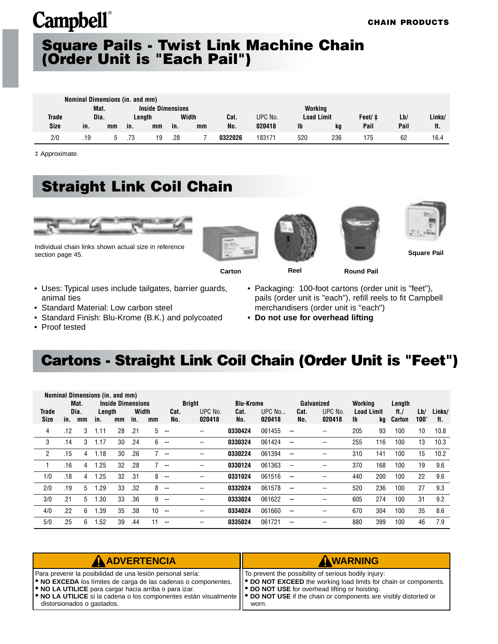#### <span id="page-18-0"></span>**Square Pails - Twist Link Machine Chain (Order Unit is "Each Pail")**

|              | Nominal Dimensions (in. and mm) |    |     |                          |     |       |         |         |                   |     |        |      |        |  |
|--------------|---------------------------------|----|-----|--------------------------|-----|-------|---------|---------|-------------------|-----|--------|------|--------|--|
|              | Mat.                            |    |     | <b>Inside Dimensions</b> |     |       |         |         | Working           |     |        |      |        |  |
| <b>Trade</b> | Dia.                            |    |     | Lenath                   |     | Width | Cat.    | UPC No. | <b>Load Limit</b> |     | Feet/‡ | Lb/  | Links/ |  |
| <b>Size</b>  | in.                             | mm | in. | mm                       | in. | mm    | No.     | 020418  | Ib                | ka  | Pail   | Pail | ft.    |  |
| 2/0          | .19                             |    | .73 | 19                       | .28 |       | 0322026 | 183171  | 520               | 236 | 175    | 62   | 16.4   |  |

‡ Approximate.

### **Straight Link Coil Chain**



Individual chain links shown actual size in reference section page 45.









**Square Pail**



**Carton Reel Round Pail**

- Uses: Typical uses include tailgates, barrier guards, animal ties
- Standard Material: Low carbon steel
- Standard Finish: Blu-Krome (B.K.) and polycoated
- Proof tested
- Packaging: 100-foot cartons (order unit is "feet"), pails (order unit is "each"), refill reels to fit Campbell merchandisers (order unit is "each")
- **Do not use for overhead lifting**

### **Cartons - Straight Link Coil Chain (Order Unit is "Feet")**

|             |     |      | Nominal Dimensions (in. and mm) |                          |       |                  |               |               |                  |          |                          |            |           |                   |         |      |        |
|-------------|-----|------|---------------------------------|--------------------------|-------|------------------|---------------|---------------|------------------|----------|--------------------------|------------|-----------|-------------------|---------|------|--------|
|             |     | Mat. |                                 | <b>Inside Dimensions</b> |       |                  |               | <b>Bright</b> | <b>Blu-Krome</b> |          |                          | Galvanized | Working   |                   | Length  |      |        |
| Trade       |     | Dia. | Length                          |                          | Width |                  | Cat.          | UPC No.       | Cat.             | UPC No., | Cat.                     | UPC No.    |           | <b>Load Limit</b> | ft. $/$ | Lb/  | Links/ |
| <b>Size</b> | in. | mm   | in.                             | mm                       | in.   | mm               | No.           | 020418        | No.              | 020418   | No.                      | 020418     | <b>Ib</b> | kq                | Carton  | 100" | ft.    |
| 4           | .12 | 3    | 1.11                            | 28                       | .21   | 5                | $\sim$        | --            | 0330424          | 061455   | $\sim$                   | --         | 205       | 93                | 100     | 10   | 10.8   |
| 3           | .14 | 3    | 1.17                            | 30                       | .24   | 6                | $\sim$        | --            | 0330324          | 061424   | $\sim$                   | --         | 255       | 116               | 100     | 13   | 10.3   |
| 2           | .15 | 4    | 1.18                            | 30                       | .26   |                  | $\sim$        | --            | 0330224          | 061394   | --                       | --         | 310       | 141               | 100     | 15   | 10.2   |
|             | .16 | 4    | .25                             | 32                       | .28   |                  | $\sim$        | --            | 0330124          | 061363   | $\overline{\phantom{a}}$ | --         | 370       | 168               | 100     | 19   | 9.6    |
| 1/0         | .18 | 4    | .25                             | 32                       | .31   | 8                | $\sim$        | --            | 0331024          | 061516   | $\sim$ $\sim$            | --         | 440       | 200               | 100     | 22   | 9.6    |
| 2/0         | .19 | 5    | .29                             | 33                       | .32   | 8                | $\sim$        | --            | 0332024          | 061578   | $\sim$                   | --         | 520       | 236               | 100     | 27   | 9.3    |
| 3/0         | .21 | 5    | .30                             | 33                       | .36   | 9                | $\sim$ $\sim$ | --            | 0333024          | 061622   | $\sim$                   | --         | 605       | 274               | 100     | 31   | 9.2    |
| 4/0         | .22 | 6    | .39                             | 35                       | .38   | 10 <sup>10</sup> | $\sim$        | --            | 0334024          | 061660   | $\sim$                   | --         | 670       | 304               | 100     | 35   | 8.6    |
| 5/0         | .25 | 6    | 1.52                            | 39                       | .44   | 11               | $\sim$        | --            | 0335024          | 061721   | $- -$                    | --         | 880       | 399               | 100     | 46   | 7.9    |

| <b>A ADVERTENCIA</b>                                                                                                                                                                                                                                                                                                                                                      | AWARNING                                                                                                                                                                                               |
|---------------------------------------------------------------------------------------------------------------------------------------------------------------------------------------------------------------------------------------------------------------------------------------------------------------------------------------------------------------------------|--------------------------------------------------------------------------------------------------------------------------------------------------------------------------------------------------------|
| Para prevenir la posibilidad de una lesión personal sería:<br><b>. NO EXCEDA</b> los límites de carga de las cadenas o componentes.<br><b>.</b> NO LA UTILICE para cargar hacia arriba o para izar.<br>• NO LA UTILICE si la cadena o los componentes están visualmente    • DO NOT USE if the chain or components are visibly distorted or<br>distorsionados o gastados. | IT To prevent the possibility of serious bodily injury:<br>  ● DO NOT EXCEED the working load limits for chain or components.<br>   <sup>●</sup> DO NOT USE for overhead lifting or hoisting.<br>worn. |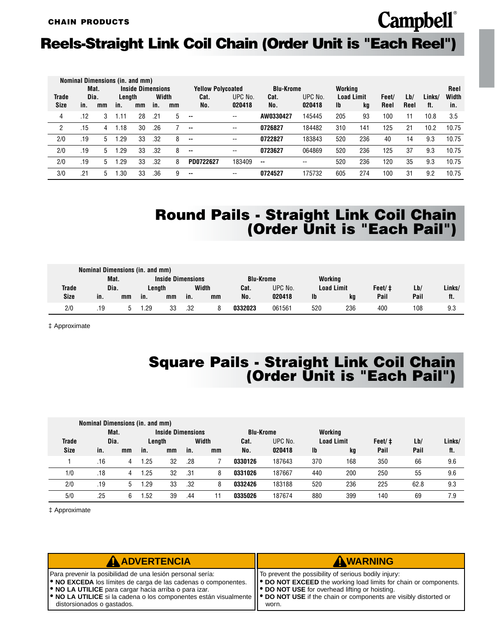### **Reels-Straight Link Coil Chain (Order Unit is "Each Reel")**

|                      |     |    |              |    |        |                                 |                                   |                   |                          |                   |                  |     |                              |             |               | Reel         |
|----------------------|-----|----|--------------|----|--------|---------------------------------|-----------------------------------|-------------------|--------------------------|-------------------|------------------|-----|------------------------------|-------------|---------------|--------------|
| Trade<br><b>Size</b> | in. | mm | in.          | mm | in.    | mm                              | Cat.<br>No.                       | UPC No.<br>020418 | Cat.<br>No.              | UPC No.<br>020418 | Ib               | kg  | Feet/<br>Reel                | Lb/<br>Reel | Links/<br>ft. | Width<br>in. |
| 4                    | .12 | 3  | 1.11         | 28 | .21    | 5                               | $\overline{\phantom{a}}$          | --                | AW0330427                | 145445            | 205              | 93  | 100                          | 11          | 10.8          | 3.5          |
| 2                    | .15 | 4  | 1.18         | 30 | .26    |                                 | $\sim$ $\sim$                     | $- -$             | 0726827                  | 184482            | 310              | 141 | 125                          | 21          | 10.2          | 10.75        |
| 2/0                  | .19 | 5  | 1.29         | 33 | .32    | 8                               | $\sim$                            | --                | 0722827                  | 183843            | 520              | 236 | 40                           | 14          | 9.3           | 10.75        |
| 2/0                  | .19 | 5  | 1.29         | 33 | .32    | 8                               | $\sim$                            | $- -$             | 0723627                  | 064869            | 520              | 236 | 125                          | 37          | 9.3           | 10.75        |
| 2/0                  | .19 | 5  | 1.29         | 33 | .32    | 8                               | PD0722627                         | 183409            | $- -$                    | $- -$             | 520              | 236 | 120                          | 35          | 9.3           | 10.75        |
| 3/0                  | .21 |    | .30          | 33 | .36    | 9                               | $\overline{\phantom{a}}$          | --                | 0724527                  | 175732            | 605              | 274 | 100                          | 31          | 9.2           | 10.75        |
|                      |     |    | Mat.<br>Dia. |    | Length | Nominal Dimensions (in. and mm) | <b>Inside Dimensions</b><br>Width |                   | <b>Yellow Polycoated</b> |                   | <b>Blu-Krome</b> |     | Working<br><b>Load Limit</b> |             |               |              |

#### **Round Pails - Straight Link Coil Chain (Order Unit is "Each Pail")**

**Campbell**®

|       | Nominal Dimensions (in. and mm) |    |        |                          |     |       |                  |         |         |                   |         |      |        |
|-------|---------------------------------|----|--------|--------------------------|-----|-------|------------------|---------|---------|-------------------|---------|------|--------|
|       | Mat.                            |    |        | <b>Inside Dimensions</b> |     |       | <b>Blu-Krome</b> |         | Working |                   |         |      |        |
| Trade | Dia.                            |    | Lenath |                          |     | Width | Cat.             | UPC No. |         | <b>Load Limit</b> | Feet/ ‡ | Lb/  | Links/ |
| Size  | in.                             | mm | in.    | mm                       | in. | mm    | No.              | 020418  | Ib      | ka                | Pail    | Pail | ft.    |
| 2/0   | .19                             |    | 29، ،  | 33                       | .32 |       | 0332023          | 061561  | 520     | 236               | 400     | 108  | 9.3    |

‡ Approximate

#### **Square Pails - Straight Link Coil Chain (Order Unit is "Each Pail")**

|              | Nominal Dimensions (in. and mm)<br>Mat. |    |      | <b>Inside Dimensions</b> |     |       | <b>Blu-Krome</b> |         | Working           |     |                  |      |        |
|--------------|-----------------------------------------|----|------|--------------------------|-----|-------|------------------|---------|-------------------|-----|------------------|------|--------|
| <b>Trade</b> | Dia.                                    |    |      | Length                   |     | Width | Cat.             | UPC No. | <b>Load Limit</b> |     | Feet/ $\ddagger$ | Lb/  | Links/ |
| <b>Size</b>  | in.                                     | mm | in.  | mm                       | in. | mm    | No.              | 020418  | $\mathsf{I}$      | kg  | Pail             | Pail | ft.    |
|              | .16                                     | 4  | 1.25 | 32                       | .28 |       | 0330126          | 187643  | 370               | 168 | 350              | 66   | 9.6    |
| 1/0          | .18                                     | 4  | .25  | 32                       | .31 | 8     | 0331026          | 187667  | 440               | 200 | 250              | 55   | 9.6    |
| 2/0          | .19                                     | b. | .29  | 33                       | .32 | 8     | 0332426          | 183188  | 520               | 236 | 225              | 62.8 | 9.3    |
| 5/0          | .25                                     | 6  | .52  | 39                       | .44 | 11    | 0335026          | 187674  | 880               | 399 | 140              | 69   | 7.9    |

‡ Approximate

| AADVERTENCIA                                                                                                                                                                                                                                                                                                                                                                                                   | AWARNING                                                                                                                                                                                   |
|----------------------------------------------------------------------------------------------------------------------------------------------------------------------------------------------------------------------------------------------------------------------------------------------------------------------------------------------------------------------------------------------------------------|--------------------------------------------------------------------------------------------------------------------------------------------------------------------------------------------|
| Para prevenir la posibilidad de una lesión personal sería:<br><b>. NO EXCEDA</b> los límites de carga de las cadenas o componentes.<br><b>.</b> NO LA UTILICE para cargar hacia arriba o para izar.<br>$\blacktriangleright$ NO LA UTILICE si la cadena o los componentes están visualmente $\blacktriangleright$ DO NOT USE if the chain or components are visibly distorted or<br>distorsionados o gastados. | To prevent the possibility of serious bodily injury:<br>  ● DO NOT EXCEED the working load limits for chain or components.<br><b>DO NOT USE</b> for overhead lifting or hoisting.<br>worn. |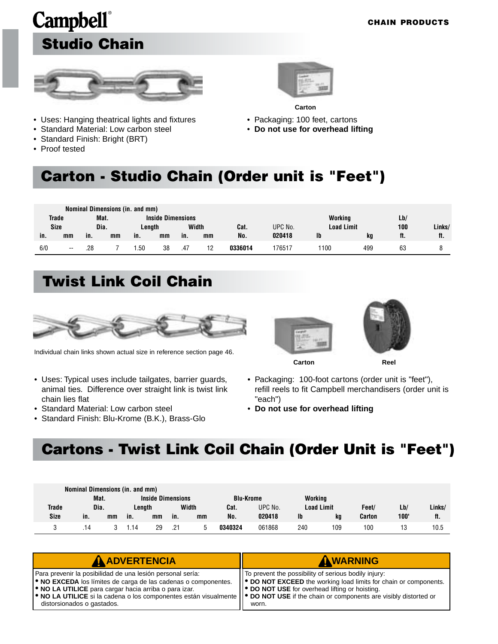### **Campbell**® **Studio Chain**



- Uses: Hanging theatrical lights and fixtures
- Standard Material: Low carbon steel
- Standard Finish: Bright (BRT)
- Proof tested



**Carton**

- Packaging: 100 feet, cartons
- **Do not use for overhead lifting**

#### **Carton - Studio Chain (Order unit is "Feet")**

|     |              |      |      | Nominal Dimensions (in. and mm) |                          |     |       |         |         |                   |     |     |        |
|-----|--------------|------|------|---------------------------------|--------------------------|-----|-------|---------|---------|-------------------|-----|-----|--------|
|     | <b>Trade</b> |      | Mat. |                                 | <b>Inside Dimensions</b> |     |       |         |         | Working           |     | Lb/ |        |
|     | <b>Size</b>  | Dia. |      | Lenath                          |                          |     | Width | Cat.    | UPC No. | <b>Load Limit</b> |     | 100 | Links/ |
| in. | mm           | in.  | mm   | in.                             | mm                       | in. | mm    | No.     | 020418  | Ib                | kg  | ft. | ft.    |
| 6/0 | $- -$        | .28  |      | .50                             | 38                       | .47 | 12    | 0336014 | 176517  | 1100              | 499 | 63  |        |

### **Twist Link Coil Chain**



Individual chain links shown actual size in reference section page 46.

- Uses: Typical uses include tailgates, barrier guards, animal ties. Difference over straight link is twist link chain lies flat
- Standard Material: Low carbon steel
- Standard Finish: Blu-Krome (B.K.), Brass-Glo





**Carton Reel**

- Packaging: 100-foot cartons (order unit is "feet"), refill reels to fit Campbell merchandisers (order unit is "each")
- **Do not use for overhead lifting**

#### **Cartons - Twist Link Coil Chain (Order Unit is "Feet")**

|              | Nominal Dimensions (in. and mm) |      |      |                          |     |       |                  |         |         |                   |        |      |        |
|--------------|---------------------------------|------|------|--------------------------|-----|-------|------------------|---------|---------|-------------------|--------|------|--------|
|              |                                 | Mat. |      | <b>Inside Dimensions</b> |     |       | <b>Blu-Krome</b> |         | Working |                   |        |      |        |
| <b>Trade</b> | Dia.                            |      |      | Lenath                   |     | Width | Cat.             | UPC No. |         | <b>Load Limit</b> | Feet/  | Lb/  | Links/ |
| <b>Size</b>  | in.                             | mm   | in.  | mm                       | in. | mm    | No.              | 020418  | Ib      | ka                | Carton | 100' | ft.    |
|              |                                 |      | 1.14 | 29                       | .21 | b     | 0340324          | 061868  | 240     | 109               | 100    | 13   | 10.5   |

| <b>A ADVERTENCIA</b>                                                                                                                                                                                                                                                                                                                                                                                           | AWARNING                                                                                                                                                                                     |
|----------------------------------------------------------------------------------------------------------------------------------------------------------------------------------------------------------------------------------------------------------------------------------------------------------------------------------------------------------------------------------------------------------------|----------------------------------------------------------------------------------------------------------------------------------------------------------------------------------------------|
| Para prevenir la posibilidad de una lesión personal sería:<br><b>. NO EXCEDA</b> los límites de carga de las cadenas o componentes.<br><b>.</b> NO LA UTILICE para cargar hacia arriba o para izar.<br>$\blacktriangleright$ NO LA UTILICE si la cadena o los componentes están visualmente $\blacktriangleright$ DO NOT USE if the chain or components are visibly distorted or<br>distorsionados o gastados. | IT To prevent the possibility of serious bodily injury:<br>   ● DO NOT EXCEED the working load limits for chain or components.<br>   ● DO NOT USE for overhead lifting or hoisting.<br>worn. |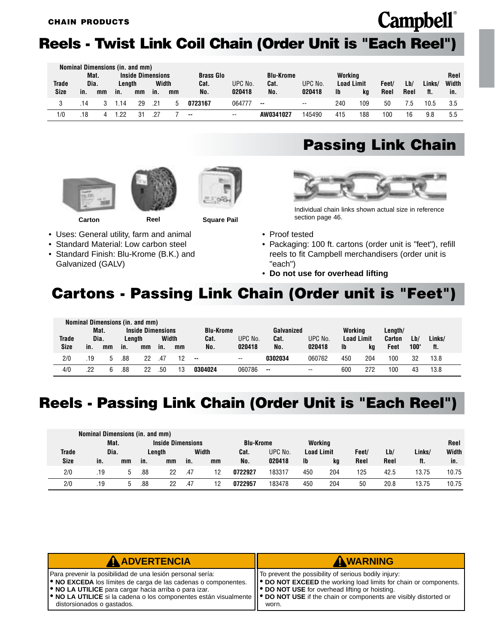#### <span id="page-21-0"></span>**Reels - Twist Link Coil Chain (Order Unit is "Each Reel")**

|             |     |      | Nominal Dimensions (in. and mm) |                          |       |    |                  |         |                  |                          |                   |     |       |      |        |       |
|-------------|-----|------|---------------------------------|--------------------------|-------|----|------------------|---------|------------------|--------------------------|-------------------|-----|-------|------|--------|-------|
|             |     | Mat. |                                 | <b>Inside Dimensions</b> |       |    | <b>Brass Glo</b> |         | <b>Blu-Krome</b> |                          | Workina           |     |       |      |        | Reel  |
| Trade       |     | Dia. | Lenath                          |                          | Width |    | Cat.             | UPC No. | Cat.             | UPC No.                  | <b>Load Limit</b> |     | Feet/ | Lb/  | Links/ | Width |
| <b>Size</b> | in. | mm   | in.                             | mm                       | in.   | mm | No.              | 020418  | No.              | 020418                   | <b>Ib</b>         | kq  | Reel  | Reel | ft.    | in.   |
|             | 14  |      | 14                              | 29                       | .21   |    | 0723167          | 064777  | $\sim$           | $\overline{\phantom{a}}$ | 240               | 109 | 50    | / .៦ | 10.5   | 3.5   |
| 1/0         | 18  |      | っっ                              |                          |       |    | $\sim$           | $- -$   | AW0341027        | 145490                   | 415               | 188 | 100   | 16   | 9.8    | 5.5   |





**Carton Reel Square Pail**

- Uses: General utility, farm and animal
- Standard Material: Low carbon steel
- Standard Finish: Blu-Krome (B.K.) and Galvanized (GALV)

#### **Passing Link Chain**



Individual chain links shown actual size in reference section page 46.

- Proof tested
- Packaging: 100 ft. cartons (order unit is "feet"), refill reels to fit Campbell merchandisers (order unit is "each")
- **Do not use for overhead lifting**

#### **Cartons - Passing Link Chain (Order unit is "Feet")**

|             |      |      |     | Nominal Dimensions (in. and mm) |       |    |                  |                          |            |         |                   |     |               |      |        |  |
|-------------|------|------|-----|---------------------------------|-------|----|------------------|--------------------------|------------|---------|-------------------|-----|---------------|------|--------|--|
|             |      | Mat. |     | <b>Inside Dimensions</b>        |       |    | <b>Blu-Krome</b> |                          | Galvanized |         | Working           |     | Length/       |      |        |  |
| Trade       | Dia. |      |     | Lenath                          | Width |    | Cat.             | UPC No.                  | Cat.       | UPC No. | <b>Load Limit</b> |     | <b>Carton</b> | Lb/  | Links/ |  |
| <b>Size</b> | in.  | mm   | in. | mm                              | in.   | mm | No.              | 020418                   | No.        | 020418  | <b>Ib</b>         | kg  | Feet          | 100" | ft.    |  |
| 2/0         | .19  |      | .88 | 22                              | .47   |    | --               | $\overline{\phantom{a}}$ | 0302034    | 060762  | 450               | 204 | 100           | 32   | 13.8   |  |
| 4/0         | .22  |      | .88 | 22                              | .50   |    | 0304024          | 060786                   | $- -$      | $- -$   | 600               | 272 | 100           | 43   | 13.8   |  |

#### **Reels - Passing Link Chain (Order Unit is "Each Reel")**

|             | Nominal Dimensions (in. and mm) |      |     |                          |     |       |                  |         |                   |     |       |      |        |       |
|-------------|---------------------------------|------|-----|--------------------------|-----|-------|------------------|---------|-------------------|-----|-------|------|--------|-------|
|             |                                 | Mat. |     | <b>Inside Dimensions</b> |     |       | <b>Blu-Krome</b> |         | Working           |     |       |      |        | Reel  |
| Trade       | Dia.                            |      |     | Lenath                   |     | Width | Cat.             | UPC No. | <b>Load Limit</b> |     | Feet/ | Lb/  | Links/ | Width |
| <b>Size</b> | in.                             | mm   | in. | mm                       | in. | mm    | No.              | 020418  | <b>Ib</b>         | kg  | Reel  | Reel | ft.    | in.   |
| 2/0         | .19                             | 5    | .88 | 22                       | .47 | 12    | 0722927          | 183317  | 450               | 204 | 125   | 42.5 | 13.75  | 10.75 |
| 2/0         | .19                             | b.   | .88 | 22                       | .47 | 12    | 0722957          | 183478  | 450               | 204 | 50    | 20.8 | 13.75  | 10.75 |

| AADVERTENCIA                                                                                                                                                                                                                                                                                                                                                                                                   | AWARNING                                                                                                                                                                                  |
|----------------------------------------------------------------------------------------------------------------------------------------------------------------------------------------------------------------------------------------------------------------------------------------------------------------------------------------------------------------------------------------------------------------|-------------------------------------------------------------------------------------------------------------------------------------------------------------------------------------------|
| Para prevenir la posibilidad de una lesión personal sería:<br><b>. NO EXCEDA</b> los límites de carga de las cadenas o componentes.<br><b>.</b> NO LA UTILICE para cargar hacia arriba o para izar.<br>$\blacktriangleright$ NO LA UTILICE si la cadena o los componentes están visualmente $\blacktriangleright$ DO NOT USE if the chain or components are visibly distorted or<br>distorsionados o gastados. | I To prevent the possibility of serious bodily injury:<br>  ● DO NOT EXCEED the working load limits for chain or components.<br>  ● DO NOT USE for overhead lifting or hoisting.<br>worn. |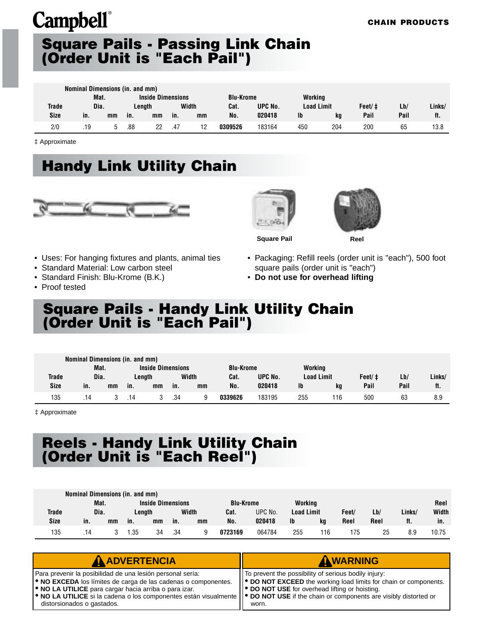#### <span id="page-22-0"></span>**Square Pails - Passing Link Chain (Order Unit is "Each Pail")**

|             | Nominal Dimensions (in. and mm) |    |     |                          |     |       |                  |         |                   |     |        |      |        |
|-------------|---------------------------------|----|-----|--------------------------|-----|-------|------------------|---------|-------------------|-----|--------|------|--------|
|             | Mat.                            |    |     | <b>Inside Dimensions</b> |     |       | <b>Blu-Krome</b> |         | Working           |     |        |      |        |
| Trade       | Dia.                            |    |     | Lenath                   |     | Width | Cat.             | UPC No. | <b>Load Limit</b> |     | Feet/‡ | Lb/  | Links/ |
| <b>Size</b> | in.                             | mm | in. | mm                       | in. | mm    | No.              | 020418  | $\mathbf{I}$      | ka  | Pail   | Pail | ft.    |
| 2/0         | .19                             |    | .88 | 22                       | .47 | 12    | 0309526          | 183164  | 450               | 204 | 200    | 65   | 13.8   |

‡ Approximate

#### **Handy Link Utility Chain**







**Square Pail Reel**

- Uses: For hanging fixtures and plants, animal ties
- Standard Material: Low carbon steel
- Standard Finish: Blu-Krome (B.K.)
- Proof tested

• Packaging: Refill reels (order unit is "each"), 500 foot square pails (order unit is "each")

• **Do not use for overhead lifting**

#### **Square Pails - Handy Link Utility Chain (Order Unit is "Each Pail")**

|             | Nominal Dimensions (in. and mm) |      |     |                          |     |       |                  |         |                   |    |        |      |        |
|-------------|---------------------------------|------|-----|--------------------------|-----|-------|------------------|---------|-------------------|----|--------|------|--------|
|             |                                 | Mat. |     | <b>Inside Dimensions</b> |     |       | <b>Blu-Krome</b> |         | Working           |    |        |      |        |
| Trade       | Dia.                            |      |     | Lenath                   |     | Width | Cat.             | UPC No. | <b>Load Limit</b> |    | Feet/‡ | Lb/  | Links/ |
| <b>Size</b> | in.                             | mm   | in. | mm                       | in. | mm    | No.              | 020418  | Ib                | ka | Pail   | Pail | ft.    |
| 135         | .14                             |      | .14 |                          | .34 | a     | 0339626          | 183195  | 255               | 16 | 500    | 63   | 8.9    |

‡ Approximate

#### **Reels - Handy Link Utility Chain (Order Unit is "Each Reel")**

|             | Nominal Dimensions (in. and mm) |    |        |                          |     |       |                  |         |                   |     |       |      |        |       |
|-------------|---------------------------------|----|--------|--------------------------|-----|-------|------------------|---------|-------------------|-----|-------|------|--------|-------|
|             | Mat.                            |    |        | <b>Inside Dimensions</b> |     |       | <b>Blu-Krome</b> |         | Working           |     |       |      |        | Reel  |
| Trade       | Dia.                            |    | Lenath |                          |     | Width | Cat.             | UPC No. | <b>Load Limit</b> |     | Feet/ | Lb/  | Links/ | Width |
| <b>Size</b> | in.                             | mm | in.    | mm                       | in. | mm    | No.              | 020418  | $\mathbf{I}$      | kg  | Reel  | Reel | ft.    | in.   |
| 135         | .14                             |    | .35    | 34                       | .34 |       | 0723169          | 064784  | 255               | 116 | 175   | 25   | 8.9    | 10.75 |

| <b>A ADVERTENCIA</b>                                                                                                                                                                                                                                                                                                                                                                                           | AWARNING                                                                                                                                                                                             |
|----------------------------------------------------------------------------------------------------------------------------------------------------------------------------------------------------------------------------------------------------------------------------------------------------------------------------------------------------------------------------------------------------------------|------------------------------------------------------------------------------------------------------------------------------------------------------------------------------------------------------|
| Para prevenir la posibilidad de una lesión personal sería:<br><b>.</b> NO EXCEDA los límites de carga de las cadenas o componentes.<br><b>.</b> NO LA UTILICE para cargar hacia arriba o para izar.<br>$\blacktriangleright$ NO LA UTILICE si la cadena o los componentes están visualmente $\blacktriangleright$ DO NOT USE if the chain or components are visibly distorted or<br>distorsionados o gastados. | To prevent the possibility of serious bodily injury:<br>   ● DO NOT EXCEED the working load limits for chain or components.<br>II <sup>●</sup> DO NOT USE for overhead lifting or hoisting.<br>worn. |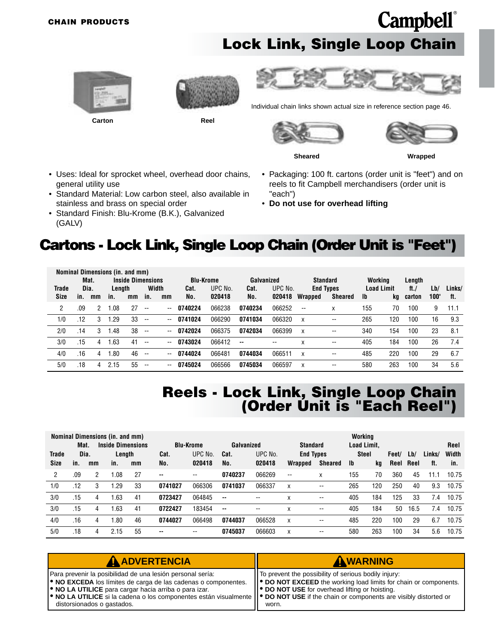#### <span id="page-23-0"></span>**CHAIN PRODUCTS**

#### **Lock Link, Single Loop Chain**







Individual chain links shown actual size in reference section page 46.



**Campbell**®

**Sheared Wrapped**

- Uses: Ideal for sprocket wheel, overhead door chains, general utility use
- Standard Material: Low carbon steel, also available in stainless and brass on special order
- Standard Finish: Blu-Krome (B.K.), Galvanized (GALV)
- Packaging: 100 ft. cartons (order unit is "feet") and on reels to fit Campbell merchandisers (order unit is "each")
- **Do not use for overhead lifting**

#### **Cartons - Lock Link, Single Loop Chain (Order Unit is "Feet")**

|             |      |      | Nominal Dimensions (in. and mm) |                          |                          |       |                  |         |            |                          |                 |                          |           |                   |              |      |        |
|-------------|------|------|---------------------------------|--------------------------|--------------------------|-------|------------------|---------|------------|--------------------------|-----------------|--------------------------|-----------|-------------------|--------------|------|--------|
|             |      | Mat. |                                 | <b>Inside Dimensions</b> |                          |       | <b>Blu-Krome</b> |         | Galvanized |                          | <b>Standard</b> |                          |           | Working           | Length       |      |        |
| Trade       | Dia. |      | Length                          |                          | Width                    |       | Cat.             | UPC No. | Cat.       | UPC No.                  |                 | <b>End Types</b>         |           | <b>Load Limit</b> | ft. $\prime$ | Lb/  | Links/ |
| <b>Size</b> | in.  | mm   | in.                             | mm                       | in.                      | mm    | No.              | 020418  | No.        | 020418                   | Wrapped         | <b>Sheared</b>           | <b>lb</b> | kq                | carton       | 100' | ft.    |
| 2           | .09  | 2    | .08                             | 27                       | $-$                      | --    | 0740224          | 066238  | 0740234    | 066252                   | --              | X                        | 155       | 70                | 100          | 9    | 11.1   |
| 1/0         | .12  | 3    | .29                             | 33                       | $\overline{\phantom{a}}$ | --    | 0741024          | 066290  | 0741034    | 066320                   | X               | $\overline{\phantom{a}}$ | 265       | 120               | 100          | 16   | 9.3    |
| 2/0         | .14  | 3    | .48                             | 38                       | $\overline{\phantom{a}}$ | $- -$ | 0742024          | 066375  | 0742034    | 066399                   | X               | $\overline{\phantom{a}}$ | 340       | 154               | 100          | 23   | 8.1    |
| 3/0         | .15  | 4    | .63                             | 41                       | $-$                      | $- -$ | 0743024          | 066412  | $\sim$     | $\overline{\phantom{a}}$ | x               | $- -$                    | 405       | 184               | 100          | 26   | 7.4    |
| 4/0         | .16  | 4    | .80                             | 46                       | $-$                      | --    | 0744024          | 066481  | 0744034    | 066511                   | X               | $- -$                    | 485       | 220               | 100          | 29   | 6.7    |
| 5/0         | .18  | 4    | 2.15                            | 55                       | $-$                      | --    | 0745024          | 066566  | 0745034    | 066597                   | Χ               | $- -$                    | 580       | 263               | 100          | 34   | 5.6    |

#### **Reels - Lock Link, Single Loop Chain (Order Unit is "Each Reel")**

|       |      |              | Nominal Dimensions (in. and mm) |    |               |                          |            |         |                  |                | Working            |     |       |      |        |       |
|-------|------|--------------|---------------------------------|----|---------------|--------------------------|------------|---------|------------------|----------------|--------------------|-----|-------|------|--------|-------|
|       | Mat. |              | <b>Inside Dimensions</b>        |    |               | <b>Blu-Krome</b>         | Galvanized |         | <b>Standard</b>  |                | <b>Load Limit.</b> |     |       |      |        | Reel  |
| Trade | Dia. |              | Length                          |    | Cat.          | UPC No.                  | Cat.       | UPC No. | <b>End Types</b> |                | <b>Steel</b>       |     | Feet/ | Lb/  | Links/ | Width |
| Size  | in.  | mm           | in.                             | mm | No.           | 020418                   | No.        | 020418  | Wrapped          | <b>Sheared</b> | Ib                 | kg  | Reel  | Reel | ft.    | in.   |
| 2     | .09  | $\mathbf{2}$ | l.08                            | 27 | $\sim$ $\sim$ | $\overline{\phantom{a}}$ | 0740237    | 066269  | --               | X              | 155                | 70  | 360   | 45   | 11.1   | 10.75 |
| 1/0   | .12  | 3            | l.29                            | 33 | 0741027       | 066306                   | 0741037    | 066337  | X                | --             | 265                | 120 | 250   | 40   | 9.3    | 10.75 |
| 3/0   | .15  | 4            | .63                             | 41 | 0723427       | 064845                   | $\sim$     | $- -$   | X                | --             | 405                | 184 | 125   | 33   | 7.4    | 10.75 |
| 3/0   | .15  | 4            | .63                             | 41 | 0722427       | 183454                   | $\sim$     | $- -$   | X                | --             | 405                | 184 | 50    | 16.5 | 7.4    | 10.75 |
| 4/0   | .16  | 4            | .80                             | 46 | 0744027       | 066498                   | 0744037    | 066528  | X                | --             | 485                | 220 | 100   | 29   | 6.7    | 10.75 |
| 5/0   | .18  | 4            | 2.15                            | 55 | $- -$         | $- -$                    | 0745037    | 066603  | X                | --             | 580                | 263 | 100   | 34   | 5.6    | 10.75 |

| AADVERTENCIA                                                                                                                                                                                                                                                                                                                                                                   | AWARNING                                                                                                                                                                                |
|--------------------------------------------------------------------------------------------------------------------------------------------------------------------------------------------------------------------------------------------------------------------------------------------------------------------------------------------------------------------------------|-----------------------------------------------------------------------------------------------------------------------------------------------------------------------------------------|
| Para prevenir la posibilidad de una lesión personal sería:<br><b>. NO EXCEDA</b> los límites de carga de las cadenas o componentes.<br><b>ORIGIO NO LA UTILICE</b> para cargar hacia arriba o para izar.<br>• NO LA UTILICE si la cadena o los componentes están visualmente    • DO NOT USE if the chain or components are visibly distorted or<br>distorsionados o gastados. | To prevent the possibility of serious bodily injury:<br>  ● DO NOT EXCEED the working load limits for chain or components.<br>  ● DO NOT USE for overhead lifting or hoisting.<br>worn. |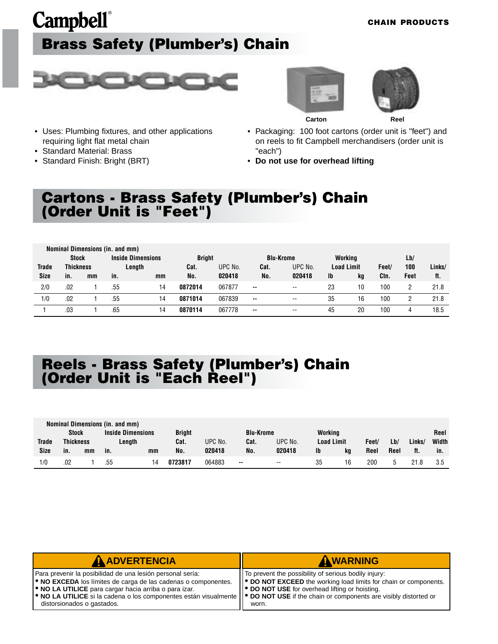### <span id="page-24-0"></span>**Campbell**® **Brass Safety (Plumber's) Chain**

#### **CHAIN PRODUCTS**



• Uses: Plumbing fixtures, and other applications

requiring light flat metal chain • Standard Material: Brass • Standard Finish: Bright (BRT)





**Carton Reel**

- Packaging: 100 foot cartons (order unit is "feet") and on reels to fit Campbell merchandisers (order unit is "each")
- **Do not use for overhead lifting**

#### **Cartons - Brass Safety (Plumber's) Chain (Order Unit is "Feet")**

|              |                  | Nominal Dimensions (in. and mm) |     |                          |               |         |                          |                          |    |                   |       |      |        |
|--------------|------------------|---------------------------------|-----|--------------------------|---------------|---------|--------------------------|--------------------------|----|-------------------|-------|------|--------|
|              | <b>Stock</b>     |                                 |     | <b>Inside Dimensions</b> | <b>Bright</b> |         | <b>Blu-Krome</b>         |                          |    | Working           |       | Lb/  |        |
| <b>Trade</b> | <b>Thickness</b> |                                 |     | Length                   | Cat.          | UPC No. | Cat.                     | UPC No.                  |    | <b>Load Limit</b> | Feet/ | 100  | Links/ |
| <b>Size</b>  | in.              | mm                              | in. | mm                       | No.           | 020418  | No.                      | 020418                   | Ib | kg                | Ctn.  | Feet | ft.    |
| 2/0          | .02              |                                 | .55 | 14                       | 0872014       | 067877  | $\overline{\phantom{a}}$ | $\overline{\phantom{a}}$ | 23 | 10                | 100   |      | 21.8   |
| 1/0          | .02              |                                 | .55 | 14                       | 0871014       | 067839  | $\sim$                   | $- -$                    | 35 | 16                | 100   |      | 21.8   |
|              | .03              |                                 | .65 | ۱4                       | 0870114       | 067778  | $\sim$ $\sim$            | $- -$                    | 45 | 20                | 100   | 4    | 18.5   |

#### **Reels - Brass Safety (Plumber's) Chain (Order Unit is "Each Reel")**

|              |                            |    | Nominal Dimensions (in. and mm) |                          |               |         |                   |                          |         |     |        |       |     |      |
|--------------|----------------------------|----|---------------------------------|--------------------------|---------------|---------|-------------------|--------------------------|---------|-----|--------|-------|-----|------|
|              | <b>Stock</b>               |    |                                 | <b>Inside Dimensions</b> | <b>Bright</b> |         | <b>Blu-Krome</b>  |                          | Working |     |        |       |     | Reel |
| <b>Trade</b> | <b>Thickness</b><br>Length |    | Cat.                            | UPC No.                  | Cat.          | UPC No. | <b>Load Limit</b> |                          | Feet/   | Lb/ | Links. | Width |     |      |
| Size         | in.                        | mm | in.                             | mm                       | No.           | 020418  | No.               | 020418                   | lb      | kg  | Reel   | Reel  | ft. | in.  |
| 1/0          | .02                        |    | .55                             | 14                       | 0723817       | 064883  | $\sim$ $\sim$     | $\overline{\phantom{a}}$ | 35      | 16  | 200    |       |     | 3.5  |

| <b>A ADVERTENCIA</b>                                                                                                                                                                                                                                                                                                                                                                                           | AWARNING                                                                                                                                                                                   |
|----------------------------------------------------------------------------------------------------------------------------------------------------------------------------------------------------------------------------------------------------------------------------------------------------------------------------------------------------------------------------------------------------------------|--------------------------------------------------------------------------------------------------------------------------------------------------------------------------------------------|
| Para prevenir la posibilidad de una lesión personal sería:<br><b>. NO EXCEDA</b> los límites de carga de las cadenas o componentes.<br><b>O</b> NO LA UTILICE para cargar hacia arriba o para izar.<br>$\blacktriangleright$ NO LA UTILICE si la cadena o los componentes están visualmente $\blacktriangleright$ DO NOT USE if the chain or components are visibly distorted or<br>distorsionados o gastados. | ITo prevent the possibility of serious bodily injury:<br>   ● DO NOT EXCEED the working load limits for chain or components.<br>   ● DO NOT USE for overhead lifting or hoisting.<br>worn. |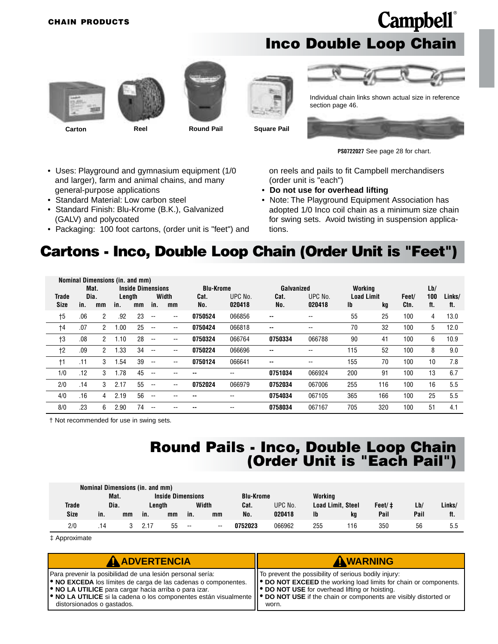#### **Inco Double Loop Chain**









Individual chain links shown actual size in reference section page 46.

**Carton Reel Round Pail Square Pail**



**PS0722027** See page 28 for chart.

- Uses: Playground and gymnasium equipment (1/0 and larger), farm and animal chains, and many general-purpose applications
- Standard Material: Low carbon steel
- Standard Finish: Blu-Krome (B.K.), Galvanized (GALV) and polycoated
- Packaging: 100 foot cartons, (order unit is "feet") and

on reels and pails to fit Campbell merchandisers (order unit is "each")

- **Do not use for overhead lifting**
- Note: The Playground Equipment Association has adopted 1/0 Inco coil chain as a minimum size chain for swing sets. Avoid twisting in suspension applications.

#### **Cartons - Inco, Double Loop Chain (Order Unit is "Feet")**

|              | Nominal Dimensions (in. and mm)<br><b>Inside Dimensions</b><br>Mat.<br>Working<br><b>Blu-Krome</b><br>Galvanized |                |        |    |                          |       |         |                          |               |                          |                   |     |       |     |        |
|--------------|------------------------------------------------------------------------------------------------------------------|----------------|--------|----|--------------------------|-------|---------|--------------------------|---------------|--------------------------|-------------------|-----|-------|-----|--------|
|              |                                                                                                                  |                |        |    |                          |       |         |                          |               |                          |                   |     |       | Lb/ |        |
| <b>Trade</b> |                                                                                                                  | Dia.           | Length |    |                          | Width | Cat.    | UPC No.                  | Cat.          | UPC No.                  | <b>Load Limit</b> |     | Feet/ | 100 | Links/ |
| Size         | in.                                                                                                              | mm             | in.    | mm | in.                      | mm    | No.     | 020418                   | No.           | 020418                   | Ib                | kq  | Ctn.  | ft. | ft.    |
| $+5$         | .06                                                                                                              | $\overline{2}$ | .92    | 23 | $\overline{\phantom{a}}$ | --    | 0750524 | 066856                   | $-$           | $\overline{\phantom{a}}$ | 55                | 25  | 100   | 4   | 13.0   |
| $+4$         | .07                                                                                                              | $\overline{2}$ | 1.00   | 25 | $-$                      | --    | 0750424 | 066818                   | $\sim$ $\sim$ | $- -$                    | 70                | 32  | 100   | 5   | 12.0   |
| $+3$         | .08                                                                                                              | $\overline{2}$ | 1.10   | 28 | $\overline{\phantom{a}}$ | --    | 0750324 | 066764                   | 0750334       | 066788                   | 90                | 41  | 100   | 6   | 10.9   |
| $+2$         | .09                                                                                                              | $^{2}$         | 1.33   | 34 | $\overline{\phantom{a}}$ | --    | 0750224 | 066696                   | $-$           | $-$                      | 115               | 52  | 100   | 8   | 9.0    |
| $\dagger$ 1  | .11                                                                                                              | 3              | 1.54   | 39 | $\overline{\phantom{a}}$ | --    | 0750124 | 066641                   | $-$           | $- -$                    | 155               | 70  | 100   | 10  | 7.8    |
| 1/0          | .12                                                                                                              | 3              | 1.78   | 45 | $- -$                    |       |         | $\overline{\phantom{a}}$ | 0751034       | 066924                   | 200               | 91  | 100   | 13  | 6.7    |
| 2/0          | .14                                                                                                              | 3              | 2.17   | 55 | $-$                      | --    | 0752024 | 066979                   | 0752034       | 067006                   | 255               | 116 | 100   | 16  | 5.5    |
| 4/0          | .16                                                                                                              | 4              | 2.19   | 56 | $\overline{\phantom{a}}$ |       |         | $-$                      | 0754034       | 067105                   | 365               | 166 | 100   | 25  | 5.5    |
| 8/0          | .23                                                                                                              | 6              | 2.90   | 74 | $- -$                    |       |         | $\overline{\phantom{a}}$ | 0758034       | 067167                   | 705               | 320 | 100   | 51  | 4.1    |

† Not recommended for use in swing sets.

#### **Round Pails - Inco, Double Loop Chain (Order Unit is "Each Pail")**

|              | Nominal Dimensions (in. and mm) |    |      |                          |       |       |                  |         |         |                   |        |      |        |
|--------------|---------------------------------|----|------|--------------------------|-------|-------|------------------|---------|---------|-------------------|--------|------|--------|
|              | Mat.                            |    |      | <b>Inside Dimensions</b> |       |       | <b>Blu-Krome</b> |         | Working |                   |        |      |        |
| <b>Trade</b> | Dia.                            |    |      | Lenath                   |       | Width | Cat.             | UPC No. |         | Load Limit, Steel | Feet/‡ | Lb/  | Links/ |
| Size         | in.                             | mm | in.  | mm                       | in.   | mm    | No.              | 020418  | lb      | ka                | Pail   | Pail | ft.    |
| 2/0          | .14                             |    | 2.17 | 55                       | $- -$ | $- -$ | 0752023          | 066962  | 255     | 116               | 350    | 56   | 5.5    |

‡ Approximate

| AADVERTENCIA                                                                                                                                                                                                                                                                                                                                                | AWARNING                                                                                                                                                                                               |
|-------------------------------------------------------------------------------------------------------------------------------------------------------------------------------------------------------------------------------------------------------------------------------------------------------------------------------------------------------------|--------------------------------------------------------------------------------------------------------------------------------------------------------------------------------------------------------|
| Para prevenir la posibilidad de una lesión personal sería:<br>• NO EXCEDA los límites de carga de las cadenas o componentes.<br>• NO LA UTILICE para cargar hacia arriba o para izar.<br>• NO LA UTILICE si la cadena o los componentes están visualmente    • DO NOT USE if the chain or components are visibly distorted or<br>distorsionados o gastados. | IT To prevent the possibility of serious bodily injury:<br>  ● DO NOT EXCEED the working load limits for chain or components.<br>   <sup>●</sup> DO NOT USE for overhead lifting or hoisting.<br>worn. |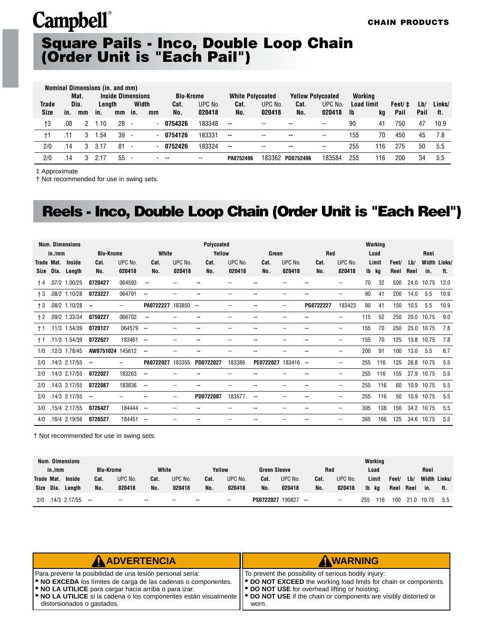#### **Square Pails - Inco, Double Loop Chain (Order Unit is "Each Pail")**

|       |     |      | Nominal Dimensions (in. and mm) |                          |                          |                          |                  |         |                         |                          |                          |                          |                   |     |             |      |        |
|-------|-----|------|---------------------------------|--------------------------|--------------------------|--------------------------|------------------|---------|-------------------------|--------------------------|--------------------------|--------------------------|-------------------|-----|-------------|------|--------|
|       |     | Mat. |                                 | <b>Inside Dimensions</b> |                          |                          | <b>Blu-Krome</b> |         | <b>White Polycoated</b> |                          | <b>Yellow Polycoated</b> |                          | Workina           |     |             |      |        |
| Trade |     | Dia. | Length                          |                          | Width                    |                          | Cat.             | UPC No. | Cat.                    | UPC No.                  | Cat.                     | UPC No.                  | <b>Load limit</b> |     | Feet/ $\pm$ | Lb/  | Links/ |
| Size  | in. | mm   | in.                             | mm                       | in.                      | mm                       | No.              | 020418  | No.                     | 020418                   | No.                      | 020418                   | -lb               | kg  | Pail        | Pail | ft.    |
| †3    | .08 |      | 1.10                            | 28                       | $\overline{\phantom{a}}$ | $\overline{\phantom{a}}$ | 0754326          | 183348  | $\sim$                  | $\overline{\phantom{m}}$ | --                       | $- -$                    | 90                | 41  | 750         | 47   | 10.9   |
|       |     | 3    | .54                             | 39                       | $\overline{\phantom{a}}$ |                          | 0754126          | 183331  | $\sim$                  | $\overline{\phantom{a}}$ | --                       | $\overline{\phantom{a}}$ | 155               | 70  | 450         | 45   | 7.8    |
| 2/0   | .14 | 3    | 3.17                            | 81                       | $\overline{\phantom{a}}$ |                          | 0752426          | 183324  | $\sim$                  | $\overline{\phantom{m}}$ | $\sim$                   | $\overline{\phantom{m}}$ | 255               | 116 | 275         | 50   | 5.5    |
| 2/0   | 14  | 3    | 2.17                            | 55                       | $\overline{\phantom{a}}$ |                          | $\sim$ $\sim$    | $- -$   | PA0752496               |                          | 183362 PD0752496         | 183584                   | 255               | 116 | 200         | 34   | 5.5    |

‡ Approximate

† Not recommended for use in swing sets.

#### **Reels - Inco, Double Loop Chain (Order Unit is "Each Reel")**

|       | in./mm | <b>Nom. Dimensions</b> | <b>Blu-Krome</b>         |            | White                    |         | Polycoated<br>Yellow |         | Green                    |         | <b>Red</b> |         |       | Working<br>Load |       |      | Reel         |      |
|-------|--------|------------------------|--------------------------|------------|--------------------------|---------|----------------------|---------|--------------------------|---------|------------|---------|-------|-----------------|-------|------|--------------|------|
| Trade | Mat.   | Inside                 | Cat.                     | UPC No.    | Cat.                     | UPC No. | Cat.                 | UPC No. | Cat.                     | UPC No. | Cat.       | UPC No. |       | Limit           | Feet/ | Lb/  | Width Links/ |      |
| Size  |        | Dia. Length            | No.                      | 020418     | No.                      | 020418  | No.                  | 020418  | No.                      | 020418  | No.        | 020418  | Ib kg |                 | Reel  | Reel | in.          | ft.  |
| $+4$  |        | .07/2 1.00/25          | 0720427                  | 064593     | --                       |         |                      |         |                          |         |            | --      | 70    | 32              | 500   | 24.0 | 10.75        | 12.0 |
| $+3$  |        | .08/2 1.10/28          | 0723227                  | 064791     | $\overline{\phantom{a}}$ |         |                      |         |                          | --      |            | --      | 90    | 41              | 200   | 14.0 | 5.5          | 10.9 |
| $+3$  |        | .08/2 1.10/28          | $\overline{\phantom{a}}$ | ٠.         | PA0722227                | 183850  | ٠.                   |         |                          | --      | PG0722227  | 183423  | 90    | 41              | 150   | 10.5 | 5.5          | 10.9 |
| $+2$  |        | .09/2 1.33/34          | 0750227                  | 066702     | $\overline{\phantom{a}}$ |         |                      |         | $- -$                    | --      | --         | --      | 115   | 52              | 250   | 20.0 | 10.75        | 9.0  |
| $+1$  |        | .11/3 1.54/39          | 0720127                  | $064579 -$ |                          |         |                      |         |                          |         |            | --      | 155   | 70              | 250   | 25.0 | 10.75        | 7.8  |
| $+1$  |        | .11/3 1.54/39          | 0722627                  | 183461 --  |                          |         |                      |         | $- -$                    |         | ٠.         | --      | 155   | 70              | 125   | 13.8 | 10.75        | 7.8  |
| 1/0   |        | .12/3 1.78/45          | AW0751024 145612         |            | $\mathbf{u}$             | --      |                      |         |                          |         |            | --      | 200   | 91              | 100   | 13.0 | 5.5          | 6.7  |
| 2/0   |        | .14/3 2.17/55          | $\overline{\phantom{a}}$ | --         | PA0722027                | 183355  | PD0722027            | 183386  | PE0722027 183416 --      |         |            | --      | 255   | 116             | 125   | 26.8 | 10.75        | 5.5  |
| 2/0   |        | $.14/3$ 2.17/55        | 0722027                  | 183263     | $\overline{\phantom{a}}$ |         |                      |         |                          |         |            | --      | 255   | 116             | 155   | 27.9 | 10.75        | 5.5  |
| 2/0   |        | .14/3 2.17/55          | 0722087                  | 183836     | $\overline{\phantom{a}}$ | --      |                      |         |                          |         |            | --      | 255   | 116             | 60    | 10.9 | 10.75        | 5.5  |
| 2/0   |        | $.14/3$ 2.17/55        | $\sim$                   |            |                          | --      | PD0722087            | 183577  | $\overline{\phantom{a}}$ | --      |            | --      | 255   | 116             | 50    | 10.9 | 10.75        | 5.5  |
| 3/0   |        | .15/4 2.17/55          | 0726427                  | 184444     | $\overline{\phantom{a}}$ |         |                      |         |                          |         |            | --      | 305   | 138             | 150   | 34.2 | 10.75        | 5.5  |
| 4/0   |        | .16/4 2.19/56          | 0726527                  | 184451     | $\overline{\phantom{a}}$ |         |                      |         |                          |         |            | --      | 365   | 166             | 125   | 34.6 | 10.75        | 5.5  |

† Not recommended for use in swing sets.

|              | Nom. Dimensions |                  |         |       |         |        |         |                     |            |      |                          | Working         |       |      |              |     |
|--------------|-----------------|------------------|---------|-------|---------|--------|---------|---------------------|------------|------|--------------------------|-----------------|-------|------|--------------|-----|
| in./mm       |                 | <b>Blu-Krome</b> |         | White |         |        | Yellow  | <b>Green Sleeve</b> |            |      | Red                      | Load            |       |      | Reel         |     |
| Trade Mat.   | Inside          | Cat.             | UPC No. | Cat.  | UPC No. | Cat.   | UPC No. | Cat.                | UPC No.    | Cat. | UPC No.                  | Limit           | Feet/ | Lb/  | Width Links/ |     |
| Dia.<br>Size | Lenath          | No.              | 020418  | No.   | 020418  | No.    | 020418  | No.                 | 020418     | No.  | 020418                   | <b>Ib</b><br>ka | Reel  | Reel | in.          | ft. |
| 2/0          | .14/3 2.17/55   | $\sim$           | $\sim$  | $-$   | --      | $\sim$ | --      | PS0722027           | $190827 -$ |      | $\overline{\phantom{a}}$ | 255<br>116      | 100   | 21.0 | 10.75        | 5.5 |

| <b>A ADVERTENCIA</b>                                                                                                                                                                                                                                                                                                                                                                                           | AWARNING                                                                                                                                                                                                |
|----------------------------------------------------------------------------------------------------------------------------------------------------------------------------------------------------------------------------------------------------------------------------------------------------------------------------------------------------------------------------------------------------------------|---------------------------------------------------------------------------------------------------------------------------------------------------------------------------------------------------------|
| Para prevenir la posibilidad de una lesión personal sería:<br><b>.</b> NO EXCEDA los límites de carga de las cadenas o componentes.<br><b>.</b> NO LA UTILICE para cargar hacia arriba o para izar.<br>$\blacktriangleright$ NO LA UTILICE si la cadena o los componentes están visualmente $\blacktriangleright$ DO NOT USE if the chain or components are visibly distorted or<br>distorsionados o gastados. | IT To prevent the possibility of serious bodily injury:<br>   ● DO NOT EXCEED the working load limits for chain or components.<br>II <sup>●</sup> DO NOT USE for overhead lifting or hoisting.<br>worn. |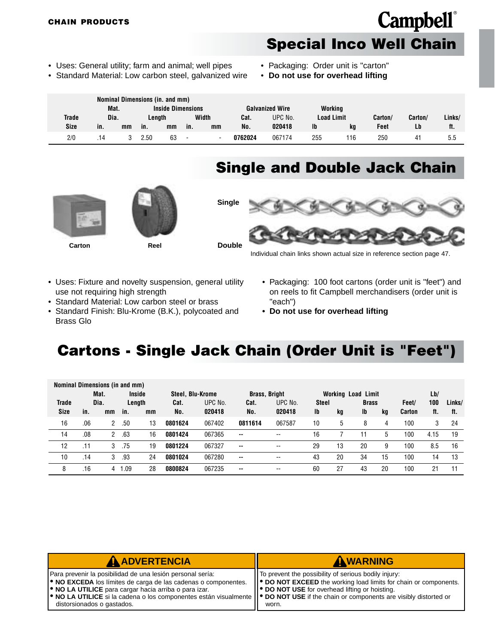### **Special Inco Well Chain**

**Campbell**®

- <span id="page-27-0"></span>• Uses: General utility; farm and animal; well pipes
- Standard Material: Low carbon steel, galvanized wire
- Packaging: Order unit is "carton"
- **Do not use for overhead lifting**

|       |      |    |        | Nominal Dimensions (in. and mm) |                          |                          |         |                        |                   |     |         |                |        |
|-------|------|----|--------|---------------------------------|--------------------------|--------------------------|---------|------------------------|-------------------|-----|---------|----------------|--------|
|       | Mat. |    |        | <b>Inside Dimensions</b>        |                          |                          |         | <b>Galvanized Wire</b> | Working           |     |         |                |        |
| Trade | Dia. |    | Lenath |                                 | Width                    |                          | Cat.    | UPC No.                | <b>Load Limit</b> |     | Carton/ | Carton/        | Links/ |
| Size  | in.  | mm | in.    | mm                              | in.                      | mm                       | No.     | 020418                 | lb                | kg  | Feet    | Lb             | ft.    |
| 2/0   | .14  |    | 2.50   | 63                              | $\overline{\phantom{0}}$ | $\overline{\phantom{a}}$ | 0762024 | 067174                 | 255               | 116 | 250     | 4 <sub>1</sub> | 5.5    |

#### **Single and Double Jack Chain**







Individual chain links shown actual size in reference section page 47.

- Uses: Fixture and novelty suspension, general utility use not requiring high strength
- Standard Material: Low carbon steel or brass
- Standard Finish: Blu-Krome (B.K.), polycoated and Brass Glo
- Packaging: 100 foot cartons (order unit is "feet") and on reels to fit Campbell merchandisers (order unit is "each")
- **Do not use for overhead lifting**

#### **Cartons - Single Jack Chain (Order Unit is "Feet")**

| Nominal Dimensions (in and mm) |     |                |     |               |                  |        |                      |         |              |                           |              |    |               |      |        |
|--------------------------------|-----|----------------|-----|---------------|------------------|--------|----------------------|---------|--------------|---------------------------|--------------|----|---------------|------|--------|
|                                |     | Mat.           |     | <b>Inside</b> | Steel, Blu-Krome |        | <b>Brass, Bright</b> |         |              | <b>Working Load Limit</b> |              |    |               | Lb/  |        |
| <b>Trade</b>                   |     | Dia.<br>Length |     |               | UPC No.<br>Cat.  |        | Cat.                 | UPC No. | <b>Steel</b> |                           | <b>Brass</b> |    | Feet/         | 100  | Links/ |
| <b>Size</b>                    | in. | mm             | in. | mm            | No.              | 020418 | No.                  | 020418  | Ib           | kg                        | Ib           | kq | <b>Carton</b> | ft.  | ft.    |
| 16                             | .06 | 2              | .50 | 13            | 0801624          | 067402 | 0811614              | 067587  | 10           | 5                         | 8            | 4  | 100           | 3    | 24     |
| 14                             | .08 | 2              | .63 | 16            | 0801424          | 067365 | --                   | --      | 16           |                           |              | 5  | 100           | 4.15 | 19     |
| 12                             | .11 | 3              | .75 | 19            | 0801224          | 067327 | $\sim$               | $- -$   | 29           | 13                        | 20           | 9  | 100           | 8.5  | 16     |
| 10                             | .14 | 3              | .93 | 24            | 0801024          | 067280 | $\sim$ $\sim$        | --      | 43           | 20                        | 34           | 15 | 100           | 14   | 13     |
| 8                              | .16 | 4              | .09 | 28            | 0800824          | 067235 | $\sim$ $\sim$        | --      | 60           | 27                        | 43           | 20 | 100           | 21   | 11     |

| AADVERTENCIA                                                                                                                                                                                                                                                                                                                                     | AWARNING                                                                                                                                  |
|--------------------------------------------------------------------------------------------------------------------------------------------------------------------------------------------------------------------------------------------------------------------------------------------------------------------------------------------------|-------------------------------------------------------------------------------------------------------------------------------------------|
| Para prevenir la posibilidad de una lesión personal sería:                                                                                                                                                                                                                                                                                       | IT To prevent the possibility of serious bodily injury:                                                                                   |
| <b>. NO EXCEDA</b> los límites de carga de las cadenas o componentes.<br><b>.</b> NO LA UTILICE para cargar hacia arriba o para izar.<br>$\blacktriangleright$ NO LA UTILICE si la cadena o los componentes están visualmente $\blacktriangleright$ DO NOT USE if the chain or components are visibly distorted or<br>distorsionados o gastados. | ● DO NOT EXCEED the working load limits for chain or components.<br>II <sup>●</sup> DO NOT USE for overhead lifting or hoisting.<br>worn. |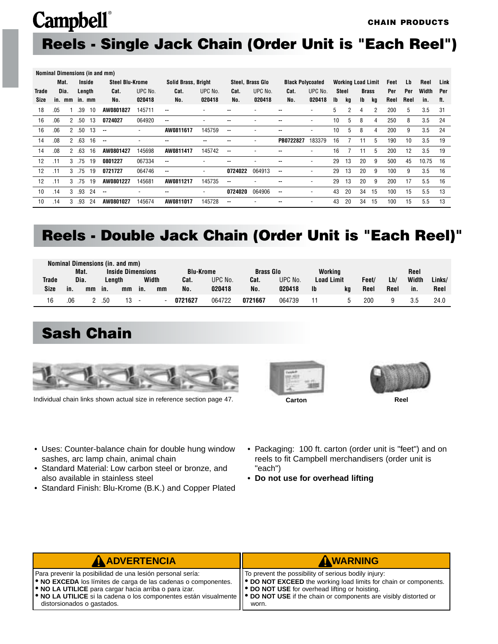#### <span id="page-28-0"></span>**Reels - Single Jack Chain (Order Unit is "Each Reel")**

|              |      |              |        |        | Nominal Dimensions (in and mm) |         |                            |         |         |                  |                          |         |     |                           |           |              |      |      |       |      |
|--------------|------|--------------|--------|--------|--------------------------------|---------|----------------------------|---------|---------|------------------|--------------------------|---------|-----|---------------------------|-----------|--------------|------|------|-------|------|
|              | Mat. |              |        | Inside | <b>Steel Blu-Krome</b>         |         | <b>Solid Brass, Bright</b> |         |         | Steel, Brass Glo | <b>Black Polycoated</b>  |         |     | <b>Working Load Limit</b> |           |              | Feet | Lb   | Reel  | Link |
| <b>Trade</b> |      | Dia.         |        | Length | Cat.                           | UPC No. | Cat.                       | UPC No. | Cat.    | UPC No.          | Cat.                     | UPC No. |     | Steel                     |           | <b>Brass</b> | Per  | Per  | Width | Per  |
| Size         |      | in. mm       |        | in. mm | No.                            | 020418  | No.                        | 020418  | No.     | 020418           | No.                      | 020418  | lb. | kq                        | <b>Ib</b> | ka           | Reel | Reel | in.   | ft.  |
| 18           | .05  |              | .39    | 10     | AW0801827                      | 145711  | $-$                        |         |         |                  |                          |         | 5   | 2                         | 4         | 2            | 200  | 5    | 3.5   | 31   |
| 16           | .06  | $\mathbf{2}$ | .50    | 13     | 0724027                        | 064920  | $\overline{\phantom{a}}$   |         | --      |                  | --                       |         | 10  | 5                         | 8         | 4            | 250  | 8    | 3.5   | 24   |
| 16           | .06  | $^{2}$       | .50    | 13     | $\overline{\phantom{a}}$       | ۰       | AW0811617                  | 145759  | --      |                  | --                       |         | 10  | 5                         | 8         | 4            | 200  | 9    | 3.5   | 24   |
| 14           | .08  | $\mathbf{2}$ | .63    | 16     | $-$                            |         | --                         | --      | --      |                  | PB0722827                | 183379  | 16  |                           | 11        | 5            | 190  | 10   | 3.5   | 19   |
| 14           | .08  | 2            | .63    | 16     | AW0801427                      | 145698  | AW0811417                  | 145742  | --      |                  |                          | ٠       | 16  |                           | 11        | 5            | 200  | 12   | 3.5   | 19   |
| 12           | .11  | 3            | .75    | 19     | 0801227                        | 067334  | $\overline{\phantom{a}}$   |         | --      |                  |                          |         | 29  | 13                        | 20        | 9            | 500  | 45   | 10.75 | 16   |
| 12           | .11  |              | 3, .75 | 19     | 0721727                        | 064746  | $\mathbf{u}$               | ٠       | 0724022 | 064913           | $\overline{\phantom{a}}$ |         | 29  | 13                        | 20        | 9            | 100  | 9    | 3.5   | 16   |
| 12           | .11  |              | 3, .75 | 19     | AW0801227                      | 145681  | AW0811217                  | 145735  | --      |                  |                          |         | 29  | 13                        | 20        | 9            | 200  | 17   | 5.5   | 16   |
| 10           | .14  | 3            | .93    | 24     | $\overline{\phantom{a}}$       |         | $\overline{\phantom{a}}$   | ٠       | 0724020 | 064906           | $\overline{\phantom{a}}$ |         | 43  | 20                        | 34        | 15           | 100  | 15   | 5.5   | 13   |
| 10           | .14  | 3            | .93    | 24     | AW0801027                      | 145674  | AW0811017                  | 145728  | --      |                  |                          |         | 43  | 20                        | 34        | 15           | 100  | 15   | 5.5   | 13   |

#### **Reels - Double Jack Chain (Order Unit is "Each Reel)"**

|              |     |      |     | Nominal Dimensions (in. and mm) |                          |       |                  |         |                  |         |                   |         |       |      |       |        |
|--------------|-----|------|-----|---------------------------------|--------------------------|-------|------------------|---------|------------------|---------|-------------------|---------|-------|------|-------|--------|
|              |     | Mat. |     | <b>Inside Dimensions</b>        |                          |       | <b>Blu-Krome</b> |         | <b>Brass Glo</b> |         |                   | Working |       |      | Reel  |        |
| <b>Trade</b> |     | Dia. |     | Lenath                          |                          | Width | Cat.             | UPC No. | Cat.             | UPC No. | <b>Load Limit</b> |         | Feet/ | Lb/  | Width | Links/ |
| Size         | in. | mm   | in. | mm                              | in.                      | mm    | No.              | 020418  | No.              | 020418  | <b>Ib</b>         | ka      | Reel  | Reel | in.   | Reel   |
| 16           | .06 |      | .50 | 13                              | $\overline{\phantom{a}}$ |       | 0721627          | 064722  | 0721667          | 064739  |                   |         | 200   | 9    | 3.5   | 24.0   |

#### **Sash Chain**



Individual chain links shown actual size in reference section page 47.





- Uses: Counter-balance chain for double hung window sashes, arc lamp chain, animal chain
- Standard Material: Low carbon steel or bronze, and also available in stainless steel
- Standard Finish: Blu-Krome (B.K.) and Copper Plated
- Packaging: 100 ft. carton (order unit is "feet") and on reels to fit Campbell merchandisers (order unit is "each")
- **Do not use for overhead lifting**

| <b>A ADVERTENCIA</b>                                                                                                                                                                                                                                                                                                                                                        | AWARNING                                                                                                                                                                                                  |
|-----------------------------------------------------------------------------------------------------------------------------------------------------------------------------------------------------------------------------------------------------------------------------------------------------------------------------------------------------------------------------|-----------------------------------------------------------------------------------------------------------------------------------------------------------------------------------------------------------|
| Para prevenir la posibilidad de una lesión personal sería:<br><b>. NO EXCEDA</b> los límites de carga de las cadenas o componentes.<br><b>O</b> NO LA UTILICE para cargar hacia arriba o para izar.<br>  ● NO LA UTILICE si la cadena o los componentes están visualmente    ● DO NOT USE if the chain or components are visibly distorted or<br>distorsionados o gastados. | IT To prevent the possibility of serious bodily injury:<br>$  \bullet$ DO NOT EXCEED the working load limits for chain or components.<br><b>  ● DO NOT USE</b> for overhead lifting or hoisting.<br>worn. |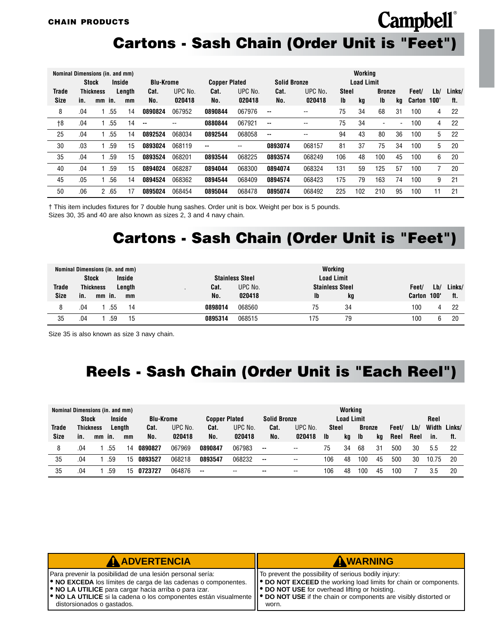#### **Cartons - Sash Chain (Order Unit is "Feet")**

**Campbell**®

| Nominal Dimensions (in. and mm) |     |                  |     |        |                          |         |                      | Working |                     |         |              |                   |                          |                          |            |     |        |
|---------------------------------|-----|------------------|-----|--------|--------------------------|---------|----------------------|---------|---------------------|---------|--------------|-------------------|--------------------------|--------------------------|------------|-----|--------|
|                                 |     | <b>Stock</b>     |     | Inside | <b>Blu-Krome</b>         |         | <b>Copper Plated</b> |         | <b>Solid Bronze</b> |         |              | <b>Load Limit</b> |                          |                          |            |     |        |
| <b>Trade</b>                    |     | <b>Thickness</b> |     | Length | Cat.                     | UPC No. | Cat.                 | UPC No. | Cat.                | UPC No. | <b>Steel</b> |                   | <b>Bronze</b>            |                          | Feet/      | Lb/ | Links/ |
| Size                            | in. | mm in.           |     | mm     | No.                      | 020418  | No.                  | 020418  | No.                 | 020418  | Ib           | kg                | Ib                       | kq                       | Carton 100 |     | ft.    |
| 8                               | .04 |                  | .55 | 14     | 0890824                  | 067952  | 0890844              | 067976  | $\sim$              | --      | 75           | 34                | 68                       | 31                       | 100        | 4   | 22     |
| $+8$                            | .04 |                  | .55 | 14     | $\overline{\phantom{a}}$ | --      | 0880844              | 067921  | $\sim$              | --      | 75           | 34                | $\overline{\phantom{0}}$ | $\overline{\phantom{a}}$ | 100        | 4   | 22     |
| 25                              | .04 |                  | .55 | 14     | 0892524                  | 068034  | 0892544              | 068058  | $\sim$              | --      | 94           | 43                | 80                       | 36                       | 100        | 5   | 22     |
| 30                              | .03 |                  | .59 | 15     | 0893024                  | 068119  | $\sim$ $\sim$        | --      | 0893074             | 068157  | 81           | 37                | 75                       | 34                       | 100        | 5   | 20     |
| 35                              | .04 |                  | .59 | 15     | 0893524                  | 068201  | 0893544              | 068225  | 0893574             | 068249  | 106          | 48                | 100                      | 45                       | 100        | 6   | 20     |
| 40                              | .04 |                  | .59 | 15     | 0894024                  | 068287  | 0894044              | 068300  | 0894074             | 068324  | 131          | 59                | 125                      | 57                       | 100        |     | 20     |
| 45                              | .05 |                  | .56 | 14     | 0894524                  | 068362  | 0894544              | 068409  | 0894574             | 068423  | 175          | 79                | 163                      | 74                       | 100        | 9   | 21     |
| 50                              | .06 | $\overline{2}$   | .65 | 17     | 0895024                  | 068454  | 0895044              | 068478  | 0895074             | 068492  | 225          | 102               | 210                      | 95                       | 100        | 11  | 21     |

† This item includes fixtures for 7 double hung sashes. Order unit is box. Weight per box is 5 pounds. Sizes 30, 35 and 40 are also known as sizes 2, 3 and 4 navy chain.

#### **Cartons - Sash Chain (Order Unit is "Feet")**

|               | <b>Stock</b> |                              | Nominal Dimensions (in. and mm)<br><b>Inside</b> |                        | <b>Stainless Steel</b> | Working<br><b>Load Limit</b> |    |                 |             |               |
|---------------|--------------|------------------------------|--------------------------------------------------|------------------------|------------------------|------------------------------|----|-----------------|-------------|---------------|
| Trade<br>Size | in.          | <b>Thickness</b><br>$mm$ in. | Length<br>mm                                     | Cat.<br>$\cdot$<br>No. | UPC No.<br>020418      | <b>Stainless Steel</b><br>Ib | kg | Feet/<br>Carton | Lb/<br>100" | Links/<br>ft. |
| 8             | .04          | .55                          | 14                                               | 0898014                | 068560                 | 75                           | 34 | 100             | 4           | 22            |
| 35            | .04          | .59                          | 15                                               | 0895314                | 068515                 | 175                          | 79 | 100             | հ           | 20            |

Size 35 is also known as size 3 navy chain.

### **Reels - Sash Chain (Order Unit is "Each Reel")**

| Nominal Dimensions (in. and mm) |                  |    |               |        |                  |         |                      |         |                     |         |              | Workina           |               |    |       |      |           |              |
|---------------------------------|------------------|----|---------------|--------|------------------|---------|----------------------|---------|---------------------|---------|--------------|-------------------|---------------|----|-------|------|-----------|--------------|
|                                 | <b>Stock</b>     |    | <b>Inside</b> |        | <b>Blu-Krome</b> |         | <b>Copper Plated</b> |         | <b>Solid Bronze</b> |         |              | <b>Load Limit</b> |               |    |       |      | Reel      |              |
| Trade                           | <b>Thickness</b> |    |               | Length | Cat.             | UPC No. | Cat.                 | UPC No. | Cat.                | UPC No. | <b>Steel</b> |                   | <b>Bronze</b> |    | Feet/ | Lb/  |           | Width Links/ |
| <b>Size</b>                     | in.              | mm | in.           | mm     | No.              | 020418  | No.                  | 020418  | No.                 | 020418  | <b>Ib</b>    | kg                | Ib            | kq | Reel  | Reel | in.       | tt.          |
| 8                               | .04              |    | .55           | 14     | 0890827          | 067969  | 0890847              | 067983  | $\sim$ $\sim$       | --      | 75           | 34                | 68            | 31 | 500   | 30   | 5.5       | 22           |
| 35                              | .04              |    | .59           | 15     | 0893527          | 068218  | 0893547              | 068232  | $\sim$              | --      | 106          | 48                | 100           | 45 | 500   | 30   | 10.<br>75 | 20           |
| 35                              | .04              |    | .59           | 15     | 0723727          | 064876  | $\sim$               | $- -$   | $\sim$              | --      | 106          | 48                | 100           | 45 | 100   |      | 3.5       | 20           |

| <b>A ADVERTENCIA</b>                                                                                                                                               | AWARNING                                                                                                                    |
|--------------------------------------------------------------------------------------------------------------------------------------------------------------------|-----------------------------------------------------------------------------------------------------------------------------|
| Para prevenir la posibilidad de una lesión personal sería:                                                                                                         | To prevent the possibility of serious bodily injury:                                                                        |
| <b>.</b> NO EXCEDA los límites de carga de las cadenas o componentes.<br><b>.</b> NO LA UTILICE para cargar hacia arriba o para izar.                              | ● DO NOT EXCEED the working load limits for chain or components.<br><b>  ● DO NOT USE</b> for overhead lifting or hoisting. |
| • NO LA UTILICE si la cadena o los componentes están visualmente    • DO NOT USE if the chain or components are visibly distorted or<br>distorsionados o gastados. | worn.                                                                                                                       |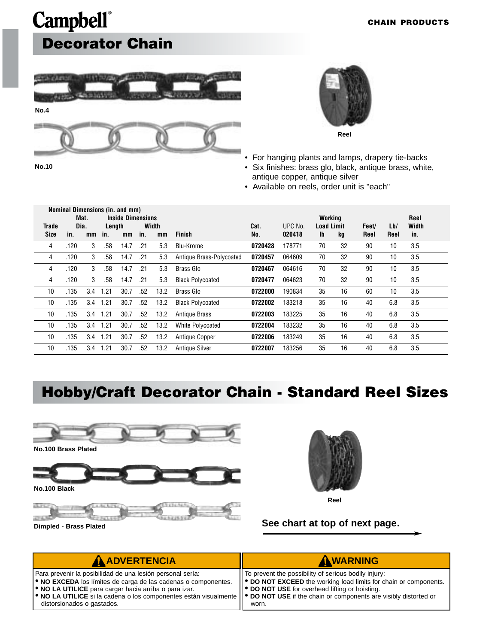### <span id="page-30-0"></span>**Campbell**® **Decorator Chain**





• For hanging plants and lamps, drapery tie-backs

- Six finishes: brass glo, black, antique brass, white, antique copper, antique silver
- Available on reels, order unit is "each"

|                      | Nominal Dimensions (in. and mm) |            |               |                                |     |             |                          |             |                   |                                    |    |               |             |                      |
|----------------------|---------------------------------|------------|---------------|--------------------------------|-----|-------------|--------------------------|-------------|-------------------|------------------------------------|----|---------------|-------------|----------------------|
| Trade<br><b>Size</b> | Dia.<br>in.                     | Mat.<br>mm | Length<br>in. | <b>Inside Dimensions</b><br>mm | in. | Width<br>mm | <b>Finish</b>            | Cat.<br>No. | UPC No.<br>020418 | Working<br><b>Load Limit</b><br>Ib | kg | Feet/<br>Reel | Lb/<br>Reel | Reel<br>Width<br>in. |
| 4                    | .120                            | 3          | .58           | 14.7                           | .21 | 5.3         | Blu-Krome                | 0720428     | 178771            | 70                                 | 32 | 90            | 10          | 3.5                  |
| 4                    | .120                            | 3          | .58           | 14.7                           | .21 | 5.3         | Antique Brass-Polycoated | 0720457     | 064609            | 70                                 | 32 | 90            | 10          | 3.5                  |
| 4                    | .120                            | 3          | .58           | 14.7                           | .21 | 5.3         | <b>Brass Glo</b>         | 0720467     | 064616            | 70                                 | 32 | 90            | 10          | 3.5                  |
| 4                    | .120                            | 3          | .58           | 14.7                           | .21 | 5.3         | <b>Black Polycoated</b>  | 0720477     | 064623            | 70                                 | 32 | 90            | 10          | 3.5                  |
| 10                   | .135                            | 3.4        | 1.21          | 30.7                           | .52 | 13.2        | Brass Glo                | 0722000     | 190834            | 35                                 | 16 | 60            | 10          | 3.5                  |
| 10                   | .135                            | 3.4        | 1.21          | 30.7                           | .52 | 13.2        | <b>Black Polycoated</b>  | 0722002     | 183218            | 35                                 | 16 | 40            | 6.8         | 3.5                  |
| 10                   | .135                            | 3.4        | 1.21          | 30.7                           | .52 | 13.2        | <b>Antique Brass</b>     | 0722003     | 183225            | 35                                 | 16 | 40            | 6.8         | 3.5                  |
| 10                   | .135                            | 3.4        | 1.21          | 30.7                           | .52 | 13.2        | <b>White Polycoated</b>  | 0722004     | 183232            | 35                                 | 16 | 40            | 6.8         | 3.5                  |
| 10                   | .135                            | 3.4        | 1.21          | 30.7                           | .52 | 13.2        | Antique Copper           | 0722006     | 183249            | 35                                 | 16 | 40            | 6.8         | 3.5                  |
| 10                   | .135                            | 3.4        | 1.21          | 30.7                           | .52 | 13.2        | <b>Antique Silver</b>    | 0722007     | 183256            | 35                                 | 16 | 40            | 6.8         | 3.5                  |

### **Hobby/Craft Decorator Chain - Standard Reel Sizes**





**Dimpled - Brass Plated Dimpled - Brass Plated See chart at top of next page.** 

| <b>A ADVERTENCIA</b>                                                                                                                                                                                                                                                                                                                                     | AWARNING                                                                                                                                                                               |
|----------------------------------------------------------------------------------------------------------------------------------------------------------------------------------------------------------------------------------------------------------------------------------------------------------------------------------------------------------|----------------------------------------------------------------------------------------------------------------------------------------------------------------------------------------|
| Para prevenir la posibilidad de una lesión personal sería:<br><b>. NO EXCEDA</b> los límites de carga de las cadenas o componentes.<br><b>.</b> NO LA UTILICE para cargar hacia arriba o para izar.<br>$\bullet$ NO LA UTILICE si la cadena o los componentes están visualmente $\bullet$ DO NOT USE if the chain or components are visibly distorted or | IT To prevent the possibility of serious bodily injury:<br>  ● DO NOT EXCEED the working load limits for chain or components.<br><b>P</b> DO NOT USE for overhead lifting or hoisting. |
| distorsionados o gastados.                                                                                                                                                                                                                                                                                                                               | worn.                                                                                                                                                                                  |

**No.10**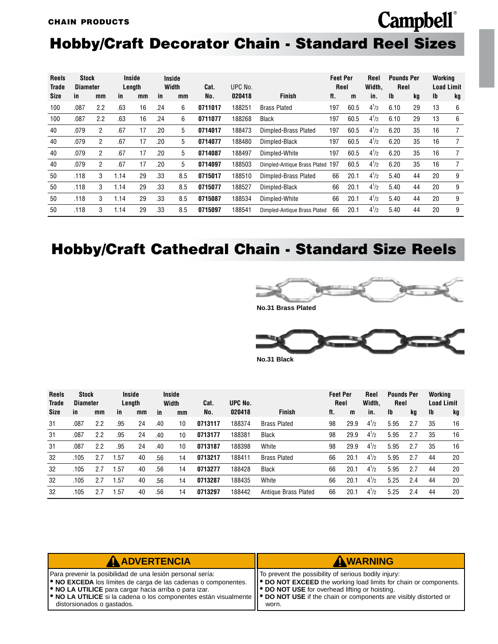#### <span id="page-31-0"></span>**Hobby/Craft Decorator Chain - Standard Reel Sizes**

| <b>Reels</b><br><b>Trade</b> | <b>Stock</b><br><b>Diameter</b> |     |      | Inside<br>Length |     | Inside<br>Width | UPC No.<br>Cat. |        |                                  |     | <b>Feet Per</b><br>Reel |           | Reel<br>Width. | <b>Pounds Per</b><br><b>Reel</b> |    | Working | <b>Load Limit</b> |
|------------------------------|---------------------------------|-----|------|------------------|-----|-----------------|-----------------|--------|----------------------------------|-----|-------------------------|-----------|----------------|----------------------------------|----|---------|-------------------|
| Size                         | in.                             | mm  | in.  | mm               | in  | mm              | No.             | 020418 | <b>Finish</b>                    | ft. | m                       | in.       | <b>Ib</b>      | kg                               | Ib | kg      |                   |
| 100                          | .087                            | 2.2 | .63  | 16               | .24 | 6               | 0711017         | 188251 | <b>Brass Plated</b>              | 197 | 60.5                    | $4^{1}/2$ | 6.10           | 29                               | 13 | 6       |                   |
| 100                          | .087                            | 2.2 | .63  | 16               | .24 | 6               | 0711077         | 188268 | Black                            | 197 | 60.5                    | $4^{1}/2$ | 6.10           | 29                               | 13 | 6       |                   |
| 40                           | .079                            | 2   | .67  | 17               | .20 | 5               | 0714017         | 188473 | Dimpled-Brass Plated             | 197 | 60.5                    | $4^{1}/2$ | 6.20           | 35                               | 16 |         |                   |
| 40                           | .079                            | 2   | .67  | 17               | .20 | 5               | 0714077         | 188480 | Dimpled-Black                    | 197 | 60.5                    | $4^{1}/2$ | 6.20           | 35                               | 16 |         |                   |
| 40                           | .079                            | 2   | .67  | 17               | .20 | 5               | 0714087         | 188497 | Dimpled-White                    | 197 | 60.5                    | $4^{1}/2$ | 6.20           | 35                               | 16 | 7       |                   |
| 40                           | .079                            | 2   | .67  | 17               | .20 | 5               | 0714097         | 188503 | Dimpled-Antique Brass Plated 197 |     | 60.5                    | $4^{1}/2$ | 6.20           | 35                               | 16 |         |                   |
| 50                           | .118                            | 3   | 1.14 | 29               | .33 | 8.5             | 0715017         | 188510 | Dimpled-Brass Plated             | 66  | 20.1                    | $4^{1}/2$ | 5.40           | 44                               | 20 | 9       |                   |
| 50                           | .118                            | 3   | 1.14 | 29               | .33 | 8.5             | 0715077         | 188527 | Dimpled-Black                    | 66  | 20.1                    | $4^{1}/2$ | 5.40           | 44                               | 20 | 9       |                   |
| 50                           | .118                            | 3   | 1.14 | 29               | .33 | 8.5             | 0715087         | 188534 | Dimpled-White                    | 66  | 20.1                    | $4^{1}/2$ | 5.40           | 44                               | 20 | 9       |                   |
| 50                           | .118                            | 3   | 1.14 | 29               | .33 | 8.5             | 0715097         | 188541 | Dimpled-Antique Brass Plated     | 66  | 20.1                    | $4^{1}/2$ | 5.40           | 44                               | 20 | 9       |                   |

### **Hobby/Craft Cathedral Chain - Standard Size Reels**



**Campbell**®



|--|

| <b>Reels</b><br>Trade | Stock<br><b>Diameter</b> |     | Inside | Length |     | <b>Inside</b><br>Width | UPC No.<br>Cat. |        | <b>Feet Per</b><br>Reel |     | Reel<br>Width. | <b>Pounds Per</b><br>Reel |      | Working<br><b>Load Limit</b> |    |    |
|-----------------------|--------------------------|-----|--------|--------|-----|------------------------|-----------------|--------|-------------------------|-----|----------------|---------------------------|------|------------------------------|----|----|
| Size                  | in.                      | mm  | in.    | mm     | in  | mm                     | No.             | 020418 | <b>Finish</b>           | ft. | m              | in.                       | Ib   | kg                           | Ib | kg |
| 31                    | .087                     | 2.2 | .95    | 24     | .40 | 10                     | 0713117         | 188374 | <b>Brass Plated</b>     | 98  | 29.9           | $4^{1}/2$                 | 5.95 | 2.7                          | 35 | 16 |
| 31                    | .087                     | 2.2 | .95    | 24     | .40 | 10                     | 0713177         | 188381 | <b>Black</b>            | 98  | 29.9           | $4^{1}/2$                 | 5.95 | 2.7                          | 35 | 16 |
| 31                    | .087                     | 2.2 | .95    | 24     | .40 | 10                     | 0713187         | 188398 | White                   | 98  | 29.9           | $4^{1}/2$                 | 5.95 | 2.7                          | 35 | 16 |
| 32                    | .105                     | 2.7 | .57    | 40     | .56 | 14                     | 0713217         | 188411 | <b>Brass Plated</b>     | 66  | 20.1           | $4^{1}/2$                 | 5.95 | 2.7                          | 44 | 20 |
| 32                    | .105                     | 2.7 | . 57   | 40     | .56 | 14                     | 0713277         | 188428 | <b>Black</b>            | 66  | 20.            | $4^{1}/2$                 | 5.95 | 2.7                          | 44 | 20 |
| 32                    | .105                     | 2.7 | .57    | 40     | .56 | 14                     | 0713287         | 188435 | White                   | 66  | 20.1           | $4^{1}/2$                 | 5.25 | 2.4                          | 44 | 20 |
| 32                    | .105                     |     | .57    | 40     | .56 | 14                     | 0713297         | 188442 | Antique Brass Plated    | 66  | 20.1           | $4^{1}/2$                 | 5.25 | 2.4                          | 44 | 20 |

| <b>A ADVERTENCIA</b>                                                                                                                                                                                                                                                                                                                                                                                           | AWARNING                                                                                                                                                                                               |
|----------------------------------------------------------------------------------------------------------------------------------------------------------------------------------------------------------------------------------------------------------------------------------------------------------------------------------------------------------------------------------------------------------------|--------------------------------------------------------------------------------------------------------------------------------------------------------------------------------------------------------|
| Para prevenir la posibilidad de una lesión personal sería:<br><b>.</b> NO EXCEDA los límites de carga de las cadenas o componentes.<br><b>.</b> NO LA UTILICE para cargar hacia arriba o para izar.<br>$\blacktriangleright$ NO LA UTILICE si la cadena o los componentes están visualmente $\blacktriangleright$ DO NOT USE if the chain or components are visibly distorted or<br>distorsionados o gastados. | IT To prevent the possibility of serious bodily injury:<br>  ● DO NOT EXCEED the working load limits for chain or components.<br>   <sup>●</sup> DO NOT USE for overhead lifting or hoisting.<br>worn. |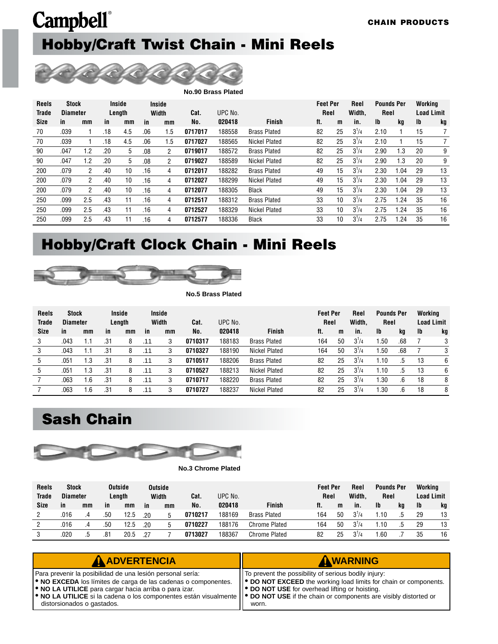### <span id="page-32-0"></span>**Campbell**® **Hobby/Craft Twist Chain - Mini Reels**

|              |                 |                |     |        |     |                |         | <b>No.90 Brass Plated</b> |                      |                 |    |           |                   |       |                   |    |
|--------------|-----------------|----------------|-----|--------|-----|----------------|---------|---------------------------|----------------------|-----------------|----|-----------|-------------------|-------|-------------------|----|
| <b>Reels</b> | <b>Stock</b>    |                |     | Inside |     | <b>Inside</b>  |         |                           |                      | <b>Feet Per</b> |    | Reel      | <b>Pounds Per</b> |       | Working           |    |
| <b>Trade</b> | <b>Diameter</b> |                |     | Length |     | Width          | Cat.    | UPC No.                   |                      | Reel            |    | Width.    | Reel              |       | <b>Load Limit</b> |    |
| Size         | in              | mm             | in  | mm     | in  | mm             | No.     | 020418                    | <b>Finish</b>        | ft.             | m  | in.       | $\mathbf{I}$      | kg    | Ib                | kg |
| 70           | .039            |                | .18 | 4.5    | .06 | 1.5            | 0717017 | 188558                    | <b>Brass Plated</b>  | 82              | 25 | $3^{1}/4$ | 2.10              |       | 15                |    |
| 70           | .039            |                | .18 | 4.5    | .06 | 1.5            | 0717027 | 188565                    | <b>Nickel Plated</b> | 82              | 25 | $3^{1}/4$ | 2.10              |       | 15                |    |
| 90           | .047            | 1.2            | .20 | 5      | .08 | $\overline{2}$ | 0719017 | 188572                    | <b>Brass Plated</b>  | 82              | 25 | $3^{1}/4$ | 2.90              | 1.3   | 20                | 9  |
| 90           | .047            | 1.2            | .20 | 5      | .08 | $\overline{2}$ | 0719027 | 188589                    | <b>Nickel Plated</b> | 82              | 25 | $3^{1}/4$ | 2.90              | 1.3   | 20                | 9  |
| 200          | .079            | $\overline{2}$ | .40 | 10     | .16 | 4              | 0712017 | 188282                    | <b>Brass Plated</b>  | 49              | 15 | $3^{1}/4$ | 2.30              | 1.04  | 29                | 13 |
| 200          | .079            | $\overline{2}$ | .40 | 10     | .16 | 4              | 0712027 | 188299                    | Nickel Plated        | 49              | 15 | $3^{1}/4$ | 2.30              | .04   | 29                | 13 |
| 200          | .079            | $\overline{2}$ | .40 | 10     | .16 | 4              | 0712077 | 188305                    | <b>Black</b>         | 49              | 15 | $3^{1}/4$ | 2.30              | 04. ا | 29                | 13 |
| 250          | .099            | 2.5            | .43 | 11     | .16 | 4              | 0712517 | 188312                    | <b>Brass Plated</b>  | 33              | 10 | $3^{1}/4$ | 2.75              | .24   | 35                | 16 |
| 250          | .099            | 2.5            | .43 | 11     | .16 | 4              | 0712527 | 188329                    | Nickel Plated        | 33              | 10 | $3^{1}/4$ | 2.75              | .24   | 35                | 16 |
| 250          | .099            | 2.5            | .43 | 11     | .16 | 4              | 0712577 | 188336                    | <b>Black</b>         | 33              | 10 | $3^{1}/4$ | 2.75              | 1.24  | 35                | 16 |
|              |                 |                |     |        |     |                |         |                           |                      |                 |    |           |                   |       |                   |    |

### **Hobby/Craft Clock Chain - Mini Reels**



Che he he he he he he

**No.5 Brass Plated**

| <b>Reels</b><br><b>Trade</b> | <b>Stock</b><br><b>Diameter</b> |      |     | Inside<br>Length |               | <b>Inside</b><br>Width | Cat.    | UPC No. |                      | <b>Feet Per</b><br>Reel |    | Reel<br>Width. | <b>Pounds Per</b><br>Reel |     | Working<br><b>Load Limit</b> |    |
|------------------------------|---------------------------------|------|-----|------------------|---------------|------------------------|---------|---------|----------------------|-------------------------|----|----------------|---------------------------|-----|------------------------------|----|
| <b>Size</b>                  | in                              | mm   | in  | mm               | în            | mm                     | No.     | 020418  | <b>Finish</b>        | ft.                     | m  | in.            | Ib                        | kg  | Ib                           | kg |
| 3                            | .043                            | 1.،  | .31 | 8                | .11           | 3                      | 0710317 | 188183  | <b>Brass Plated</b>  | 164                     | 50 | $3^{1}/4$      | 1.50                      | .68 |                              | 3  |
| 3                            | .043                            | ا. ا | .31 | 8                | .11           | 3                      | 0710327 | 188190  | <b>Nickel Plated</b> | 164                     | 50 | $3^{1}/4$      | .50                       | .68 |                              | 3  |
| 5                            | .051                            | .3   | .31 | 8                | .11           | 3                      | 0710517 | 188206  | <b>Brass Plated</b>  | 82                      | 25 | $3^{1}/4$      | 1.10                      | .5  | 13                           | 6  |
| 5                            | .051                            | .3   | .31 | 8                | .11           | 3                      | 0710527 | 188213  | <b>Nickel Plated</b> | 82                      | 25 | $3^{1/4}$      | 1.10                      | .5  | 13                           | 6  |
|                              | .063                            | .6   | .31 | 8                | .11           | 3                      | 0710717 | 188220  | <b>Brass Plated</b>  | 82                      | 25 | $3^{1}/4$      | 1.30                      | .6  | 18                           | 8  |
|                              | .063                            | .6   | .31 | 8                | $.1^{\prime}$ | 3                      | 0710727 | 188237  | <b>Nickel Plated</b> | 82                      | 25 | $3^{1}/4$      | .30                       | .6  | 18                           | 8  |

#### **Sash Chain**



**No.3 Chrome Plated**

| <b>Reels</b><br>Trade | <b>Stock</b><br><b>Diameter</b> |    |     | Outside<br>Length |     | Outside<br>Width | Cat.    | UPC No. |                     | <b>Feet Per</b><br>Reel |    | Reel<br>Width. | <b>Pounds Per</b><br>Reel |    | Working<br><b>Load Limit</b> |    |
|-----------------------|---------------------------------|----|-----|-------------------|-----|------------------|---------|---------|---------------------|-------------------------|----|----------------|---------------------------|----|------------------------------|----|
| Size                  | <b>in</b>                       | mm | in  | mm                | in  | mm               | No.     | 020418  | <b>Finish</b>       | ft.                     | m  | in.            | Ib                        | kg | lb                           | kg |
|                       | .016                            |    | .50 | 12.5              | .20 |                  | 0710217 | 188169  | <b>Brass Plated</b> | 164                     | 50 | $3^{1}/4$      | .10                       | .ხ | 29                           | 13 |
|                       | .016                            |    | .50 | 12.5              | .20 | b                | 0710227 | 188176  | Chrome Plated       | 164                     | 50 | $3^{1}/4$      | .10                       | .ხ | 29                           | 13 |
|                       | .020                            |    | .81 | 20.5              | .27 |                  | 0713027 | 88367   | Chrome Plated       | 82                      | 25 | $3^{1}/4$      | .60                       |    | 35                           | 16 |

| <b>A ADVERTENCIA</b>                                                                                                                                                                                                                                                                                                                                                                                           | AWARNING                                                                                                                                                                                  |
|----------------------------------------------------------------------------------------------------------------------------------------------------------------------------------------------------------------------------------------------------------------------------------------------------------------------------------------------------------------------------------------------------------------|-------------------------------------------------------------------------------------------------------------------------------------------------------------------------------------------|
| Para prevenir la posibilidad de una lesión personal sería:<br><b>.</b> NO EXCEDA los límites de carga de las cadenas o componentes.<br><b>.</b> NO LA UTILICE para cargar hacia arriba o para izar.<br>$\blacktriangleright$ NO LA UTILICE si la cadena o los componentes están visualmente $\blacktriangleright$ DO NOT USE if the chain or components are visibly distorted or<br>distorsionados o gastados. | To prevent the possibility of serious bodily injury:<br>   ● DO NOT EXCEED the working load limits for chain or components.<br>   ● DO NOT USE for overhead lifting or hoisting.<br>worn. |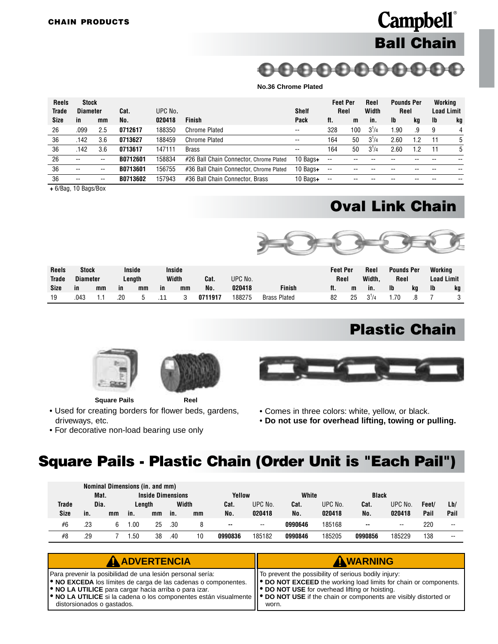### **Campbell**® **Ball Chain**

00000000000

#### **No.36 Chrome Plated**

<span id="page-33-0"></span>

| <b>Reels</b> | Stock           |                          |          |         |                                         |                          | <b>Feet Per</b><br>Reel  |     | Reel      | <b>Pounds Per</b> |     | Working           |    |
|--------------|-----------------|--------------------------|----------|---------|-----------------------------------------|--------------------------|--------------------------|-----|-----------|-------------------|-----|-------------------|----|
| Trade        | <b>Diameter</b> |                          | Cat.     | UPC No. |                                         | <b>Shelf</b>             |                          |     | Width     | Reel              |     | <b>Load Limit</b> |    |
| <b>Size</b>  | -in             | mm                       | No.      | 020418  | <b>Finish</b>                           | Pack                     | ft.                      | m   | in.       | <b>Ib</b>         | kg  | <b>Ib</b>         | kg |
| 26           | .099            | 2.5                      | 0712617  | 188350  | Chrome Plated                           | $- -$                    | 328                      | 100 | $3^{1}/4$ | 1.90              | .9  | 9                 |    |
| 36           | .142            | 3.6                      | 0713627  | 188459  | Chrome Plated                           | $\overline{\phantom{a}}$ | 164                      | 50  | $3^{1}/4$ | 2.60              | 1.2 | 11                | 5  |
| 36           | .142            | 3.6                      | 0713617  | 147111  | <b>Brass</b>                            | $- -$                    | 164                      | 50  | $3^{1}/4$ | 2.60              | 1.2 | 11                | 5  |
| 26           | --              | $- -$                    | B0712601 | 158834  | #26 Ball Chain Connector, Chrome Plated | 10 Bags+                 | $-$                      |     |           |                   |     |                   |    |
| 36           | $- -$           | $\overline{\phantom{a}}$ | B0713601 | 156755  | #36 Ball Chain Connector, Chrome Plated | 10 Bags+                 | $\overline{\phantom{a}}$ |     |           |                   |     |                   |    |
| 36           | --              | --                       | B0713602 | 157943  | #36 Ball Chain Connector. Brass         | 10 Bags+                 | $\overline{\phantom{a}}$ |     |           |                   |     |                   |    |

**+** 6/Bag, 10 Bags/Box

#### **Oval Link Chain**



| <b>Reels</b><br><b>Trade</b> | <b>Stock</b><br><b>Diameter</b> |    |     | Inside<br>Lenath |    | Inside<br>Width | Cat.    | UPC No. |                     | <b>Feet Per</b><br>Reel |    | Reel<br>Width. | <b>Pounds Per</b><br>Reel |    | Workina<br>Load Limit |    |
|------------------------------|---------------------------------|----|-----|------------------|----|-----------------|---------|---------|---------------------|-------------------------|----|----------------|---------------------------|----|-----------------------|----|
| Size                         | in                              | mm | ın  | mm               | in | mm              | No.     | 020418  | <b>Finish</b>       | ft.                     | m  | in.            | <b>Ib</b>                 | kq | Ib                    | kg |
| 19                           | .043                            |    | .20 |                  |    |                 | 0711917 | 188275  | <b>Brass Plated</b> | 82                      | 25 | $3^{1}/4$      |                           | .8 |                       |    |

#### **Plastic Chain**



**Square Pails Reel**

- Used for creating borders for flower beds, gardens, driveways, etc.
- For decorative non-load bearing use only



- Comes in three colors: white, yellow, or black.
- **Do not use for overhead lifting, towing or pulling.**

#### **Square Pails - Plastic Chain (Order Unit is "Each Pail")**

|       |      |    | Nominal Dimensions (in. and mm) |                          |     |       |         |         |         |         |              |         |       |       |
|-------|------|----|---------------------------------|--------------------------|-----|-------|---------|---------|---------|---------|--------------|---------|-------|-------|
|       | Mat. |    |                                 | <b>Inside Dimensions</b> |     |       | Yellow  |         | White   |         | <b>Black</b> |         |       |       |
| Trade | Dia. |    |                                 | Lenath                   |     | Width | Cat.    | UPC No. | Cat.    | UPC No. | Cat.         | UPC No. | Feet/ | Lb/   |
| Size  | in.  | mm | in.                             | mm                       | in. | mm    | No.     | 020418  | No.     | 020418  | No.          | 020418  | Pail  | Pail  |
| #6    | .23  |    | .00                             | 25                       | .30 | 8     | --      | $- -$   | 0990646 | 185168  |              | --      | 220   | $- -$ |
| #8    | .29  |    | .50                             | 38                       | .40 | 10    | 0990836 | 185182  | 0990846 | 185205  | 0990856      | 185229  | 138   | --    |

| AADVERTENCIA                                                                                                                                                                                                                                                                                                                                                                           | AWARNING                                                                                                                                                                                     |
|----------------------------------------------------------------------------------------------------------------------------------------------------------------------------------------------------------------------------------------------------------------------------------------------------------------------------------------------------------------------------------------|----------------------------------------------------------------------------------------------------------------------------------------------------------------------------------------------|
| Para prevenir la posibilidad de una lesión personal sería:<br><b>. NO EXCEDA</b> los límites de carga de las cadenas o componentes.<br><b>.</b> NO LA UTILICE para cargar hacia arriba o para izar.<br>$\bullet$ NO LA UTILICE si la cadena o los componentes están visualmente $\bullet$ DO NOT USE if the chain or components are visibly distorted or<br>distorsionados o gastados. | To prevent the possibility of serious bodily injury:<br>  ● DO NOT EXCEED the working load limits for chain or components.<br><b>P DO NOT USE</b> for overhead lifting or hoisting.<br>worn. |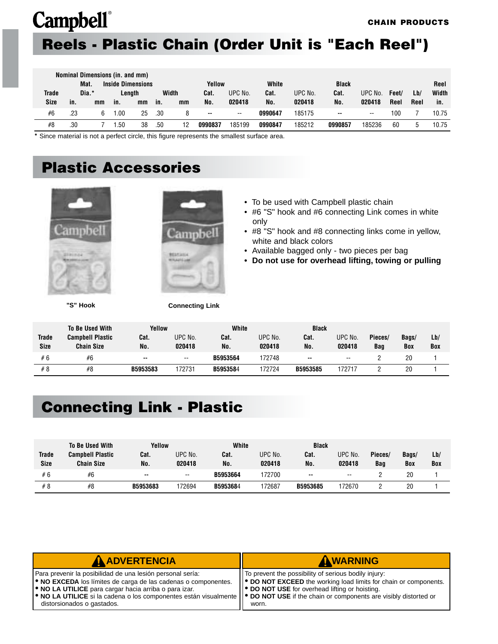### <span id="page-34-0"></span>**Reels - Plastic Chain (Order Unit is "Each Reel")**

|                                  | Nominal Dimensions (in. and mm) |       |     |        |     |        |               |                          |         |         |               |                          |       |      |       |
|----------------------------------|---------------------------------|-------|-----|--------|-----|--------|---------------|--------------------------|---------|---------|---------------|--------------------------|-------|------|-------|
| <b>Inside Dimensions</b><br>Mat. |                                 |       |     |        |     | Yellow |               | White<br><b>Black</b>    |         |         |               |                          | Reel  |      |       |
| <b>Trade</b>                     |                                 | Dia.* |     | Length |     | Width  | Cat.          | UPC No.                  | Cat.    | UPC No. | Cat.          | UPC No.                  | Feet/ | Lb/  | Width |
| <b>Size</b>                      | in.                             | mm    | in. | mm     | in. | mm     | No.           | 020418                   | No.     | 020418  | No.           | 020418                   | Reel  | Reel | in.   |
| #6                               | .23                             | 6     | .00 | 25     | .30 |        | $\sim$ $\sim$ | $\overline{\phantom{a}}$ | 0990647 | 185175  | $\sim$ $\sim$ | $\overline{\phantom{a}}$ | 100   |      | 10.75 |
| #8                               | .30                             |       | .50 | 38     | .50 | 12     | 0990837       | 185199                   | 0990847 | 185212  | 0990857       | 185236                   | 60    |      | 10.75 |

**\*** Since material is not a perfect circle, this figure represents the smallest surface area.

### **Plastic Accessories**



**"S" Hook Connecting Link**



- To be used with Campbell plastic chain
- #6 "S" hook and #6 connecting Link comes in white only
- #8 "S" hook and #8 connecting links come in yellow, white and black colors
- Available bagged only two pieces per bag
- **Do not use for overhead lifting, towing or pulling**

|              | <b>To Be Used With</b>  | Yellow   |         | White    |         | <b>Black</b> |                          |         |       |     |  |
|--------------|-------------------------|----------|---------|----------|---------|--------------|--------------------------|---------|-------|-----|--|
| <b>Trade</b> | <b>Campbell Plastic</b> | Cat.     | UPC No. | Cat.     | UPC No. | Cat.         | UPC No.                  | Pieces/ | Bags/ | Lb/ |  |
| <b>Size</b>  | <b>Chain Size</b>       | No.      | 020418  | No.      | 020418  | No.          | 020418                   | Bag     | Box   | Box |  |
| #6           | #6                      | $\sim$   | --      | B5953564 | 172748  | $-$          | $\overline{\phantom{a}}$ |         | 20    |     |  |
| #8           | #8                      | B5953583 | 172731  | B5953584 | 172724  | B5953585     | 172717                   |         | 20    |     |  |

#### **Connecting Link - Plastic**

|              | <b>To Be Used With</b>  | Yellow   |                          | White    | <b>Black</b> |          |                          |         |       |     |
|--------------|-------------------------|----------|--------------------------|----------|--------------|----------|--------------------------|---------|-------|-----|
| <b>Trade</b> | <b>Campbell Plastic</b> | Cat.     | UPC No.                  | Cat.     | UPC No.      | Cat.     | UPC No.                  | Pieces/ | Bags/ | Lb/ |
| <b>Size</b>  | <b>Chain Size</b>       | No.      | 020418                   | No.      | 020418       | No.      | 020418                   | Baq     | Box   | Box |
| #6           | #6                      | $\sim$   | $\overline{\phantom{a}}$ | B5953664 | 172700       | $\sim$   | $\overline{\phantom{a}}$ |         | 20    |     |
| #8           | #8                      | B5953683 | 72694                    | B5953684 | 172687       | B5953685 | 172670                   |         | 20    |     |

| <b>A ADVERTENCIA</b>                                                                                                                                                                                                                                                                                                                                                      | AWARNING                                                                                                                                                                                     |
|---------------------------------------------------------------------------------------------------------------------------------------------------------------------------------------------------------------------------------------------------------------------------------------------------------------------------------------------------------------------------|----------------------------------------------------------------------------------------------------------------------------------------------------------------------------------------------|
| Para prevenir la posibilidad de una lesión personal sería:<br><b>. NO EXCEDA</b> los límites de carga de las cadenas o componentes.<br><b>.</b> NO LA UTILICE para cargar hacia arriba o para izar.<br>• NO LA UTILICE si la cadena o los componentes están visualmente    • DO NOT USE if the chain or components are visibly distorted or<br>distorsionados o gastados. | IT To prevent the possibility of serious bodily injury:<br>   ● DO NOT EXCEED the working load limits for chain or components.<br>   ● DO NOT USE for overhead lifting or hoisting.<br>worn. |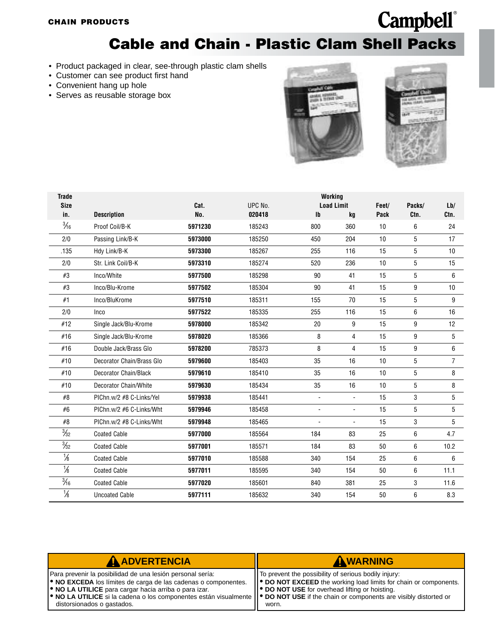#### **Cable and Chain - Plastic Clam Shell Packs**

- <span id="page-35-0"></span>• Product packaged in clear, see-through plastic clam shells
- Customer can see product first hand
- Convenient hang up hole
- Serves as reusable storage box





| <b>Trade</b>   |                           | Working |         |                          |                   |       |        |                |  |  |  |
|----------------|---------------------------|---------|---------|--------------------------|-------------------|-------|--------|----------------|--|--|--|
| <b>Size</b>    |                           | Cat.    | UPC No. |                          | <b>Load Limit</b> | Feet/ | Packs/ | Lb/            |  |  |  |
| in.            | <b>Description</b>        | No.     | 020418  | $\mathbf{I}$             | kq                | Pack  | Ctn.   | Ctn.           |  |  |  |
| $\frac{3}{16}$ | Proof Coil/B-K            | 5971230 | 185243  | 800                      | 360               | 10    | 6      | 24             |  |  |  |
| 2/0            | Passing Link/B-K          | 5973000 | 185250  | 450                      | 204               | 10    | 5      | 17             |  |  |  |
| .135           | Hdy Link/B-K              | 5973300 | 185267  | 255                      | 116               | 15    | 5      | 10             |  |  |  |
| 2/0            | Str. Link Coil/B-K        | 5973310 | 185274  | 520                      | 236               | 10    | 5      | 15             |  |  |  |
| #3             | Inco/White                | 5977500 | 185298  | 90                       | 41                | 15    | 5      | 6              |  |  |  |
| #3             | Inco/Blu-Krome            | 5977502 | 185304  | 90                       | 41                | 15    | 9      | 10             |  |  |  |
| #1             | Inco/BluKrome             | 5977510 | 185311  | 155                      | 70                | 15    | 5      | 9              |  |  |  |
| 2/0            | Inco                      | 5977522 | 185335  | 255                      | 116               | 15    | 6      | 16             |  |  |  |
| #12            | Single Jack/Blu-Krome     | 5978000 | 185342  | 20                       | 9                 | 15    | 9      | 12             |  |  |  |
| #16            | Single Jack/Blu-Krome     | 5978020 | 185366  | 8                        | 4                 | 15    | 9      | 5              |  |  |  |
| #16            | Double Jack/Brass Glo     | 5978200 | 785373  | 8                        | 4                 | 15    | 9      | 6              |  |  |  |
| #10            | Decorator Chain/Brass Glo | 5979600 | 185403  | 35                       | 16                | 10    | 5      | $\overline{7}$ |  |  |  |
| #10            | Decorator Chain/Black     | 5979610 | 185410  | 35                       | 16                | 10    | 5      | 8              |  |  |  |
| #10            | Decorator Chain/White     | 5979630 | 185434  | 35                       | 16                | 10    | 5      | 8              |  |  |  |
| #8             | PIChn.w/2 #8 C-Links/Yel  | 5979938 | 185441  | $\blacksquare$           | $\blacksquare$    | 15    | 3      | 5              |  |  |  |
| #6             | PIChn.w/2 #6 C-Links/Wht  | 5979946 | 185458  | $\overline{\phantom{a}}$ | $\overline{a}$    | 15    | 5      | 5              |  |  |  |
| #8             | PIChn.w/2 #8 C-Links/Wht  | 5979948 | 185465  | ÷,                       | ä,                | 15    | 3      | 5              |  |  |  |
| $\frac{3}{32}$ | <b>Coated Cable</b>       | 5977000 | 185564  | 184                      | 83                | 25    | 6      | 4.7            |  |  |  |
| $\frac{3}{32}$ | <b>Coated Cable</b>       | 5977001 | 185571  | 184                      | 83                | 50    | 6      | 10.2           |  |  |  |
| $\frac{1}{8}$  | <b>Coated Cable</b>       | 5977010 | 185588  | 340                      | 154               | 25    | 6      | 6              |  |  |  |
| $\frac{1}{8}$  | <b>Coated Cable</b>       | 5977011 | 185595  | 340                      | 154               | 50    | 6      | 11.1           |  |  |  |
| $\frac{3}{16}$ | <b>Coated Cable</b>       | 5977020 | 185601  | 840                      | 381               | 25    | 3      | 11.6           |  |  |  |
| $\frac{1}{8}$  | <b>Uncoated Cable</b>     | 5977111 | 185632  | 340                      | 154               | 50    | 6      | 8.3            |  |  |  |

| <b>A ADVERTENCIA</b>                                                                                                                                                                                                                                                                                                                                                                                                | AWARNING                                                                                                                                                                                    |
|---------------------------------------------------------------------------------------------------------------------------------------------------------------------------------------------------------------------------------------------------------------------------------------------------------------------------------------------------------------------------------------------------------------------|---------------------------------------------------------------------------------------------------------------------------------------------------------------------------------------------|
| Para prevenir la posibilidad de una lesión personal sería:<br><b>. NO EXCEDA</b> los límites de carga de las cadenas o componentes.<br><b>ORIGIO NO LA UTILICE</b> para cargar hacia arriba o para izar.<br>$\blacktriangleright$ NO LA UTILICE si la cadena o los componentes están visualmente $\blacktriangleright$ DO NOT USE if the chain or components are visibly distorted or<br>distorsionados o gastados. | To prevent the possibility of serious bodily injury:<br>   ● DO NOT EXCEED the working load limits for chain or components.<br><b>DO NOT USE</b> for overhead lifting or hoisting.<br>worn. |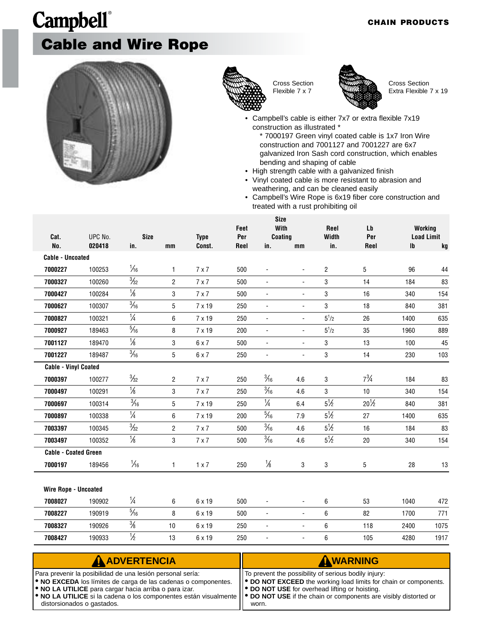# **Campbell**® **Cable and Wire Rope**





Cross Section Flexible 7 x 7



Cross Section Extra Flexible 7 x 19

Campbell's cable is either 7x7 or extra flexible 7x19 construction as illustrated \*

\* 7000197 Green vinyl coated cable is 1x7 Iron Wire construction and 7001127 and 7001227 are 6x7 galvanized Iron Sash cord construction, which enables bending and shaping of cable

- High strength cable with a galvanized finish
- Vinyl coated cable is more resistant to abrasion and weathering, and can be cleaned easily
- Campbell's Wire Rope is 6x19 fiber core construction and treated with a rust prohibiting oil

|                             |                   |                    | <b>Size</b><br>With |                       |             |                          |                          |                |                 |                        |                         |
|-----------------------------|-------------------|--------------------|---------------------|-----------------------|-------------|--------------------------|--------------------------|----------------|-----------------|------------------------|-------------------------|
|                             |                   |                    |                     |                       | Feet        |                          |                          | Reel           | Lb              |                        | Working                 |
| Cat.<br>No.                 | UPC No.<br>020418 | <b>Size</b><br>in. | mm                  | <b>Type</b><br>Const. | Per<br>Reel | Coating<br>in.           | mm                       | Width<br>in.   | Per<br>Reel     | $\mathsf{I}\mathsf{b}$ | <b>Load Limit</b><br>kg |
| <b>Cable - Uncoated</b>     |                   |                    |                     |                       |             |                          |                          |                |                 |                        |                         |
| 7000227                     | 100253            | $\frac{1}{6}$      | $\mathbf{1}$        | $7 \times 7$          | 500         | $\overline{\phantom{a}}$ | $\overline{\phantom{a}}$ | $\overline{2}$ | 5               | 96                     | 44                      |
|                             | 100260            | $\frac{3}{32}$     | $\overline{2}$      |                       | 500         | $\blacksquare$           | $\blacksquare$           | 3              | 14              | 184                    | 83                      |
| 7000327                     |                   |                    |                     | $7 \times 7$          |             |                          |                          |                |                 |                        |                         |
| 7000427                     | 100284            | $\frac{1}{8}$      | 3                   | $7 \times 7$          | 500         | $\overline{\phantom{a}}$ | $\overline{\phantom{a}}$ | 3              | 16              | 340                    | 154                     |
| 7000627                     | 100307            | $\frac{3}{16}$     | 5                   | $7 \times 19$         | 250         | $\blacksquare$           | $\blacksquare$           | 3              | 18              | 840                    | 381                     |
| 7000827                     | 100321            | $\frac{1}{4}$      | 6                   | 7 x 19                | 250         | $\overline{\phantom{a}}$ | $\overline{\phantom{a}}$ | $5^{1}/2$      | 26              | 1400                   | 635                     |
| 7000927                     | 189463            | $\frac{5}{16}$     | 8                   | 7 x 19                | 200         | $\blacksquare$           | $\blacksquare$           | $5^{1}/2$      | 35              | 1960                   | 889                     |
| 7001127                     | 189470            | $\frac{1}{8}$      | 3                   | $6 \times 7$          | 500         | $\overline{\phantom{a}}$ | $\overline{\phantom{a}}$ | 3              | 13              | 100                    | 45                      |
| 7001227                     | 189487            | $\frac{3}{16}$     | 5                   | $6 \times 7$          | 250         | $\blacksquare$           | $\overline{\phantom{a}}$ | 3              | 14              | 230                    | 103                     |
| <b>Cable - Vinyl Coated</b> |                   |                    |                     |                       |             |                          |                          |                |                 |                        |                         |
| 7000397                     | 100277            | $\frac{3}{32}$     | $\overline{2}$      | $7 \times 7$          | 250         | $\frac{3}{16}$           | 4.6                      | 3              | $7\frac{3}{4}$  | 184                    | 83                      |
| 7000497                     | 100291            | $\frac{1}{8}$      | $\mathbf 3$         | $7 \times 7$          | 250         | $\frac{3}{16}$           | 4.6                      | 3              | 10              | 340                    | 154                     |
| 7000697                     | 100314            | $\frac{3}{16}$     | 5                   | 7 x 19                | 250         | $\frac{1}{4}$            | 6.4                      | $5\frac{1}{2}$ | $20\frac{1}{2}$ | 840                    | 381                     |
| 7000897                     | 100338            | $\frac{1}{4}$      | 6                   | 7 x 19                | 200         | $\frac{5}{16}$           | 7.9                      | $5\frac{1}{2}$ | 27              | 1400                   | 635                     |
| 7003397                     | 100345            | $\frac{3}{32}$     | $\overline{2}$      | $7 \times 7$          | 500         | $\frac{3}{16}$           | 4.6                      | $5\frac{1}{2}$ | 16              | 184                    | 83                      |
| 7003497                     | 100352            | $\frac{1}{8}$      | 3                   | $7 \times 7$          | 500         | $\frac{3}{16}$           | 4.6                      | $5\frac{1}{2}$ | 20              | 340                    | 154                     |
| <b>Cable - Coated Green</b> |                   |                    |                     |                       |             |                          |                          |                |                 |                        |                         |
| 7000197                     | 189456            | $\frac{1}{16}$     | $\mathbf{1}$        | $1 \times 7$          | 250         | $\frac{1}{8}$            | 3                        | 3              | 5               | 28                     | 13                      |
|                             |                   |                    |                     |                       |             |                          |                          |                |                 |                        |                         |
| <b>Wire Rope - Uncoated</b> |                   |                    |                     |                       |             |                          |                          |                |                 |                        |                         |
| 7008027                     | 190902            | $\frac{1}{4}$      | 6                   | 6 x 19                | 500         |                          | ÷,                       | 6              | 53              | 1040                   | 472                     |
| 7008227                     | 190919            | $\frac{5}{16}$     | 8                   | 6 x 19                | 500         | $\blacksquare$           | $\blacksquare$           | 6              | 82              | 1700                   | 771                     |
| 7008327                     | 190926            | $\frac{3}{8}$      | 10                  | 6 x 19                | 250         | $\overline{\phantom{a}}$ | $\overline{\phantom{a}}$ | 6              | 118             | 2400                   | 1075                    |
| 7008427                     | 190933            | $\frac{1}{2}$      | 13                  | $6 \times 19$         | 250         | $\overline{\phantom{a}}$ | $\overline{\phantom{a}}$ | 6              | 105             | 4280                   | 1917                    |

| AADVERTENCIA                                                                                                                                                                                                                                                                                                                                                                                                   | AWARNING                                                                                                                                                                                  |
|----------------------------------------------------------------------------------------------------------------------------------------------------------------------------------------------------------------------------------------------------------------------------------------------------------------------------------------------------------------------------------------------------------------|-------------------------------------------------------------------------------------------------------------------------------------------------------------------------------------------|
| Para prevenir la posibilidad de una lesión personal sería:<br><b>.</b> NO EXCEDA los límites de carga de las cadenas o componentes.<br><b>.</b> NO LA UTILICE para cargar hacia arriba o para izar.<br>$\blacktriangleright$ NO LA UTILICE si la cadena o los componentes están visualmente $\blacktriangleright$ DO NOT USE if the chain or components are visibly distorted or<br>distorsionados o gastados. | To prevent the possibility of serious bodily injury:<br>   ● DO NOT EXCEED the working load limits for chain or components.<br>   ● DO NOT USE for overhead lifting or hoisting.<br>worn. |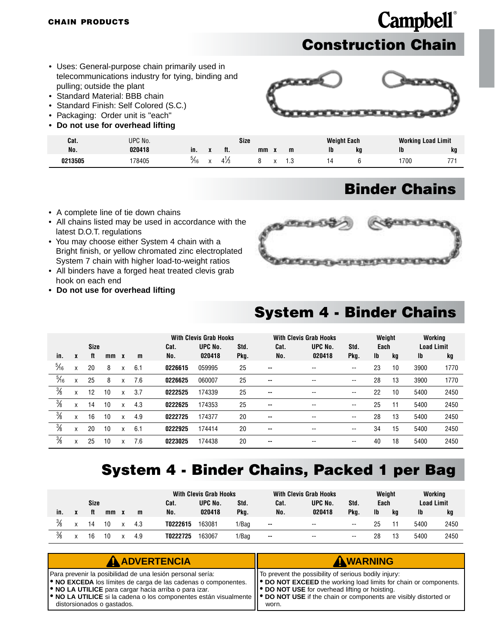### **Campbell**® **Construction Chain**

- <span id="page-37-0"></span>• Uses: General-purpose chain primarily used in telecommunications industry for tying, binding and pulling; outside the plant
- Standard Material: BBB chain
- Standard Finish: Self Colored (S.C.)
- Packaging: Order unit is "each"
- **Do not use for overhead lifting**



| Cat.    | UPC No. |      | Size |     |    |  |   |    | <b>Weight Each</b> |      | <b>Working Load Limit</b> |  |  |
|---------|---------|------|------|-----|----|--|---|----|--------------------|------|---------------------------|--|--|
| No.     | 020418  | ın.  |      | ft. | mm |  | m | Ib | kq                 | Ib   | kq                        |  |  |
| 0213505 | 78405   | "⁄16 |      | 4/5 |    |  |   |    |                    | 1700 | 77                        |  |  |

#### **Binder Chains**

- A complete line of tie down chains
- All chains listed may be used in accordance with the latest D.O.T. regulations
- You may choose either System 4 chain with a Bright finish, or yellow chromated zinc electroplated System 7 chain with higher load-to-weight ratios
- All binders have a forged heat treated clevis grab hook on each end
- **Do not use for overhead lifting**



#### **System 4 - Binder Chains**

|                |                   | Size |    |              |     | Cat.    | <b>With Clevis Grab Hooks</b><br>UPC No.<br>Std. |      | <b>With Clevis Grab Hooks</b><br>Cat. | Weight<br>Std.<br>Each   |      |    | Working<br><b>Load Limit</b> |      |      |
|----------------|-------------------|------|----|--------------|-----|---------|--------------------------------------------------|------|---------------------------------------|--------------------------|------|----|------------------------------|------|------|
| in.            | X                 | ft   | mm | $\mathbf{x}$ | m   | No.     | 020418                                           | Pkg. | No.                                   | UPC No.<br>020418        | Pkg. | Ib | kg                           | Ib   | kg   |
| $\frac{5}{16}$ | X                 | 20   | 8  | X            | 6.1 | 0226615 | 059995                                           | 25   | $\overline{\phantom{a}}$              | --                       | --   | 23 | 10                           | 3900 | 1770 |
| $\frac{5}{16}$ | $\checkmark$<br>Λ | 25   | 8  | X            | 7.6 | 0226625 | 060007                                           | 25   | $\sim$                                | $\overline{\phantom{a}}$ | --   | 28 | 13                           | 3900 | 1770 |
| $\frac{3}{8}$  | X                 | 12   | 10 | X            | 3.7 | 0222525 | 174339                                           | 25   | $\overline{\phantom{a}}$              | $\overline{\phantom{m}}$ | --   | 22 | 10                           | 5400 | 2450 |
| $\frac{3}{8}$  | X                 | 14   | 10 | X            | 4.3 | 0222625 | 174353                                           | 25   | $\overline{\phantom{a}}$              | --                       | --   | 25 | 11                           | 5400 | 2450 |
| $\frac{3}{8}$  | X                 | 16   | 10 | X            | 4.9 | 0222725 | 174377                                           | 20   | $\overline{\phantom{a}}$              | --                       | --   | 28 | 13                           | 5400 | 2450 |
| $\frac{3}{8}$  | X                 | 20   | 10 | X            | 6.1 | 0222925 | 174414                                           | 20   | $\overline{\phantom{a}}$              | $\overline{\phantom{a}}$ | --   | 34 | 15                           | 5400 | 2450 |
| $\frac{3}{8}$  | X                 | 25   | 10 | X            | 7.6 | 0223025 | 174438                                           | 20   | $\overline{\phantom{a}}$              | $\overline{\phantom{a}}$ | --   | 40 | 18                           | 5400 | 2450 |

#### **System 4 - Binder Chains, Packed 1 per Bag**

|               |  |             |    | <b>With Clevis Grab Hooks</b> |          |         | <b>With Clevis Grab Hooks</b> |        |                          | Weight | Working |    |                   |      |
|---------------|--|-------------|----|-------------------------------|----------|---------|-------------------------------|--------|--------------------------|--------|---------|----|-------------------|------|
|               |  | <b>Size</b> |    |                               | Cat.     | UPC No. | Std.                          | Cat.   | UPC No.                  | Std.   | Each    |    | <b>Load Limit</b> |      |
| in.           |  | ft          | mm | m                             | No.      | 020418  | Pkg.                          | No.    | 020418                   | Pka.   | Ib      | kq | Ib                | kg   |
| $\frac{3}{8}$ |  | 14          |    | 4.3                           | T0222615 | 163081  | 1/Bag                         | $\sim$ | $\overline{\phantom{a}}$ | --     |         |    | 5400              | 2450 |
| $\frac{3}{8}$ |  |             |    | 4.9                           | T0222725 | 163067  | 1/Bag                         | $\sim$ | $\overline{\phantom{a}}$ | --     | 28      | 13 | 5400              | 2450 |

| <b>A ADVERTENCIA</b>                                                                                                                                                                                                                                                                                        | AWARNING                                                                                                                       |
|-------------------------------------------------------------------------------------------------------------------------------------------------------------------------------------------------------------------------------------------------------------------------------------------------------------|--------------------------------------------------------------------------------------------------------------------------------|
| Para prevenir la posibilidad de una lesión personal sería:                                                                                                                                                                                                                                                  | If To prevent the possibility of serious bodily injury:                                                                        |
| <b>.</b> NO EXCEDA los límites de carga de las cadenas o componentes.<br><b>.</b> NO LA UTILICE para cargar hacia arriba o para izar.<br>• NO LA UTILICE si la cadena o los componentes están visualmente    • DO NOT USE if the chain or components are visibly distorted or<br>distorsionados o gastados. | ● DO NOT EXCEED the working load limits for chain or components.<br>   ● DO NOT USE for overhead lifting or hoisting.<br>worn. |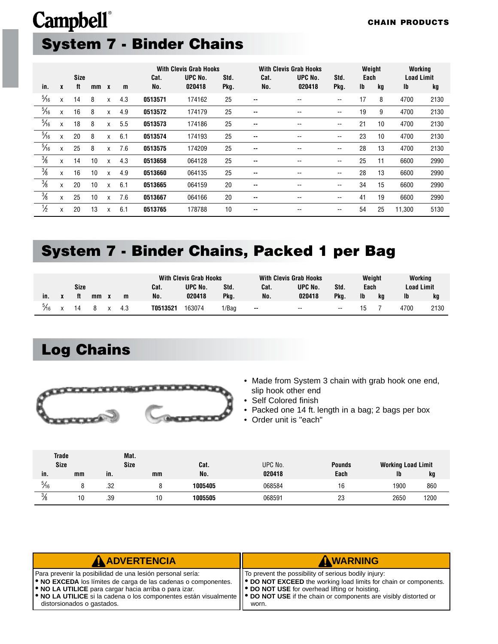# <span id="page-38-0"></span>**Campbell**® **System 7 - Binder Chains**

|                |   |      |    |              |     |         | <b>With Clevis Grab Hooks</b> |      |               | <b>With Clevis Grab Hooks</b> |                          | Weight    |    | Working           |      |
|----------------|---|------|----|--------------|-----|---------|-------------------------------|------|---------------|-------------------------------|--------------------------|-----------|----|-------------------|------|
|                |   | Size |    |              |     | Cat.    | UPC No.                       | Std. | Cat.          | UPC No.                       | Std.                     | Each      |    | <b>Load Limit</b> |      |
| in.            | X | ft   | mm | $\mathbf{x}$ | m   | No.     | 020418                        | Pkg. | No.           | 020418                        | Pkg.                     | <b>Ib</b> | kg | Ib                | kg   |
| $\frac{5}{16}$ | X | 14   | 8  | X            | 4.3 | 0513571 | 174162                        | 25   | $\sim$ $\sim$ | $\overline{\phantom{a}}$      | $\overline{\phantom{m}}$ | 17        | 8  | 4700              | 2130 |
| $\frac{5}{16}$ | X | 16   | 8  | X            | 4.9 | 0513572 | 174179                        | 25   | --            | --                            | --                       | 19        | 9  | 4700              | 2130 |
| $\frac{5}{16}$ | X | 18   | 8  | X            | 5.5 | 0513573 | 174186                        | 25   | --            | --                            | $- -$                    | 21        | 10 | 4700              | 2130 |
| $\frac{5}{16}$ | X | 20   | 8  | X            | 6.1 | 0513574 | 174193                        | 25   | --            | --                            | $- -$                    | 23        | 10 | 4700              | 2130 |
| $\frac{5}{16}$ | X | 25   | 8  | X            | 7.6 | 0513575 | 174209                        | 25   | --            | --                            | $- -$                    | 28        | 13 | 4700              | 2130 |
| $\frac{3}{8}$  | X | 14   | 10 | X            | 4.3 | 0513658 | 064128                        | 25   | --            | --                            | $- -$                    | 25        | 11 | 6600              | 2990 |
| $\frac{3}{8}$  | X | 16   | 10 | X            | 4.9 | 0513660 | 064135                        | 25   | --            | --                            | $- -$                    | 28        | 13 | 6600              | 2990 |
| $\frac{3}{8}$  | X | 20   | 10 | X            | 6.1 | 0513665 | 064159                        | 20   | $\sim$ $\sim$ | $\overline{\phantom{a}}$      | $\overline{\phantom{a}}$ | 34        | 15 | 6600              | 2990 |
| $\frac{3}{8}$  | X | 25   | 10 | X            | 7.6 | 0513667 | 064166                        | 20   | --            | --                            | $- -$                    | 41        | 19 | 6600              | 2990 |
| $\frac{1}{2}$  | X | 20   | 13 | X            | 6.1 | 0513765 | 178788                        | 10   | --            | --                            | --                       | 54        | 25 | 11.300            | 5130 |

### **System 7 - Binder Chains, Packed 1 per Bag**

|     |        |      |    |   | <b>With Clevis Grab Hooks</b> |          |         |       | <b>With Clevis Grab Hooks</b> |                          |       | Weight | Workina |            |      |
|-----|--------|------|----|---|-------------------------------|----------|---------|-------|-------------------------------|--------------------------|-------|--------|---------|------------|------|
|     |        | Size |    |   |                               | Cat.     | UPC No. | Std.  | Cat.                          | UPC No.                  | Std.  | Each   |         | Load Limit |      |
| in. |        | ft   | mm |   | m                             | No.      | 020418  | Pka.  | No.                           | 020418                   | Pka.  | lb     | ka      | lb         | kg   |
| %ะ  | $\vee$ | 14   |    | x | 4.3                           | T0513521 | 163074  | l/Baɑ | $\sim$                        | $\overline{\phantom{a}}$ | $- -$ | 15     |         | 4700       | 2130 |

#### **Log Chains**



- Made from System 3 chain with grab hook one end, slip hook other end
- Self Colored finish
- Packed one 14 ft. length in a bag; 2 bags per box
- Order unit is "each"

|                | <b>Trade</b> | Mat. |    |         |         |               |                           |      |
|----------------|--------------|------|----|---------|---------|---------------|---------------------------|------|
|                | <b>Size</b>  | Size |    | Cat.    | UPC No. | <b>Pounds</b> | <b>Working Load Limit</b> |      |
| in.            | mm           | in.  | mm | No.     | 020418  | Each          | Ib                        | kg   |
| $\frac{5}{16}$ |              | .32  |    | 1005405 | 068584  | 16            | 1900                      | 860  |
| 3/<br>78.      | 10           | .39  | 10 | 1005505 | 068591  | 23            | 2650                      | 1200 |

| AADVERTENCIA                                                                                                                                                                                                                                                                                                                                                                           | AWARNING                                                                                                                                                                                  |
|----------------------------------------------------------------------------------------------------------------------------------------------------------------------------------------------------------------------------------------------------------------------------------------------------------------------------------------------------------------------------------------|-------------------------------------------------------------------------------------------------------------------------------------------------------------------------------------------|
| Para prevenir la posibilidad de una lesión personal sería:<br><b>. NO EXCEDA</b> los límites de carga de las cadenas o componentes.<br><b>.</b> NO LA UTILICE para cargar hacia arriba o para izar.<br>$\bullet$ NO LA UTILICE si la cadena o los componentes están visualmente $\bullet$ DO NOT USE if the chain or components are visibly distorted or<br>distorsionados o gastados. | To prevent the possibility of serious bodily injury:<br>   ● DO NOT EXCEED the working load limits for chain or components.<br>   ● DO NOT USE for overhead lifting or hoisting.<br>worn. |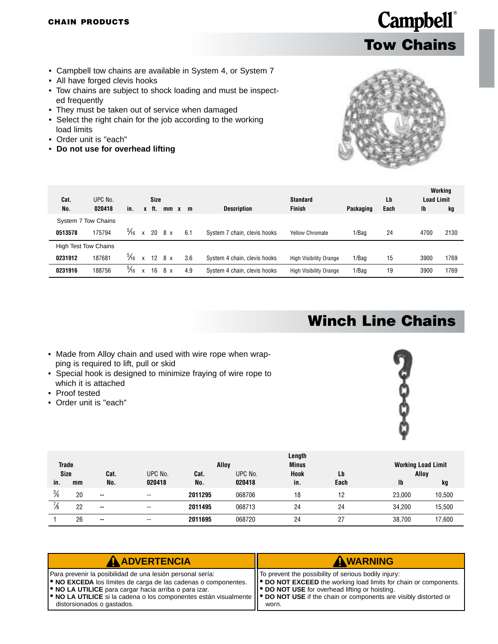- <span id="page-39-0"></span>• Campbell tow chains are available in System 4, or System 7
- All have forged clevis hooks
- Tow chains are subject to shock loading and must be inspected frequently
- They must be taken out of service when damaged
- Select the right chain for the job according to the working load limits
- Order unit is "each"
- **Do not use for overhead lifting**



**Tow Chains**

**Campbell**®

| UPC No. |                                                              |                       |                 |         |                                           |                              | Standard                      |               | Lb        | <b>Load Limit</b> | Working<br>kg |
|---------|--------------------------------------------------------------|-----------------------|-----------------|---------|-------------------------------------------|------------------------------|-------------------------------|---------------|-----------|-------------------|---------------|
|         |                                                              |                       |                 |         |                                           |                              |                               |               |           |                   |               |
|         |                                                              |                       |                 |         |                                           |                              |                               |               |           |                   |               |
| 175794  |                                                              | $\mathsf{x}$          |                 |         | 6.1                                       | System 7 chain, clevis hooks | <b>Yellow Chromate</b>        | 1/Bag         | 24        | 4700              | 2130          |
|         |                                                              |                       |                 |         |                                           |                              |                               |               |           |                   |               |
| 187681  | $\frac{5}{16}$                                               | $\mathbf{x}$          | 12 <sup>1</sup> |         | 3.6                                       | System 4 chain, clevis hooks | <b>High Visibility Orange</b> | 1/Bag         | 15        | 3900              | 1769          |
| 188756  | $\frac{5}{16}$                                               | X                     | 16              | 8 x     | 4.9                                       | System 4 chain, clevis hooks | <b>High Visibility Orange</b> | 1/Bag         | 19        | 3900              | 1769          |
|         | 020418<br>System 7 Tow Chains<br><b>High Test Tow Chains</b> | in.<br>$\frac{5}{16}$ | X               | $-$ ft. | Size<br>$20 \quad 8 \times$<br>$8 \times$ | $mm \times m$                | <b>Description</b>            | <b>Finish</b> | Packaging | Each              | Ib            |

### **Winch Line Chains**

- Made from Alloy chain and used with wire rope when wrapping is required to lift, pull or skid
- Special hook is designed to minimize fraying of wire rope to which it is attached
- Proof tested
- Order unit is "each"



| <b>Trade</b><br><b>Size</b> |    | Cat.          | UPC No.                  | Cat.    | Alloy<br>UPC No. | <b>Working Load Limit</b><br>Alloy |            |              |        |
|-----------------------------|----|---------------|--------------------------|---------|------------------|------------------------------------|------------|--------------|--------|
| in.                         | mm | No.           | 020418                   | No.     | 020418           | Hook<br>in.                        | Lb<br>Each | $\mathbf{I}$ | kg     |
| $\frac{3}{4}$               | 20 | $\sim$        | $- -$                    | 2011295 | 068706           | 18                                 | 12         | 23.000       | 10,500 |
| $\frac{7}{8}$               | 22 | $\sim$ $\sim$ | $\overline{\phantom{a}}$ | 2011495 | 068713           | 24                                 | 24         | 34.200       | 15,500 |
|                             | 26 | $\sim$        | $- -$                    | 2011695 | 068720           | 24                                 | 27         | 38,700       | 17,600 |

| AADVERTENCIA                                                                                                                                                                                                                                                                                                                                                              | AWARNING                                                                                                                                                                                 |
|---------------------------------------------------------------------------------------------------------------------------------------------------------------------------------------------------------------------------------------------------------------------------------------------------------------------------------------------------------------------------|------------------------------------------------------------------------------------------------------------------------------------------------------------------------------------------|
| Para prevenir la posibilidad de una lesión personal sería:<br><b>.</b> NO EXCEDA los límites de carga de las cadenas o componentes.<br><b>.</b> NO LA UTILICE para cargar hacia arriba o para izar.<br>• NO LA UTILICE si la cadena o los componentes están visualmente    • DO NOT USE if the chain or components are visibly distorted or<br>distorsionados o gastados. | To prevent the possibility of serious bodily injury:<br>   ● DO NOT EXCEED the working load limits for chain or components.<br>  ● DO NOT USE for overhead lifting or hoisting.<br>worn. |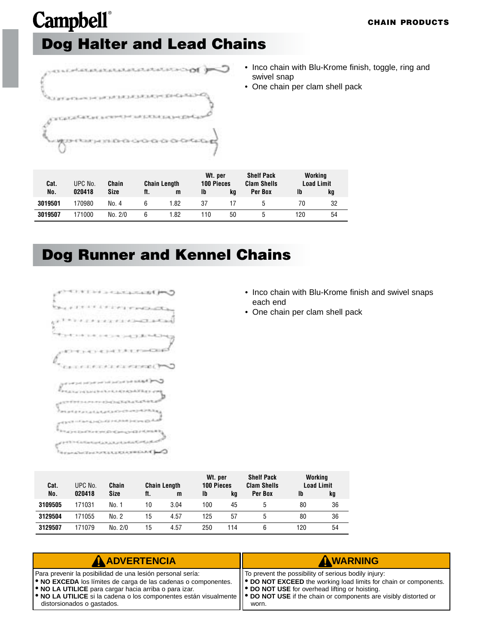### <span id="page-40-0"></span>**Campbell**® **Dog Halter and Lead Chains**



- Inco chain with Blu-Krome finish, toggle, ring and swivel snap
- One chain per clam shell pack

| Cat.<br>No. | UPC No.<br>020418 | <b>Chain</b><br>Size<br>ft. |   | <b>Chain Length</b><br>Ib<br>m |     | Wt. per<br>100 Pieces<br>kq | <b>Shelf Pack</b><br><b>Clam Shells</b><br>Per Box | Working<br><b>Load Limit</b><br>lb<br>kg |    |
|-------------|-------------------|-----------------------------|---|--------------------------------|-----|-----------------------------|----------------------------------------------------|------------------------------------------|----|
| 3019501     | 170980            | No. 4                       |   | 1.82                           | 37  |                             |                                                    | 70                                       | 32 |
| 3019507     | 171000            | No. 2/0                     | h | 82،                            | 110 | 50                          |                                                    | 120                                      | 54 |

### **Dog Runner and Kennel Chains**



- Inco chain with Blu-Krome finish and swivel snaps each end
- One chain per clam shell pack

| Cat.<br>No. | UPC No.<br>020418 | Chain<br>Size | ft. | <b>Chain Length</b> | Wt. per<br>100 Pieces<br>Ib |          | <b>Shelf Pack</b><br><b>Clam Shells</b><br>Per Box | Working<br><b>Ib</b> | <b>Load Limit</b> |
|-------------|-------------------|---------------|-----|---------------------|-----------------------------|----------|----------------------------------------------------|----------------------|-------------------|
| 3109505     | 171031            | No. 1         | 10  | m<br>3.04           | 100                         | kq<br>45 | ٠h                                                 | 80                   | kg<br>36          |
| 3129504     | 171055            | No. 2         | 15  | 4.57                | 125                         | 57       | 5                                                  | 80                   | 36                |
| 3129507     | 171079            | No. 2/0       | 15  | 4.57                | 250                         | 114      | 6                                                  | 120                  | 54                |

| <b>A ADVERTENCIA</b>                                                                                                                                                                                                                                                                                        | AWARNING                                                                                                                       |
|-------------------------------------------------------------------------------------------------------------------------------------------------------------------------------------------------------------------------------------------------------------------------------------------------------------|--------------------------------------------------------------------------------------------------------------------------------|
| Para prevenir la posibilidad de una lesión personal sería:                                                                                                                                                                                                                                                  | IT To prevent the possibility of serious bodily injury:                                                                        |
| <b>.</b> NO EXCEDA los límites de carga de las cadenas o componentes.<br><b>.</b> NO LA UTILICE para cargar hacia arriba o para izar.<br>• NO LA UTILICE si la cadena o los componentes están visualmente    • DO NOT USE if the chain or components are visibly distorted or<br>distorsionados o gastados. | ● DO NOT EXCEED the working load limits for chain or components.<br>   ● DO NOT USE for overhead lifting or hoisting.<br>worn. |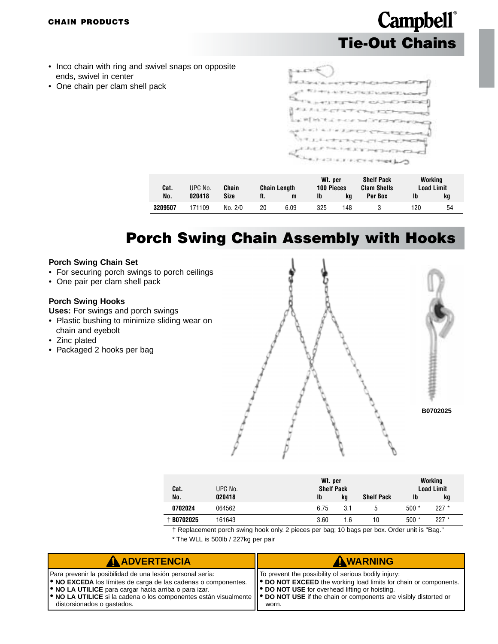#### **CHAIN PRODUCTS**

### **Campbell**® **Tie-Out Chains**

- Inco chain with ring and swivel snaps on opposite ends, swivel in center
- One chain per clam shell pack

| Cat.    | UPC No. | Chain   |     | <b>Chain Length</b> | Wt. per<br>100 Pieces |     | <b>Shelf Pack</b><br><b>Clam Shells</b> | Working<br>Load Limit |    |
|---------|---------|---------|-----|---------------------|-----------------------|-----|-----------------------------------------|-----------------------|----|
| No.     | 020418  | Size    | ft. | m                   | Ib                    | ka  | Per Box                                 | Ib                    | kq |
| 3209507 | 171109  | No. 2/0 | 20  | 6.09                | 325                   | 148 |                                         | 120                   | 54 |

### **Porch Swing Chain Assembly with Hooks**

#### **Porch Swing Chain Set**

- For securing porch swings to porch ceilings
- One pair per clam shell pack

#### **Porch Swing Hooks**

**Uses:** For swings and porch swings

- Plastic bushing to minimize sliding wear on chain and eyebolt
- Zinc plated
- Packaged 2 hooks per bag



| Cat.         | UPC No. | Wt. per<br><b>Shelf Pack</b> | Working<br><b>Load Limit</b> |                   |        |         |  |
|--------------|---------|------------------------------|------------------------------|-------------------|--------|---------|--|
| No.          | 020418  | Ib                           | kq                           | <b>Shelf Pack</b> | Ib     | kg      |  |
| 0702024      | 064562  | 6.75                         | 3.1                          |                   | $500*$ | $227 *$ |  |
| $+$ B0702025 | 161643  | 3.60                         | 1.6                          | 10                | $500*$ | $227 *$ |  |

† Replacement porch swing hook only. 2 pieces per bag; 10 bags per box. Order unit is "Bag."

\* The WLL is 500lb / 227kg per pair

| <b>A ADVERTENCIA</b>                                                                                                                                                                                                                                                                                                                                                      | AWARNING                                                                                                                                                                                 |
|---------------------------------------------------------------------------------------------------------------------------------------------------------------------------------------------------------------------------------------------------------------------------------------------------------------------------------------------------------------------------|------------------------------------------------------------------------------------------------------------------------------------------------------------------------------------------|
| Para prevenir la posibilidad de una lesión personal sería:<br><b>. NO EXCEDA</b> los límites de carga de las cadenas o componentes.<br><b>.</b> NO LA UTILICE para cargar hacia arriba o para izar.<br>• NO LA UTILICE si la cadena o los componentes están visualmente    • DO NOT USE if the chain or components are visibly distorted or<br>distorsionados o gastados. | To prevent the possibility of serious bodily injury:<br>  ● DO NOT EXCEED the working load limits for chain or components.<br>   ● DO NOT USE for overhead lifting or hoisting.<br>worn. |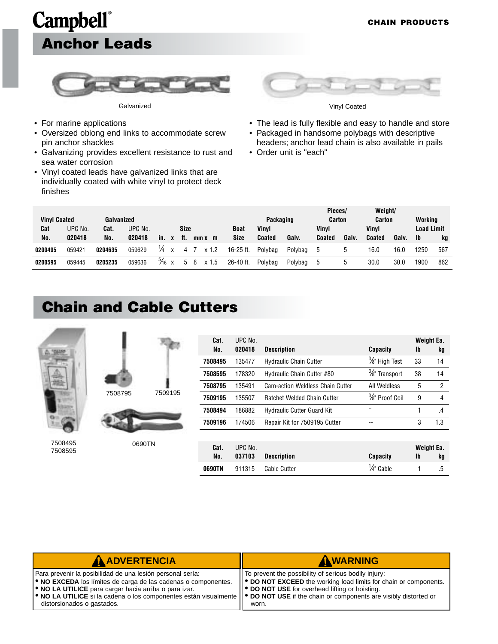# <span id="page-42-0"></span>**Campbell**® **Anchor Leads**



Galvanized Vinyl Coated

- For marine applications
- Oversized oblong end links to accommodate screw pin anchor shackles
- Galvanizing provides excellent resistance to rust and sea water corrosion
- Vinyl coated leads have galvanized links that are individually coated with white vinyl to protect deck finishes



- The lead is fully flexible and easy to handle and store
- Packaged in handsome polybags with descriptive headers; anchor lead chain is also available in pails
- Order unit is "each"

| <b>Vinyl Coated</b> |         | Galvanized |         |                   |              |           |             | Packaging |         | Pieces/<br>Carton |      | Weight/<br><b>Carton</b> |       | Workina           |     |
|---------------------|---------|------------|---------|-------------------|--------------|-----------|-------------|-----------|---------|-------------------|------|--------------------------|-------|-------------------|-----|
| Cat                 | UPC No. | Cat.       | UPC No. |                   | Size         |           | <b>Boat</b> | Vinvl     |         | Vinvl             |      | <b>Vinvl</b>             |       | <b>Load Limit</b> |     |
| No.                 | 020418  | No.        | 020418  | in.               | tt.          | $mmx$ $m$ | Size        | Coated    | Galv.   | Coated            | Galv | <b>Coated</b>            | Galv. | <b>Ib</b>         | kg  |
| 0200495             | 059421  | 0204635    | 059629  | ¼<br>$\mathsf{x}$ |              | $x$ 1.2   | 16-25 ft.   | Polybag   | Polybag |                   |      | 16.0                     | 16.0  | 1250              | 567 |
| 0200595             | 059445  | 0205235    | 059636  | $\frac{5}{16}$ x  | $\mathbf{h}$ | $x$ 1.5   | 26-40 ft.   | Polybag   | Polybag |                   |      | 30.0                     | 30.0  | 1900              | 862 |

#### **Chain and Cable Cutters**



7508495 7508595



| Weight Ea.<br>kg |
|------------------|
| 14               |
| 14               |
| $\overline{2}$   |
| 4                |
| $\overline{A}$   |
| 1.3              |
|                  |
| Weight Ea.<br>kg |
| .5               |
|                  |

| <b>A ADVERTENCIA</b>                                                                                                                                                                                                                                                                                                                                                                                           | AWARNING                                                                                                                                                                                     |
|----------------------------------------------------------------------------------------------------------------------------------------------------------------------------------------------------------------------------------------------------------------------------------------------------------------------------------------------------------------------------------------------------------------|----------------------------------------------------------------------------------------------------------------------------------------------------------------------------------------------|
| Para prevenir la posibilidad de una lesión personal sería:<br><b>. NO EXCEDA</b> los límites de carga de las cadenas o componentes.<br><b>O</b> NO LA UTILICE para cargar hacia arriba o para izar.<br>$\blacktriangleright$ NO LA UTILICE si la cadena o los componentes están visualmente $\blacktriangleright$ DO NOT USE if the chain or components are visibly distorted or<br>distorsionados o gastados. | IT To prevent the possibility of serious bodily injury:<br>   ● DO NOT EXCEED the working load limits for chain or components.<br>   ● DO NOT USE for overhead lifting or hoisting.<br>worn. |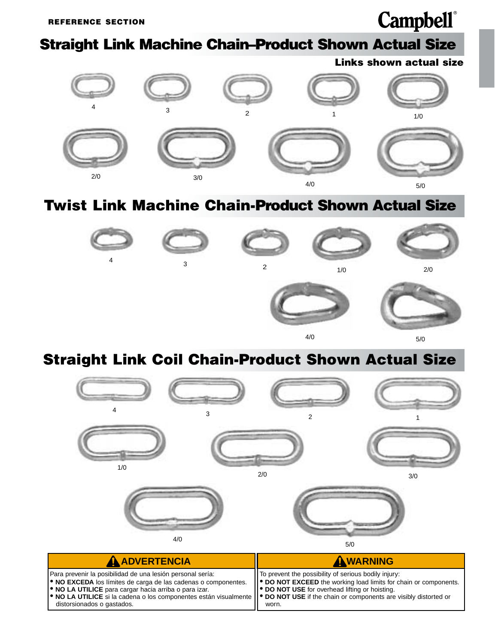#### <span id="page-43-0"></span>**Straight Link Machine Chain–Product Shown Actual Size**

**Links shown actual size**



#### **Twist Link Machine Chain-Product Shown Actual Size**



#### **Straight Link Coil Chain-Product Shown Actual Size**

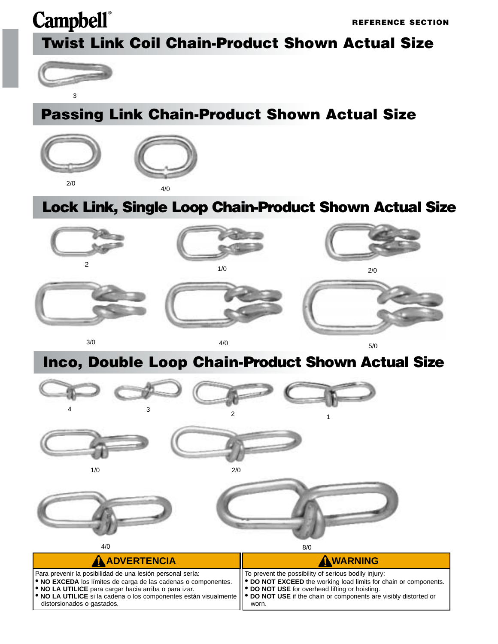**REFERENCE SECTION**

### **Twist Link Coil Chain-Product Shown Actual Size**



distorsionados o gastados.

### **Passing Link Chain-Product Shown Actual Size**



#### **Lock Link, Single Loop Chain-Product Shown Actual Size**



#### **Inco, Double Loop Chain-Product Shown Actual Size**



worn.